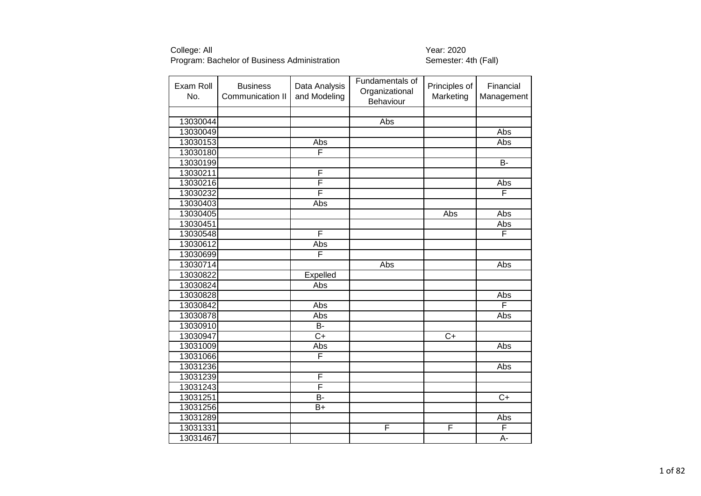| Exam Roll<br>No. | <b>Business</b><br>Communication II | Data Analysis<br>and Modeling | Fundamentals of<br>Organizational<br>Behaviour | Principles of<br>Marketing | Financial<br>Management |
|------------------|-------------------------------------|-------------------------------|------------------------------------------------|----------------------------|-------------------------|
|                  |                                     |                               |                                                |                            |                         |
| 13030044         |                                     |                               | Abs                                            |                            |                         |
| 13030049         |                                     |                               |                                                |                            | Abs                     |
| 13030153         |                                     | Abs                           |                                                |                            | Abs                     |
| 13030180         |                                     | F                             |                                                |                            |                         |
| 13030199         |                                     |                               |                                                |                            | $B -$                   |
| 13030211         |                                     | F                             |                                                |                            |                         |
| 13030216         |                                     | F                             |                                                |                            | Abs                     |
| 13030232         |                                     | F                             |                                                |                            | F                       |
| 13030403         |                                     | Abs                           |                                                |                            |                         |
| 13030405         |                                     |                               |                                                | Abs                        | Abs                     |
| 13030451         |                                     |                               |                                                |                            | Abs                     |
| 13030548         |                                     | F                             |                                                |                            | F                       |
| 13030612         |                                     | Abs                           |                                                |                            |                         |
| 13030699         |                                     | F                             |                                                |                            |                         |
| 13030714         |                                     |                               | Abs                                            |                            | Abs                     |
| 13030822         |                                     | Expelled                      |                                                |                            |                         |
| 13030824         |                                     | Abs                           |                                                |                            |                         |
| 13030828         |                                     |                               |                                                |                            | Abs                     |
| 13030842         |                                     | Abs                           |                                                |                            | F                       |
| 13030878         |                                     | Abs                           |                                                |                            | Abs                     |
| 13030910         |                                     | B-                            |                                                |                            |                         |
| 13030947         |                                     | $\overline{C}$                |                                                | $C+$                       |                         |
| 13031009         |                                     | Abs                           |                                                |                            | Abs                     |
| 13031066         |                                     | F                             |                                                |                            |                         |
| 13031236         |                                     |                               |                                                |                            | Abs                     |
| 13031239         |                                     | F                             |                                                |                            |                         |
| 13031243         |                                     | F                             |                                                |                            |                         |
| 13031251         |                                     | B-                            |                                                |                            | $\overline{C+}$         |
| 13031256         |                                     | $B+$                          |                                                |                            |                         |
| 13031289         |                                     |                               |                                                |                            | Abs                     |
| 13031331         |                                     |                               | F                                              | F                          | F                       |
| 13031467         |                                     |                               |                                                |                            | $\overline{A}$ -        |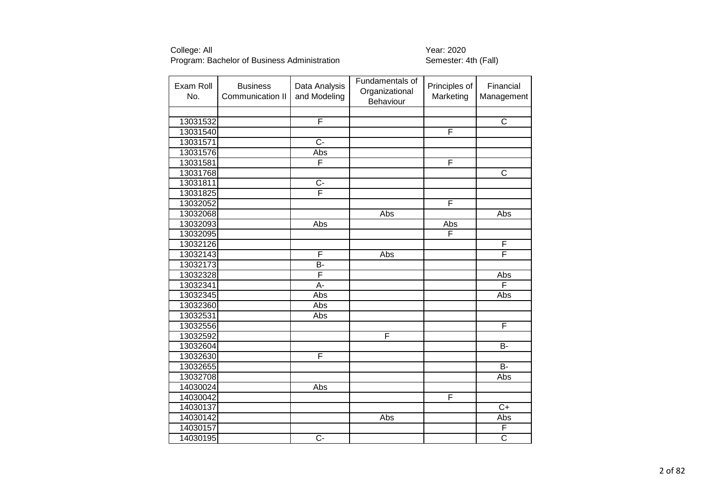| Exam Roll<br>No. | <b>Business</b><br>Communication II | Data Analysis<br>and Modeling | Fundamentals of<br>Organizational<br>Behaviour | Principles of<br>Marketing | Financial<br>Management |
|------------------|-------------------------------------|-------------------------------|------------------------------------------------|----------------------------|-------------------------|
|                  |                                     |                               |                                                |                            |                         |
| 13031532         |                                     | F                             |                                                |                            | $\overline{\text{c}}$   |
| 13031540         |                                     |                               |                                                | F                          |                         |
| 13031571         |                                     | $\overline{C}$ -              |                                                |                            |                         |
| 13031576         |                                     | Abs                           |                                                |                            |                         |
| 13031581         |                                     | F                             |                                                | F                          |                         |
| 13031768         |                                     |                               |                                                |                            | $\overline{\text{c}}$   |
| 13031811         |                                     | $\overline{C}$                |                                                |                            |                         |
| 13031825         |                                     | $\overline{\mathsf{F}}$       |                                                |                            |                         |
| 13032052         |                                     |                               |                                                | F                          |                         |
| 13032068         |                                     |                               | Abs                                            |                            | Abs                     |
| 13032093         |                                     | Abs                           |                                                | Abs                        |                         |
| 13032095         |                                     |                               |                                                | $\overline{\mathsf{F}}$    |                         |
| 13032126         |                                     |                               |                                                |                            | F                       |
| 13032143         |                                     | F                             | Abs                                            |                            | $\overline{\mathsf{F}}$ |
| 13032173         |                                     | B-                            |                                                |                            |                         |
| 13032328         |                                     | F                             |                                                |                            | Abs                     |
| 13032341         |                                     | $\overline{A}$ -              |                                                |                            | F                       |
| 13032345         |                                     | Abs                           |                                                |                            | Abs                     |
| 13032360         |                                     | Abs                           |                                                |                            |                         |
| 13032531         |                                     | Abs                           |                                                |                            |                         |
| 13032556         |                                     |                               |                                                |                            | F                       |
| 13032592         |                                     |                               | F                                              |                            |                         |
| 13032604         |                                     |                               |                                                |                            | $\overline{B}$          |
| 13032630         |                                     | F                             |                                                |                            |                         |
| 13032655         |                                     |                               |                                                |                            | $\overline{B}$          |
| 13032708         |                                     |                               |                                                |                            | Abs                     |
| 14030024         |                                     | Abs                           |                                                |                            |                         |
| 14030042         |                                     |                               |                                                | F                          |                         |
| 14030137         |                                     |                               |                                                |                            | $\overline{C+}$         |
| 14030142         |                                     |                               | Abs                                            |                            | Abs                     |
| 14030157         |                                     |                               |                                                |                            | F                       |
| 14030195         |                                     | $\overline{C}$                |                                                |                            | $\overline{\text{c}}$   |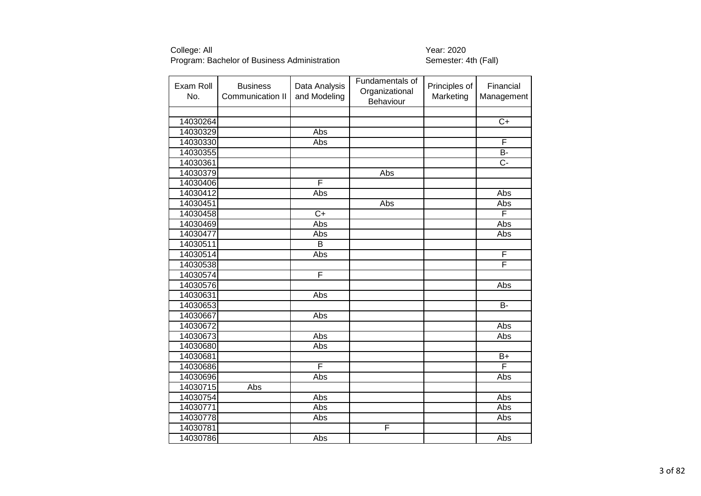| Exam Roll<br>No. | <b>Business</b><br>Communication II | Data Analysis<br>and Modeling | Fundamentals of<br>Organizational<br>Behaviour | Principles of<br>Marketing | Financial<br>Management |
|------------------|-------------------------------------|-------------------------------|------------------------------------------------|----------------------------|-------------------------|
|                  |                                     |                               |                                                |                            |                         |
| 14030264         |                                     |                               |                                                |                            | $C+$                    |
| 14030329         |                                     | Abs                           |                                                |                            |                         |
| 14030330         |                                     | Abs                           |                                                |                            | F                       |
| 14030355         |                                     |                               |                                                |                            | B-                      |
| 14030361         |                                     |                               |                                                |                            | $\overline{C}$          |
| 14030379         |                                     |                               | Abs                                            |                            |                         |
| 14030406         |                                     | F                             |                                                |                            |                         |
| 14030412         |                                     | Abs                           |                                                |                            | Abs                     |
| 14030451         |                                     |                               | Abs                                            |                            | Abs                     |
| 14030458         |                                     | $\overline{C}$                |                                                |                            | F                       |
| 14030469         |                                     | Abs                           |                                                |                            | Abs                     |
| 14030477         |                                     | Abs                           |                                                |                            | Abs                     |
| 14030511         |                                     | В                             |                                                |                            |                         |
| 14030514         |                                     | Abs                           |                                                |                            | F                       |
| 14030538         |                                     |                               |                                                |                            | F                       |
| 14030574         |                                     | F                             |                                                |                            |                         |
| 14030576         |                                     |                               |                                                |                            | Abs                     |
| 14030631         |                                     | Abs                           |                                                |                            |                         |
| 14030653         |                                     |                               |                                                |                            | $\overline{B}$          |
| 14030667         |                                     | Abs                           |                                                |                            |                         |
| 14030672         |                                     |                               |                                                |                            | Abs                     |
| 14030673         |                                     | Abs                           |                                                |                            | Abs                     |
| 14030680         |                                     | Abs                           |                                                |                            |                         |
| 14030681         |                                     |                               |                                                |                            | $B+$                    |
| 14030686         |                                     | F                             |                                                |                            | $\overline{\mathsf{F}}$ |
| 14030696         |                                     | Abs                           |                                                |                            | Abs                     |
| 14030715         | Abs                                 |                               |                                                |                            |                         |
| 14030754         |                                     | Abs                           |                                                |                            | Abs                     |
| 14030771         |                                     | Abs                           |                                                |                            | Abs                     |
| 14030778         |                                     | Abs                           |                                                |                            | Abs                     |
| 14030781         |                                     |                               | F                                              |                            |                         |
| 14030786         |                                     | <b>Abs</b>                    |                                                |                            | Abs                     |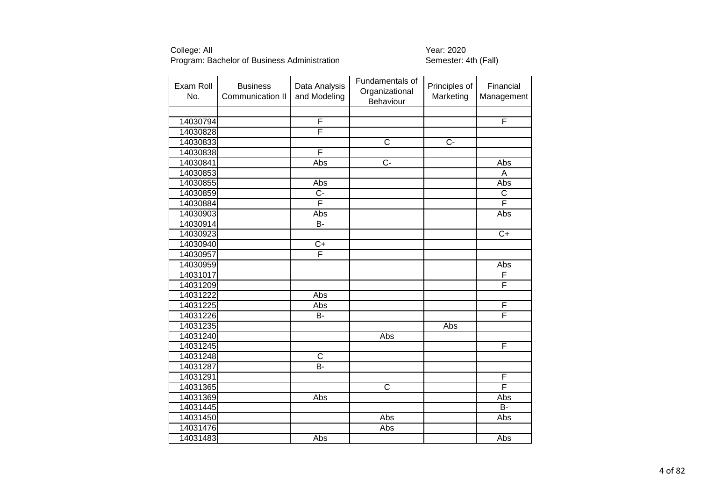| Exam Roll<br>No. | <b>Business</b><br>Communication II | Data Analysis<br>and Modeling | Fundamentals of<br>Organizational<br>Behaviour | Principles of<br>Marketing | Financial<br>Management |
|------------------|-------------------------------------|-------------------------------|------------------------------------------------|----------------------------|-------------------------|
|                  |                                     |                               |                                                |                            |                         |
| 14030794         |                                     | $\overline{\mathsf{F}}$       |                                                |                            | $\overline{F}$          |
| 14030828         |                                     | F                             |                                                |                            |                         |
| 14030833         |                                     |                               | $\overline{\mathsf{C}}$                        | $\overline{C}$             |                         |
| 14030838         |                                     | F                             |                                                |                            |                         |
| 14030841         |                                     | Abs                           | $\overline{C}$ -                               |                            | Abs                     |
| 14030853         |                                     |                               |                                                |                            | A                       |
| 14030855         |                                     | Abs                           |                                                |                            | Abs                     |
| 14030859         |                                     | $\overline{C}$ -              |                                                |                            | $\overline{\mathsf{C}}$ |
| 14030884         |                                     | F                             |                                                |                            | F                       |
| 14030903         |                                     | Abs                           |                                                |                            | Abs                     |
| 14030914         |                                     | B-                            |                                                |                            |                         |
| 14030923         |                                     |                               |                                                |                            | $C+$                    |
| 14030940         |                                     | $C+$                          |                                                |                            |                         |
| 14030957         |                                     | F                             |                                                |                            |                         |
| 14030959         |                                     |                               |                                                |                            | Abs                     |
| 14031017         |                                     |                               |                                                |                            | F                       |
| 14031209         |                                     |                               |                                                |                            | F                       |
| 14031222         |                                     | Abs                           |                                                |                            |                         |
| 14031225         |                                     | Abs                           |                                                |                            | F                       |
| 14031226         |                                     | B-                            |                                                |                            | F                       |
| 14031235         |                                     |                               |                                                | Abs                        |                         |
| 14031240         |                                     |                               | Abs                                            |                            |                         |
| 14031245         |                                     |                               |                                                |                            | F                       |
| 14031248         |                                     | $\overline{\mathsf{C}}$       |                                                |                            |                         |
| 14031287         |                                     | $\bar{B}$ -                   |                                                |                            |                         |
| 14031291         |                                     |                               |                                                |                            | F                       |
| 14031365         |                                     |                               | $\overline{\text{c}}$                          |                            | F                       |
| 14031369         |                                     | Abs                           |                                                |                            | Abs                     |
| 14031445         |                                     |                               |                                                |                            | $\overline{B}$          |
| 14031450         |                                     |                               | Abs                                            |                            | Abs                     |
| 14031476         |                                     |                               | Abs                                            |                            |                         |
| 14031483         |                                     | Abs                           |                                                |                            | Abs                     |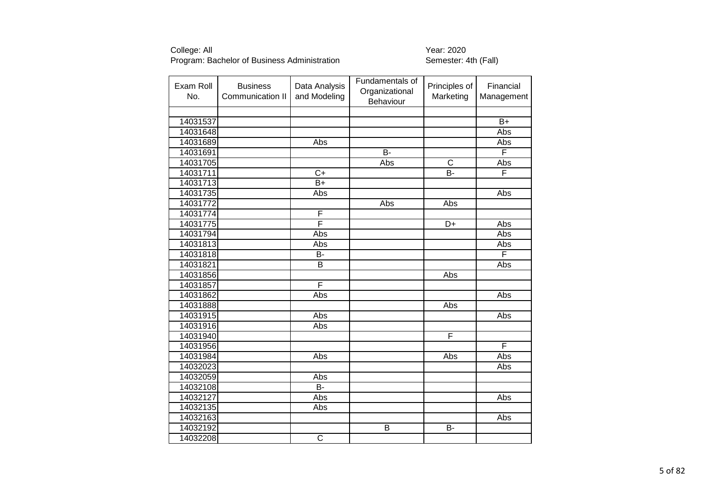| Exam Roll<br>No. | <b>Business</b><br>Communication II | Data Analysis<br>and Modeling | Fundamentals of<br>Organizational<br>Behaviour | Principles of<br>Marketing | Financial<br>Management |
|------------------|-------------------------------------|-------------------------------|------------------------------------------------|----------------------------|-------------------------|
|                  |                                     |                               |                                                |                            |                         |
| 14031537         |                                     |                               |                                                |                            | $\overline{B+}$         |
| 14031648         |                                     |                               |                                                |                            | Abs                     |
| 14031689         |                                     | Abs                           |                                                |                            | Abs                     |
| 14031691         |                                     |                               | $B -$                                          |                            | $\overline{F}$          |
| 14031705         |                                     |                               | Abs                                            | $\overline{\mathsf{C}}$    | Abs                     |
| 14031711         |                                     | $\overline{C+}$               |                                                | $B -$                      | F                       |
| 14031713         |                                     | $B+$                          |                                                |                            |                         |
| 14031735         |                                     | Abs                           |                                                |                            | Abs                     |
| 14031772         |                                     |                               | Abs                                            | Abs                        |                         |
| 14031774         |                                     | F                             |                                                |                            |                         |
| 14031775         |                                     | F                             |                                                | $\overline{D}$ +           | Abs                     |
| 14031794         |                                     | Abs                           |                                                |                            | Abs                     |
| 14031813         |                                     | Abs                           |                                                |                            | Abs                     |
| 14031818         |                                     | B-                            |                                                |                            | F                       |
| 14031821         |                                     | B                             |                                                |                            | Abs                     |
| 14031856         |                                     |                               |                                                | Abs                        |                         |
| 14031857         |                                     | F                             |                                                |                            |                         |
| 14031862         |                                     | Abs                           |                                                |                            | Abs                     |
| 14031888         |                                     |                               |                                                | Abs                        |                         |
| 14031915         |                                     | Abs                           |                                                |                            | Abs                     |
| 14031916         |                                     | Abs                           |                                                |                            |                         |
| 14031940         |                                     |                               |                                                | F                          |                         |
| 14031956         |                                     |                               |                                                |                            | F                       |
| 14031984         |                                     | Abs                           |                                                | Abs                        | Abs                     |
| 14032023         |                                     |                               |                                                |                            | Abs                     |
| 14032059         |                                     | <b>Abs</b>                    |                                                |                            |                         |
| 14032108         |                                     | B-                            |                                                |                            |                         |
| 14032127         |                                     | Abs                           |                                                |                            | Abs                     |
| 14032135         |                                     | Abs                           |                                                |                            |                         |
| 14032163         |                                     |                               |                                                |                            | Abs                     |
| 14032192         |                                     |                               | B                                              | B-                         |                         |
| 14032208         |                                     | $\overline{\mathsf{C}}$       |                                                |                            |                         |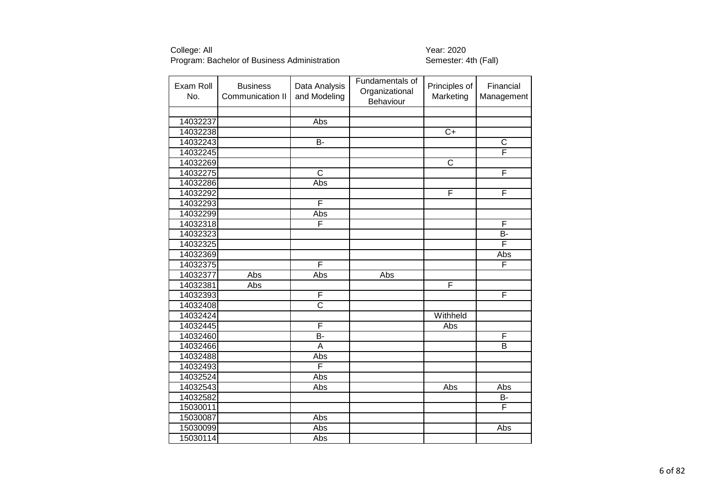| Exam Roll<br>No. | <b>Business</b><br>Communication II | Data Analysis<br>and Modeling | Fundamentals of<br>Organizational<br>Behaviour | Principles of<br>Marketing | Financial<br>Management |
|------------------|-------------------------------------|-------------------------------|------------------------------------------------|----------------------------|-------------------------|
|                  |                                     |                               |                                                |                            |                         |
| 14032237         |                                     | Abs                           |                                                |                            |                         |
| 14032238         |                                     |                               |                                                | $\overline{C+}$            |                         |
| 14032243         |                                     | $\overline{B}$                |                                                |                            | $\overline{C}$          |
| 14032245         |                                     |                               |                                                |                            | F                       |
| 14032269         |                                     |                               |                                                | $\overline{\mathsf{C}}$    |                         |
| 14032275         |                                     | $\overline{\text{c}}$         |                                                |                            | F                       |
| 14032286         |                                     | Abs                           |                                                |                            |                         |
| 14032292         |                                     |                               |                                                | F                          | F                       |
| 14032293         |                                     | F                             |                                                |                            |                         |
| 14032299         |                                     | Abs                           |                                                |                            |                         |
| 14032318         |                                     | F                             |                                                |                            | F                       |
| 14032323         |                                     |                               |                                                |                            | <b>B-</b>               |
| 14032325         |                                     |                               |                                                |                            | F                       |
| 14032369         |                                     |                               |                                                |                            | Abs                     |
| 14032375         |                                     | F                             |                                                |                            | F                       |
| 14032377         | Abs                                 | Abs                           | Abs                                            |                            |                         |
| 14032381         | Abs                                 |                               |                                                | F                          |                         |
| 14032393         |                                     | F                             |                                                |                            | F                       |
| 14032408         |                                     | $\overline{\text{c}}$         |                                                |                            |                         |
| 14032424         |                                     |                               |                                                | Withheld                   |                         |
| 14032445         |                                     | F                             |                                                | Abs                        |                         |
| 14032460         |                                     | B-                            |                                                |                            | F                       |
| 14032466         |                                     | $\overline{A}$                |                                                |                            | $\overline{\mathsf{B}}$ |
| 14032488         |                                     | Abs                           |                                                |                            |                         |
| 14032493         |                                     | F                             |                                                |                            |                         |
| 14032524         |                                     | Abs                           |                                                |                            |                         |
| 14032543         |                                     | Abs                           |                                                | Abs                        | Abs                     |
| 14032582         |                                     |                               |                                                |                            | B-                      |
| 15030011         |                                     |                               |                                                |                            | F                       |
| 15030087         |                                     | Abs                           |                                                |                            |                         |
| 15030099         |                                     | Abs                           |                                                |                            | Abs                     |
| 15030114         |                                     | Abs                           |                                                |                            |                         |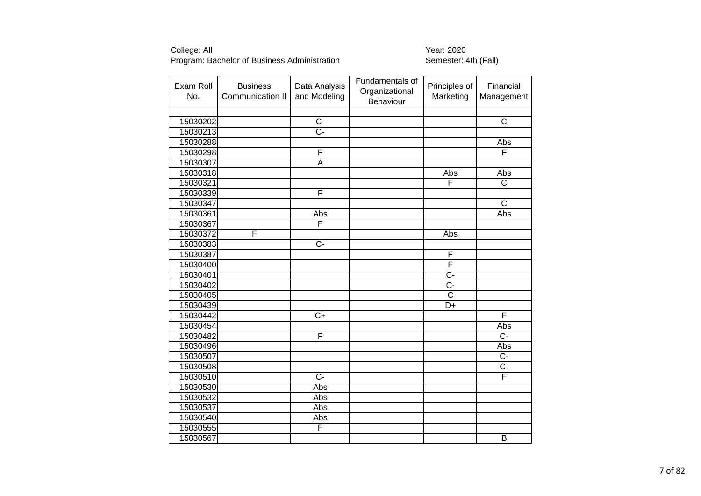| Exam Roll<br>No. | <b>Business</b><br>Communication II | Data Analysis<br>and Modeling | Fundamentals of<br>Organizational<br>Behaviour | Principles of<br>Marketing | Financial<br>Management |
|------------------|-------------------------------------|-------------------------------|------------------------------------------------|----------------------------|-------------------------|
|                  |                                     |                               |                                                |                            |                         |
| 15030202         |                                     | $\overline{C}$                |                                                |                            | $\overline{\text{c}}$   |
| 15030213         |                                     | $\overline{C}$ -              |                                                |                            |                         |
| 15030288         |                                     |                               |                                                |                            | Abs                     |
| 15030298         |                                     | F                             |                                                |                            | F                       |
| 15030307         |                                     | $\overline{\mathsf{A}}$       |                                                |                            |                         |
| 15030318         |                                     |                               |                                                | Abs                        | Abs                     |
| 15030321         |                                     |                               |                                                | F                          | $\mathsf C$             |
| 15030339         |                                     | F                             |                                                |                            |                         |
| 15030347         |                                     |                               |                                                |                            | $\overline{\text{c}}$   |
| 15030361         |                                     | Abs                           |                                                |                            | Abs                     |
| 15030367         |                                     | F                             |                                                |                            |                         |
| 15030372         | F                                   |                               |                                                | Abs                        |                         |
| 15030383         |                                     | $\overline{C}$                |                                                |                            |                         |
| 15030387         |                                     |                               |                                                | F                          |                         |
| 15030400         |                                     |                               |                                                | F                          |                         |
| 15030401         |                                     |                               |                                                | $\overline{C}$             |                         |
| 15030402         |                                     |                               |                                                | $\overline{C}$             |                         |
| 15030405         |                                     |                               |                                                | $\overline{\text{c}}$      |                         |
| 15030439         |                                     |                               |                                                | D+                         |                         |
| 15030442         |                                     | $\overline{C+}$               |                                                |                            | F                       |
| 15030454         |                                     |                               |                                                |                            | Abs                     |
| 15030482         |                                     | F                             |                                                |                            | $\overline{C}$          |
| 15030496         |                                     |                               |                                                |                            | Abs                     |
| 15030507         |                                     |                               |                                                |                            | $\overline{C}$          |
| 15030508         |                                     |                               |                                                |                            | $\overline{C}$          |
| 15030510         |                                     | $\overline{C}$                |                                                |                            | F                       |
| 15030530         |                                     | Abs                           |                                                |                            |                         |
| 15030532         |                                     | Abs                           |                                                |                            |                         |
| 15030537         |                                     | Abs                           |                                                |                            |                         |
| 15030540         |                                     | Abs                           |                                                |                            |                         |
| 15030555         |                                     | F                             |                                                |                            |                         |
| 15030567         |                                     |                               |                                                |                            | $\overline{B}$          |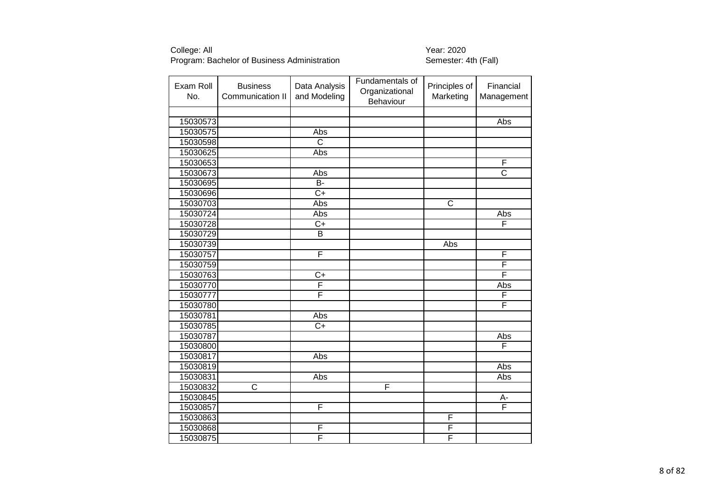| Exam Roll<br>No. | <b>Business</b><br>Communication II | Data Analysis<br>and Modeling | Fundamentals of<br>Organizational<br>Behaviour | Principles of<br>Marketing | Financial<br>Management |
|------------------|-------------------------------------|-------------------------------|------------------------------------------------|----------------------------|-------------------------|
|                  |                                     |                               |                                                |                            |                         |
| 15030573         |                                     |                               |                                                |                            | Abs                     |
| 15030575         |                                     | Abs                           |                                                |                            |                         |
| 15030598         |                                     | $\overline{\text{c}}$         |                                                |                            |                         |
| 15030625         |                                     | Abs                           |                                                |                            |                         |
| 15030653         |                                     |                               |                                                |                            | F                       |
| 15030673         |                                     | Abs                           |                                                |                            | $\overline{\text{c}}$   |
| 15030695         |                                     | <b>B-</b>                     |                                                |                            |                         |
| 15030696         |                                     | $\overline{C+}$               |                                                |                            |                         |
| 15030703         |                                     | Abs                           |                                                | C                          |                         |
| 15030724         |                                     | Abs                           |                                                |                            | Abs                     |
| 15030728         |                                     | $\overline{C+}$               |                                                |                            | F                       |
| 15030729         |                                     | $\overline{B}$                |                                                |                            |                         |
| 15030739         |                                     |                               |                                                | Abs                        |                         |
| 15030757         |                                     | F                             |                                                |                            | F                       |
| 15030759         |                                     |                               |                                                |                            | F                       |
| 15030763         |                                     | $C+$                          |                                                |                            | F                       |
| 15030770         |                                     | F                             |                                                |                            | Abs                     |
| 15030777         |                                     | F                             |                                                |                            | F                       |
| 15030780         |                                     |                               |                                                |                            | F                       |
| 15030781         |                                     | Abs                           |                                                |                            |                         |
| 15030785         |                                     | $C+$                          |                                                |                            |                         |
| 15030787         |                                     |                               |                                                |                            | Abs                     |
| 15030800         |                                     |                               |                                                |                            | F                       |
| 15030817         |                                     | Abs                           |                                                |                            |                         |
| 15030819         |                                     |                               |                                                |                            | Abs                     |
| 15030831         |                                     | Abs                           |                                                |                            | <b>Abs</b>              |
| 15030832         | C                                   |                               | F                                              |                            |                         |
| 15030845         |                                     |                               |                                                |                            | А-                      |
| 15030857         |                                     | F                             |                                                |                            | F                       |
| 15030863         |                                     |                               |                                                | F                          |                         |
| 15030868         |                                     | F                             |                                                | F                          |                         |
| 15030875         |                                     | F                             |                                                | F                          |                         |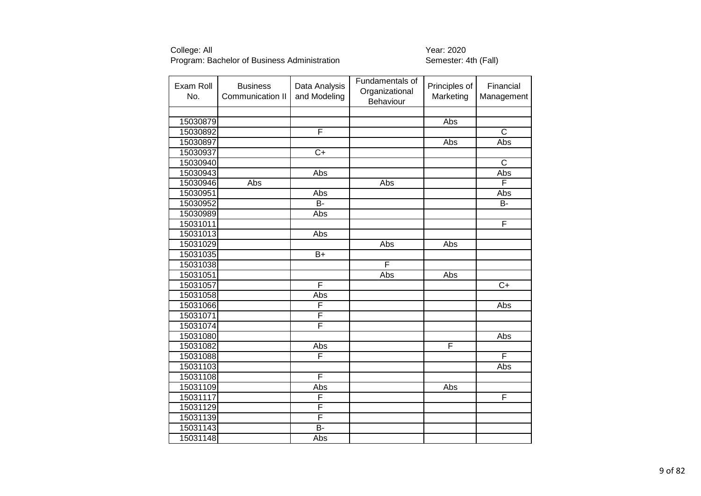| Exam Roll<br>No. | <b>Business</b><br>Communication II | Data Analysis<br>and Modeling | Fundamentals of<br>Organizational<br>Behaviour | Principles of<br>Marketing | Financial<br>Management |
|------------------|-------------------------------------|-------------------------------|------------------------------------------------|----------------------------|-------------------------|
|                  |                                     |                               |                                                |                            |                         |
| 15030879         |                                     |                               |                                                | Abs                        |                         |
| 15030892         |                                     | F                             |                                                |                            | $\overline{\text{c}}$   |
| 15030897         |                                     |                               |                                                | Abs                        | Abs                     |
| 15030937         |                                     | $\overline{C+}$               |                                                |                            |                         |
| 15030940         |                                     |                               |                                                |                            | $\overline{\text{c}}$   |
| 15030943         |                                     | Abs                           |                                                |                            | Abs                     |
| 15030946         | Abs                                 |                               | Abs                                            |                            | F                       |
| 15030951         |                                     | Abs                           |                                                |                            | Abs                     |
| 15030952         |                                     | <b>B-</b>                     |                                                |                            | B-                      |
| 15030989         |                                     | Abs                           |                                                |                            |                         |
| 15031011         |                                     |                               |                                                |                            | F                       |
| 15031013         |                                     | Abs                           |                                                |                            |                         |
| 15031029         |                                     |                               | Abs                                            | Abs                        |                         |
| 15031035         |                                     | $B+$                          |                                                |                            |                         |
| 15031038         |                                     |                               | F                                              |                            |                         |
| 15031051         |                                     |                               | Abs                                            | Abs                        |                         |
| 15031057         |                                     | F                             |                                                |                            | $\overline{C+}$         |
| 15031058         |                                     | Abs                           |                                                |                            |                         |
| 15031066         |                                     | F                             |                                                |                            | Abs                     |
| 15031071         |                                     | F                             |                                                |                            |                         |
| 15031074         |                                     | F                             |                                                |                            |                         |
| 15031080         |                                     |                               |                                                |                            | Abs                     |
| 15031082         |                                     | Abs                           |                                                | F                          |                         |
| 15031088         |                                     | F                             |                                                |                            | F                       |
| 15031103         |                                     |                               |                                                |                            | Abs                     |
| 15031108         |                                     | F                             |                                                |                            |                         |
| 15031109         |                                     | Abs                           |                                                | Abs                        |                         |
| 15031117         |                                     | F                             |                                                |                            | F                       |
| 15031129         |                                     | F                             |                                                |                            |                         |
| 15031139         |                                     | F                             |                                                |                            |                         |
| 15031143         |                                     | B-                            |                                                |                            |                         |
| 15031148         |                                     | Abs                           |                                                |                            |                         |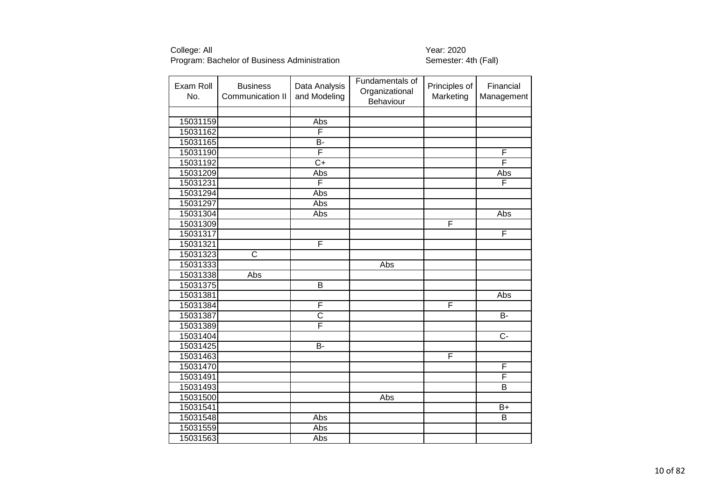| Exam Roll<br>No. | <b>Business</b><br>Communication II | Data Analysis<br>and Modeling | Fundamentals of<br>Organizational<br>Behaviour | Principles of<br>Marketing | Financial<br>Management |
|------------------|-------------------------------------|-------------------------------|------------------------------------------------|----------------------------|-------------------------|
|                  |                                     |                               |                                                |                            |                         |
| 15031159         |                                     | Abs                           |                                                |                            |                         |
| 15031162         |                                     | F                             |                                                |                            |                         |
| 15031165         |                                     | B-                            |                                                |                            |                         |
| 15031190         |                                     | F                             |                                                |                            | F                       |
| 15031192         |                                     | $\overline{C+}$               |                                                |                            | F                       |
| 15031209         |                                     | Abs                           |                                                |                            | Abs                     |
| 15031231         |                                     | F                             |                                                |                            | F                       |
| 15031294         |                                     | Abs                           |                                                |                            |                         |
| 15031297         |                                     | Abs                           |                                                |                            |                         |
| 15031304         |                                     | Abs                           |                                                |                            | Abs                     |
| 15031309         |                                     |                               |                                                | F                          |                         |
| 15031317         |                                     |                               |                                                |                            | F                       |
| 15031321         |                                     | F                             |                                                |                            |                         |
| 15031323         | $\overline{\text{c}}$               |                               |                                                |                            |                         |
| 15031333         |                                     |                               | Abs                                            |                            |                         |
| 15031338         | Abs                                 |                               |                                                |                            |                         |
| 15031375         |                                     | $\overline{B}$                |                                                |                            |                         |
| 15031381         |                                     |                               |                                                |                            | Abs                     |
| 15031384         |                                     | F                             |                                                | F                          |                         |
| 15031387         |                                     | $\overline{\text{c}}$         |                                                |                            | $\overline{B}$          |
| 15031389         |                                     | F                             |                                                |                            |                         |
| 15031404         |                                     |                               |                                                |                            | C-                      |
| 15031425         |                                     | B-                            |                                                |                            |                         |
| 15031463         |                                     |                               |                                                | F                          |                         |
| 15031470         |                                     |                               |                                                |                            | F                       |
| 15031491         |                                     |                               |                                                |                            | F                       |
| 15031493         |                                     |                               |                                                |                            | B                       |
| 15031500         |                                     |                               | Abs                                            |                            |                         |
| 15031541         |                                     |                               |                                                |                            | $\overline{B+}$         |
| 15031548         |                                     | Abs                           |                                                |                            | B                       |
| 15031559         |                                     | Abs                           |                                                |                            |                         |
| 15031563         |                                     | Abs                           |                                                |                            |                         |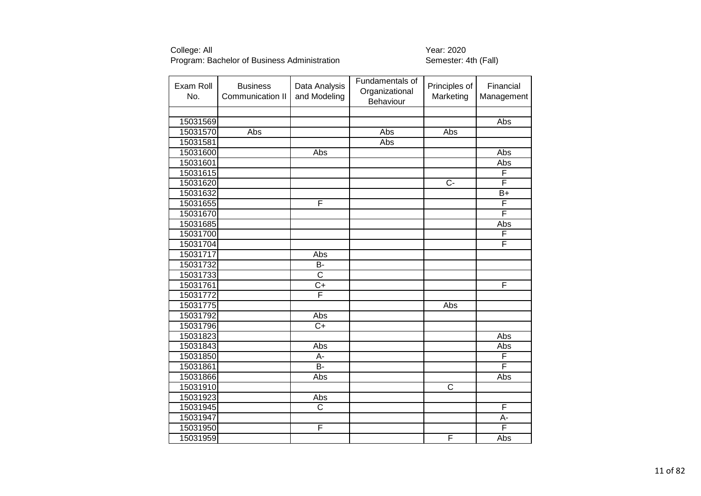| Exam Roll<br>No. | <b>Business</b><br>Communication II | Data Analysis<br>and Modeling | Fundamentals of<br>Organizational<br>Behaviour | Principles of<br>Marketing | Financial<br>Management |
|------------------|-------------------------------------|-------------------------------|------------------------------------------------|----------------------------|-------------------------|
|                  |                                     |                               |                                                |                            |                         |
| 15031569         |                                     |                               |                                                |                            | Abs                     |
| 15031570         | Abs                                 |                               | Abs                                            | Abs                        |                         |
| 15031581         |                                     |                               | Abs                                            |                            |                         |
| 15031600         |                                     | Abs                           |                                                |                            | Abs                     |
| 15031601         |                                     |                               |                                                |                            | Abs                     |
| 15031615         |                                     |                               |                                                |                            | F                       |
| 15031620         |                                     |                               |                                                | $C -$                      | F                       |
| 15031632         |                                     |                               |                                                |                            | $\overline{B+}$         |
| 15031655         |                                     | F                             |                                                |                            | F                       |
| 15031670         |                                     |                               |                                                |                            | F                       |
| 15031685         |                                     |                               |                                                |                            | Abs                     |
| 15031700         |                                     |                               |                                                |                            | F                       |
| 15031704         |                                     |                               |                                                |                            | F                       |
| 15031717         |                                     | Abs                           |                                                |                            |                         |
| 15031732         |                                     | <b>B-</b>                     |                                                |                            |                         |
| 15031733         |                                     | $\overline{\text{c}}$         |                                                |                            |                         |
| 15031761         |                                     | $\overline{C+}$               |                                                |                            | F                       |
| 15031772         |                                     | F                             |                                                |                            |                         |
| 15031775         |                                     |                               |                                                | Abs                        |                         |
| 15031792         |                                     | Abs                           |                                                |                            |                         |
| 15031796         |                                     | $C+$                          |                                                |                            |                         |
| 15031823         |                                     |                               |                                                |                            | Abs                     |
| 15031843         |                                     | Abs                           |                                                |                            | Abs                     |
| 15031850         |                                     | А-                            |                                                |                            | F                       |
| 15031861         |                                     | $\overline{B}$                |                                                |                            | F                       |
| 15031866         |                                     | Abs                           |                                                |                            | Abs                     |
| 15031910         |                                     |                               |                                                | C                          |                         |
| 15031923         |                                     | Abs                           |                                                |                            |                         |
| 15031945         |                                     | $\overline{\mathsf{C}}$       |                                                |                            | F                       |
| 15031947         |                                     |                               |                                                |                            | A-                      |
| 15031950         |                                     | F                             |                                                |                            | F                       |
| 15031959         |                                     |                               |                                                | F                          | Abs                     |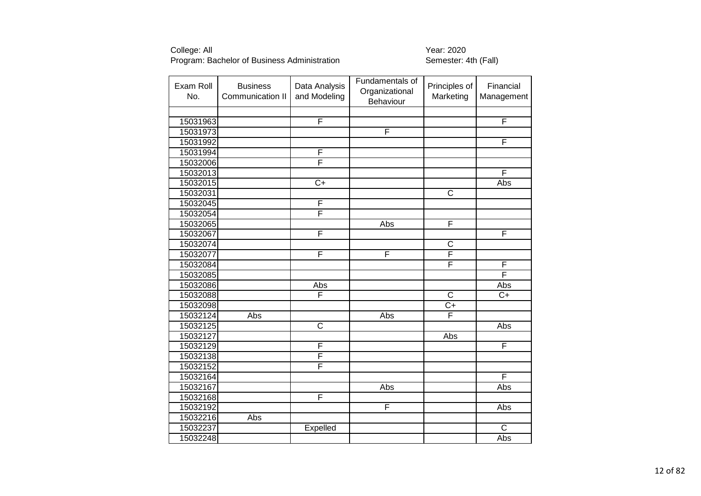| Exam Roll<br>No. | <b>Business</b><br>Communication II | Data Analysis<br>and Modeling | Fundamentals of<br>Organizational<br>Behaviour | Principles of<br>Marketing | Financial<br>Management |
|------------------|-------------------------------------|-------------------------------|------------------------------------------------|----------------------------|-------------------------|
|                  |                                     |                               |                                                |                            |                         |
| 15031963         |                                     | F                             |                                                |                            | F                       |
| 15031973         |                                     |                               | F                                              |                            |                         |
| 15031992         |                                     |                               |                                                |                            | F                       |
| 15031994         |                                     | F                             |                                                |                            |                         |
| 15032006         |                                     | F                             |                                                |                            |                         |
| 15032013         |                                     |                               |                                                |                            | F                       |
| 15032015         |                                     | $C+$                          |                                                |                            | Abs                     |
| 15032031         |                                     |                               |                                                | $\overline{\text{c}}$      |                         |
| 15032045         |                                     | F                             |                                                |                            |                         |
| 15032054         |                                     | F                             |                                                |                            |                         |
| 15032065         |                                     |                               | Abs                                            | F                          |                         |
| 15032067         |                                     | F                             |                                                |                            | F                       |
| 15032074         |                                     |                               |                                                | $\mathsf C$                |                         |
| 15032077         |                                     | F                             | F                                              | F                          |                         |
| 15032084         |                                     |                               |                                                | F                          | F                       |
| 15032085         |                                     |                               |                                                |                            | F                       |
| 15032086         |                                     | Abs                           |                                                |                            | Abs                     |
| 15032088         |                                     | F                             |                                                | $\mathsf{C}$               | $C+$                    |
| 15032098         |                                     |                               |                                                | $C+$                       |                         |
| 15032124         | <b>Abs</b>                          |                               | Abs                                            | $\overline{\mathsf{F}}$    |                         |
| 15032125         |                                     | $\overline{\text{c}}$         |                                                |                            | Abs                     |
| 15032127         |                                     |                               |                                                | Abs                        |                         |
| 15032129         |                                     | F                             |                                                |                            | F                       |
| 15032138         |                                     | F                             |                                                |                            |                         |
| 15032152         |                                     | F                             |                                                |                            |                         |
| 15032164         |                                     |                               |                                                |                            | F                       |
| 15032167         |                                     |                               | Abs                                            |                            | Abs                     |
| 15032168         |                                     | F                             |                                                |                            |                         |
| 15032192         |                                     |                               | F                                              |                            | Abs                     |
| 15032216         | Abs                                 |                               |                                                |                            |                         |
| 15032237         |                                     | Expelled                      |                                                |                            | $\overline{C}$          |
| 15032248         |                                     |                               |                                                |                            | Abs                     |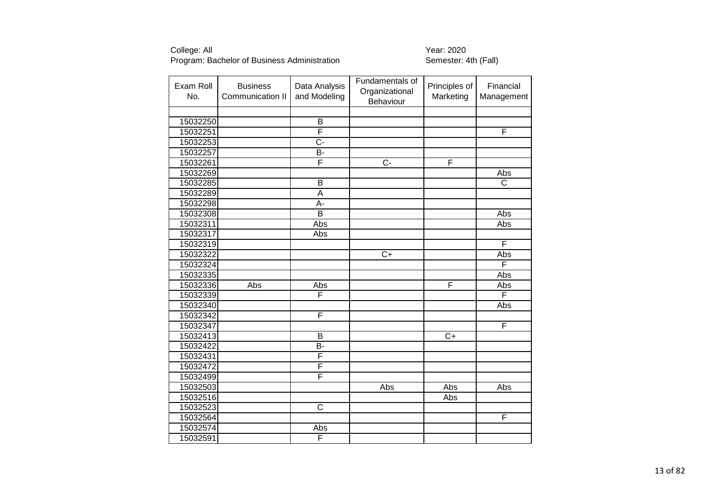| Exam Roll<br>No. | <b>Business</b><br>Communication II | Data Analysis<br>and Modeling | Fundamentals of<br>Organizational<br>Behaviour | Principles of<br>Marketing | Financial<br>Management |
|------------------|-------------------------------------|-------------------------------|------------------------------------------------|----------------------------|-------------------------|
|                  |                                     |                               |                                                |                            |                         |
| 15032250         |                                     | B                             |                                                |                            |                         |
| 15032251         |                                     | F                             |                                                |                            | F                       |
| 15032253         |                                     | C-                            |                                                |                            |                         |
| 15032257         |                                     | B-                            |                                                |                            |                         |
| 15032261         |                                     | F                             | Ċ-                                             | F                          |                         |
| 15032269         |                                     |                               |                                                |                            | <b>Abs</b>              |
| 15032285         |                                     | B                             |                                                |                            | C                       |
| 15032289         |                                     | $\overline{\mathsf{A}}$       |                                                |                            |                         |
| 15032298         |                                     | А-                            |                                                |                            |                         |
| 15032308         |                                     | $\overline{\mathsf{B}}$       |                                                |                            | Abs                     |
| 15032311         |                                     | Abs                           |                                                |                            | Abs                     |
| 15032317         |                                     | Abs                           |                                                |                            |                         |
| 15032319         |                                     |                               |                                                |                            | F                       |
| 15032322         |                                     |                               | $\overline{C+}$                                |                            | Abs                     |
| 15032324         |                                     |                               |                                                |                            | F                       |
| 15032335         |                                     |                               |                                                |                            | Abs                     |
| 15032336         | Abs                                 | Abs                           |                                                | F                          | Abs                     |
| 15032339         |                                     | F                             |                                                |                            | F                       |
| 15032340         |                                     |                               |                                                |                            | Abs                     |
| 15032342         |                                     | F                             |                                                |                            |                         |
| 15032347         |                                     |                               |                                                |                            | F                       |
| 15032413         |                                     | B                             |                                                | $C+$                       |                         |
| 15032422         |                                     | $\overline{B}$                |                                                |                            |                         |
| 15032431         |                                     | F                             |                                                |                            |                         |
| 15032472         |                                     | F                             |                                                |                            |                         |
| 15032499         |                                     | F                             |                                                |                            |                         |
| 15032503         |                                     |                               | Abs                                            | Abs                        | Abs                     |
| 15032516         |                                     |                               |                                                | Abs                        |                         |
| 15032523         |                                     | $\overline{\mathsf{C}}$       |                                                |                            |                         |
| 15032564         |                                     |                               |                                                |                            | F                       |
| 15032574         |                                     | Abs                           |                                                |                            |                         |
| 15032591         |                                     | F                             |                                                |                            |                         |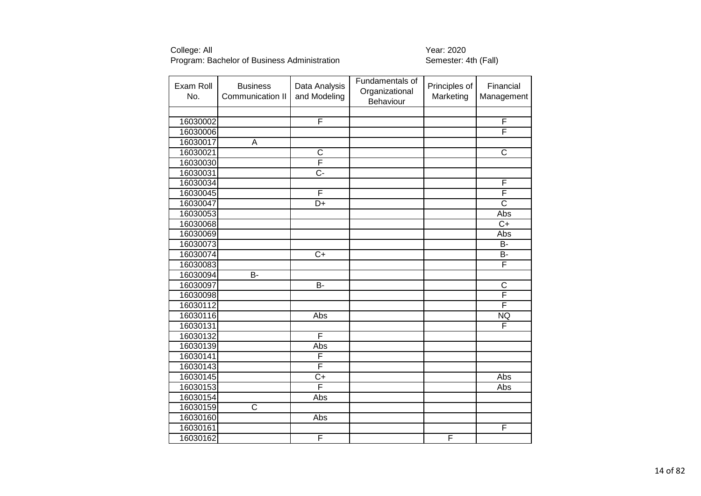| Exam Roll<br>No. | <b>Business</b><br>Communication II | Data Analysis<br>and Modeling | Fundamentals of<br>Organizational<br>Behaviour | Principles of<br>Marketing | Financial<br>Management |
|------------------|-------------------------------------|-------------------------------|------------------------------------------------|----------------------------|-------------------------|
|                  |                                     |                               |                                                |                            |                         |
| 16030002         |                                     | F                             |                                                |                            | $\overline{F}$          |
| 16030006         |                                     |                               |                                                |                            | F                       |
| 16030017         | A                                   |                               |                                                |                            |                         |
| 16030021         |                                     | $\overline{\text{c}}$         |                                                |                            | $\overline{\text{c}}$   |
| 16030030         |                                     | F                             |                                                |                            |                         |
| 16030031         |                                     | $\overline{C}$ -              |                                                |                            |                         |
| 16030034         |                                     |                               |                                                |                            | F                       |
| 16030045         |                                     | F                             |                                                |                            | F                       |
| 16030047         |                                     | $\overline{D+}$               |                                                |                            | $\overline{\text{c}}$   |
| 16030053         |                                     |                               |                                                |                            | Abs                     |
| 16030068         |                                     |                               |                                                |                            | $\overline{C+}$         |
| 16030069         |                                     |                               |                                                |                            | Abs                     |
| 16030073         |                                     |                               |                                                |                            | <b>B-</b>               |
| 16030074         |                                     | $\overline{C}$                |                                                |                            | <b>B-</b>               |
| 16030083         |                                     |                               |                                                |                            | F                       |
| 16030094         | <b>B-</b>                           |                               |                                                |                            |                         |
| 16030097         |                                     | $\overline{B}$                |                                                |                            | $\overline{C}$          |
| 16030098         |                                     |                               |                                                |                            | $\overline{\mathsf{F}}$ |
| 16030112         |                                     |                               |                                                |                            | F                       |
| 16030116         |                                     | Abs                           |                                                |                            | <b>NQ</b>               |
| 16030131         |                                     |                               |                                                |                            | F                       |
| 16030132         |                                     | F                             |                                                |                            |                         |
| 16030139         |                                     | Abs                           |                                                |                            |                         |
| 16030141         |                                     | F                             |                                                |                            |                         |
| 16030143         |                                     | F                             |                                                |                            |                         |
| 16030145         |                                     | $\overline{C+}$               |                                                |                            | <b>Abs</b>              |
| 16030153         |                                     | F                             |                                                |                            | Abs                     |
| 16030154         |                                     | Abs                           |                                                |                            |                         |
| 16030159         | $\overline{\text{c}}$               |                               |                                                |                            |                         |
| 16030160         |                                     | Abs                           |                                                |                            |                         |
| 16030161         |                                     |                               |                                                |                            | F                       |
| 16030162         |                                     | F                             |                                                | F                          |                         |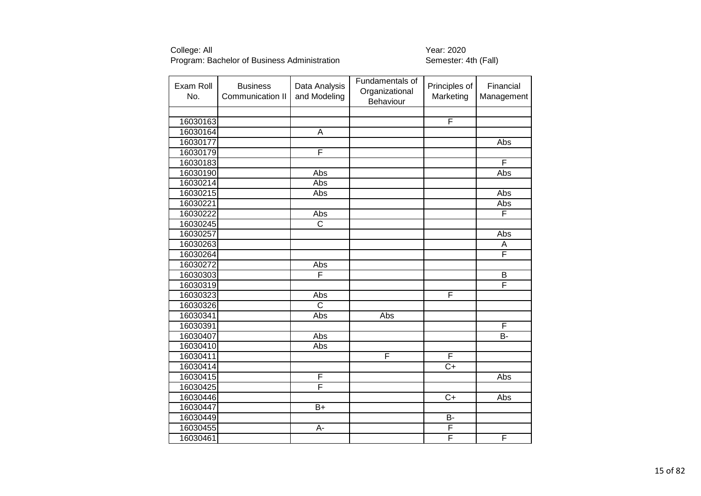| Exam Roll<br>No. | <b>Business</b><br>Communication II | Data Analysis<br>and Modeling | Fundamentals of<br>Organizational<br>Behaviour | Principles of<br>Marketing | Financial<br>Management |
|------------------|-------------------------------------|-------------------------------|------------------------------------------------|----------------------------|-------------------------|
|                  |                                     |                               |                                                |                            |                         |
| 16030163         |                                     |                               |                                                | $\overline{F}$             |                         |
| 16030164         |                                     | A                             |                                                |                            |                         |
| 16030177         |                                     |                               |                                                |                            | <b>Abs</b>              |
| 16030179         |                                     | F                             |                                                |                            |                         |
| 16030183         |                                     |                               |                                                |                            | F                       |
| 16030190         |                                     | Abs                           |                                                |                            | Abs                     |
| 16030214         |                                     | Abs                           |                                                |                            |                         |
| 16030215         |                                     | Abs                           |                                                |                            | Abs                     |
| 16030221         |                                     |                               |                                                |                            | Abs                     |
| 16030222         |                                     | Abs                           |                                                |                            | F                       |
| 16030245         |                                     | $\overline{\text{c}}$         |                                                |                            |                         |
| 16030257         |                                     |                               |                                                |                            | Abs                     |
| 16030263         |                                     |                               |                                                |                            | A                       |
| 16030264         |                                     |                               |                                                |                            | F                       |
| 16030272         |                                     | Abs                           |                                                |                            |                         |
| 16030303         |                                     | F                             |                                                |                            | B                       |
| 16030319         |                                     |                               |                                                |                            | F                       |
| 16030323         |                                     | Abs                           |                                                | F                          |                         |
| 16030326         |                                     | $\overline{\text{c}}$         |                                                |                            |                         |
| 16030341         |                                     | Abs                           | Abs                                            |                            |                         |
| 16030391         |                                     |                               |                                                |                            | F                       |
| 16030407         |                                     | Abs                           |                                                |                            | B-                      |
| 16030410         |                                     | Abs                           |                                                |                            |                         |
| 16030411         |                                     |                               | F                                              | $\overline{\mathsf{F}}$    |                         |
| 16030414         |                                     |                               |                                                | $\overline{C}$ +           |                         |
| 16030415         |                                     | F                             |                                                |                            | <b>Abs</b>              |
| 16030425         |                                     | F                             |                                                |                            |                         |
| 16030446         |                                     |                               |                                                | $C+$                       | Abs                     |
| 16030447         |                                     | $\overline{B+}$               |                                                |                            |                         |
| 16030449         |                                     |                               |                                                | <b>B-</b>                  |                         |
| 16030455         |                                     | A-                            |                                                | F                          |                         |
| 16030461         |                                     |                               |                                                | F                          | F                       |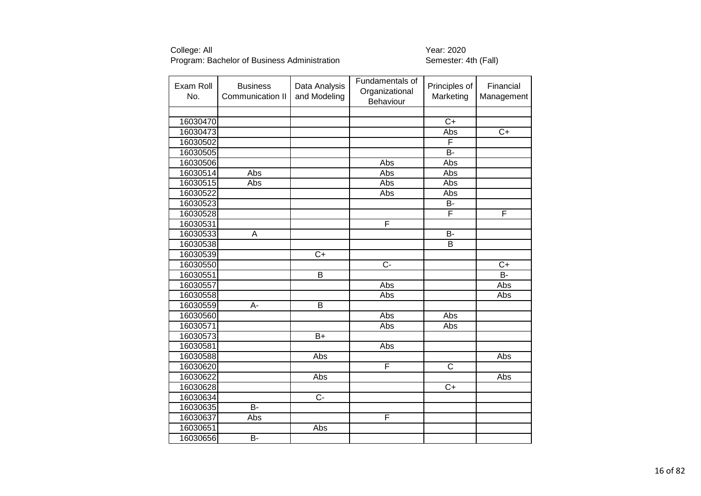| Exam Roll<br>No. | <b>Business</b><br>Communication II | Data Analysis<br>and Modeling | Fundamentals of<br>Organizational<br>Behaviour | Principles of<br>Marketing | Financial<br>Management |
|------------------|-------------------------------------|-------------------------------|------------------------------------------------|----------------------------|-------------------------|
|                  |                                     |                               |                                                |                            |                         |
| 16030470         |                                     |                               |                                                | $\overline{C+}$            |                         |
| 16030473         |                                     |                               |                                                | Abs                        | $\overline{C+}$         |
| 16030502         |                                     |                               |                                                | F                          |                         |
| 16030505         |                                     |                               |                                                | B-                         |                         |
| 16030506         |                                     |                               | Abs                                            | Abs                        |                         |
| 16030514         | <b>Abs</b>                          |                               | Abs                                            | Abs                        |                         |
| 16030515         | Abs                                 |                               | Abs                                            | Abs                        |                         |
| 16030522         |                                     |                               | Abs                                            | Abs                        |                         |
| 16030523         |                                     |                               |                                                | B-                         |                         |
| 16030528         |                                     |                               |                                                | F                          | F                       |
| 16030531         |                                     |                               | F                                              |                            |                         |
| 16030533         | A                                   |                               |                                                | B-                         |                         |
| 16030538         |                                     |                               |                                                | B                          |                         |
| 16030539         |                                     | $\overline{C+}$               |                                                |                            |                         |
| 16030550         |                                     |                               | C-                                             |                            | $C+$                    |
| 16030551         |                                     | $\overline{B}$                |                                                |                            | $\overline{B}$          |
| 16030557         |                                     |                               | Abs                                            |                            | Abs                     |
| 16030558         |                                     |                               | Abs                                            |                            | Abs                     |
| 16030559         | A-                                  | $\overline{B}$                |                                                |                            |                         |
| 16030560         |                                     |                               | Abs                                            | Abs                        |                         |
| 16030571         |                                     |                               | Abs                                            | Abs                        |                         |
| 16030573         |                                     | $B+$                          |                                                |                            |                         |
| 16030581         |                                     |                               | Abs                                            |                            |                         |
| 16030588         |                                     | Abs                           |                                                |                            | Abs                     |
| 16030620         |                                     |                               | F                                              | C                          |                         |
| 16030622         |                                     | Abs                           |                                                |                            | Abs                     |
| 16030628         |                                     |                               |                                                | $C+$                       |                         |
| 16030634         |                                     | $\overline{C}$                |                                                |                            |                         |
| 16030635         | $\overline{B}$                      |                               |                                                |                            |                         |
| 16030637         | Abs                                 |                               | F                                              |                            |                         |
| 16030651         |                                     | Abs                           |                                                |                            |                         |
| 16030656         | B-                                  |                               |                                                |                            |                         |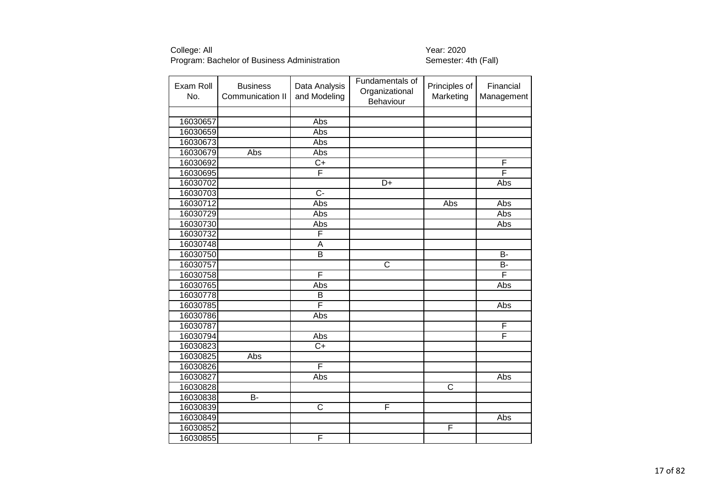| Exam Roll<br>No. | <b>Business</b><br>Communication II | Data Analysis<br>and Modeling | Fundamentals of<br>Organizational<br>Behaviour | Principles of<br>Marketing | Financial<br>Management |
|------------------|-------------------------------------|-------------------------------|------------------------------------------------|----------------------------|-------------------------|
|                  |                                     |                               |                                                |                            |                         |
| 16030657         |                                     | Abs                           |                                                |                            |                         |
| 16030659         |                                     | Abs                           |                                                |                            |                         |
| 16030673         |                                     | Abs                           |                                                |                            |                         |
| 16030679         | Abs                                 | Abs                           |                                                |                            |                         |
| 16030692         |                                     | $\overline{C+}$               |                                                |                            | F                       |
| 16030695         |                                     | F                             |                                                |                            | F                       |
| 16030702         |                                     |                               | D+                                             |                            | Abs                     |
| 16030703         |                                     | $\overline{C}$ -              |                                                |                            |                         |
| 16030712         |                                     | Abs                           |                                                | Abs                        | Abs                     |
| 16030729         |                                     | Abs                           |                                                |                            | Abs                     |
| 16030730         |                                     | Abs                           |                                                |                            | Abs                     |
| 16030732         |                                     | F                             |                                                |                            |                         |
| 16030748         |                                     | A                             |                                                |                            |                         |
| 16030750         |                                     | $\overline{B}$                |                                                |                            | <b>B-</b>               |
| 16030757         |                                     |                               | C                                              |                            | B-                      |
| 16030758         |                                     | F                             |                                                |                            | F                       |
| 16030765         |                                     | Abs                           |                                                |                            | Abs                     |
| 16030778         |                                     | B                             |                                                |                            |                         |
| 16030785         |                                     | F                             |                                                |                            | Abs                     |
| 16030786         |                                     | Abs                           |                                                |                            |                         |
| 16030787         |                                     |                               |                                                |                            | F                       |
| 16030794         |                                     | Abs                           |                                                |                            | F                       |
| 16030823         |                                     | $\overline{C}$                |                                                |                            |                         |
| 16030825         | Abs                                 |                               |                                                |                            |                         |
| 16030826         |                                     | F                             |                                                |                            |                         |
| 16030827         |                                     | Abs                           |                                                |                            | <b>Abs</b>              |
| 16030828         |                                     |                               |                                                | C                          |                         |
| 16030838         | B-                                  |                               |                                                |                            |                         |
| 16030839         |                                     | $\overline{\text{c}}$         | F                                              |                            |                         |
| 16030849         |                                     |                               |                                                |                            | Abs                     |
| 16030852         |                                     |                               |                                                | F                          |                         |
| 16030855         |                                     | F                             |                                                |                            |                         |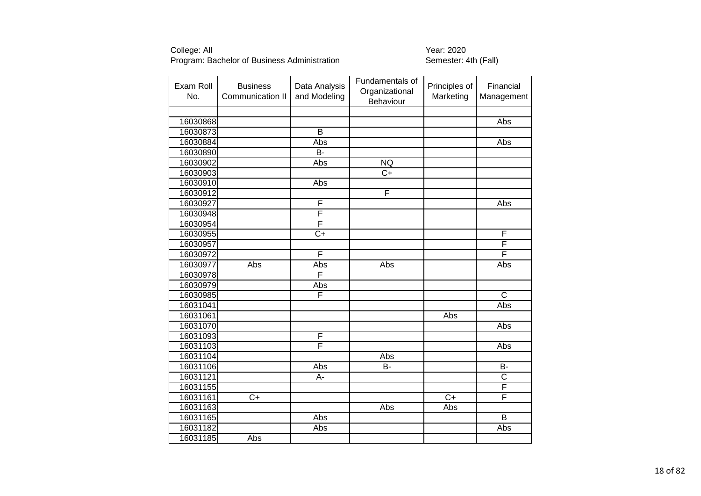| Exam Roll<br>No. | <b>Business</b><br>Communication II | Data Analysis<br>and Modeling | Fundamentals of<br>Organizational<br>Behaviour | Principles of<br>Marketing | Financial<br>Management |
|------------------|-------------------------------------|-------------------------------|------------------------------------------------|----------------------------|-------------------------|
|                  |                                     |                               |                                                |                            |                         |
| 16030868         |                                     |                               |                                                |                            | Abs                     |
| 16030873         |                                     | $\overline{\mathsf{B}}$       |                                                |                            |                         |
| 16030884         |                                     | Abs                           |                                                |                            | <b>Abs</b>              |
| 16030890         |                                     | <b>B-</b>                     |                                                |                            |                         |
| 16030902         |                                     | Abs                           | NQ                                             |                            |                         |
| 16030903         |                                     |                               | $C+$                                           |                            |                         |
| 16030910         |                                     | Abs                           |                                                |                            |                         |
| 16030912         |                                     |                               | F                                              |                            |                         |
| 16030927         |                                     | F                             |                                                |                            | Abs                     |
| 16030948         |                                     | F                             |                                                |                            |                         |
| 16030954         |                                     | F                             |                                                |                            |                         |
| 16030955         |                                     | $\overline{C}$                |                                                |                            | F                       |
| 16030957         |                                     |                               |                                                |                            | F                       |
| 16030972         |                                     | F                             |                                                |                            | F                       |
| 16030977         | Abs                                 | Abs                           | Abs                                            |                            | Abs                     |
| 16030978         |                                     | F                             |                                                |                            |                         |
| 16030979         |                                     | Abs                           |                                                |                            |                         |
| 16030985         |                                     | F                             |                                                |                            | $\overline{\text{c}}$   |
| 16031041         |                                     |                               |                                                |                            | Abs                     |
| 16031061         |                                     |                               |                                                | Abs                        |                         |
| 16031070         |                                     |                               |                                                |                            | Abs                     |
| 16031093         |                                     | F                             |                                                |                            |                         |
| 16031103         |                                     | F                             |                                                |                            | Abs                     |
| 16031104         |                                     |                               | Abs                                            |                            |                         |
| 16031106         |                                     | Abs                           | <b>B-</b>                                      |                            | <b>B-</b>               |
| 16031121         |                                     | A-                            |                                                |                            | $\overline{\text{c}}$   |
| 16031155         |                                     |                               |                                                |                            | F                       |
| 16031161         | $C+$                                |                               |                                                | $C+$                       | F                       |
| 16031163         |                                     |                               | Abs                                            | Abs                        |                         |
| 16031165         |                                     | Abs                           |                                                |                            | B                       |
| 16031182         |                                     | Abs                           |                                                |                            | Abs                     |
| 16031185         | Abs                                 |                               |                                                |                            |                         |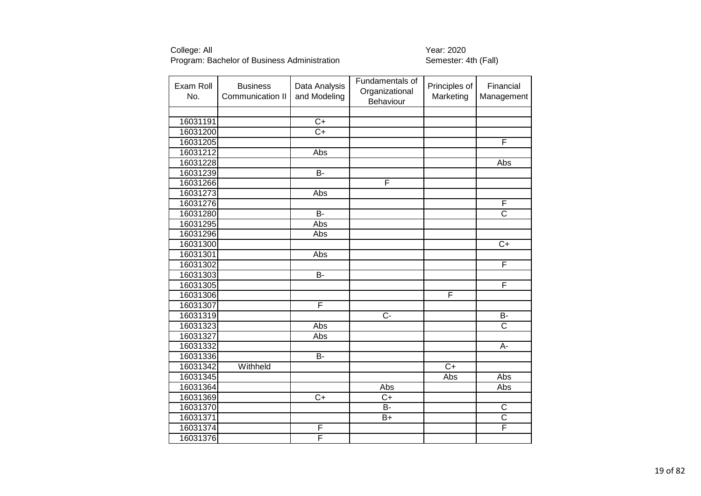| Exam Roll<br>No. | <b>Business</b><br>Communication II | Data Analysis<br>and Modeling | Fundamentals of<br>Organizational<br>Behaviour | Principles of<br>Marketing | Financial<br>Management |
|------------------|-------------------------------------|-------------------------------|------------------------------------------------|----------------------------|-------------------------|
|                  |                                     |                               |                                                |                            |                         |
| 16031191         |                                     | $\overline{C+}$               |                                                |                            |                         |
| 16031200         |                                     | $\overline{C}$                |                                                |                            |                         |
| 16031205         |                                     |                               |                                                |                            | F                       |
| 16031212         |                                     | Abs                           |                                                |                            |                         |
| 16031228         |                                     |                               |                                                |                            | Abs                     |
| 16031239         |                                     | $B -$                         |                                                |                            |                         |
| 16031266         |                                     |                               | F                                              |                            |                         |
| 16031273         |                                     | Abs                           |                                                |                            |                         |
| 16031276         |                                     |                               |                                                |                            | F                       |
| 16031280         |                                     | $B -$                         |                                                |                            | $\overline{\text{c}}$   |
| 16031295         |                                     | Abs                           |                                                |                            |                         |
| 16031296         |                                     | Abs                           |                                                |                            |                         |
| 16031300         |                                     |                               |                                                |                            | $\overline{C+}$         |
| 16031301         |                                     | Abs                           |                                                |                            |                         |
| 16031302         |                                     |                               |                                                |                            | F                       |
| 16031303         |                                     | <b>B-</b>                     |                                                |                            |                         |
| 16031305         |                                     |                               |                                                |                            | F                       |
| 16031306         |                                     |                               |                                                | F                          |                         |
| 16031307         |                                     | F                             |                                                |                            |                         |
| 16031319         |                                     |                               | $\overline{C}$                                 |                            | $\overline{B}$          |
| 16031323         |                                     | Abs                           |                                                |                            | $\overline{\text{C}}$   |
| 16031327         |                                     | Abs                           |                                                |                            |                         |
| 16031332         |                                     |                               |                                                |                            | A-                      |
| 16031336         |                                     | $\overline{B}$                |                                                |                            |                         |
| 16031342         | Withheld                            |                               |                                                | $\overline{C+}$            |                         |
| 16031345         |                                     |                               |                                                | Abs                        | Abs                     |
| 16031364         |                                     |                               | Abs                                            |                            | Abs                     |
| 16031369         |                                     | $\overline{C+}$               | $C+$                                           |                            |                         |
| 16031370         |                                     |                               | B-                                             |                            | C                       |
| 16031371         |                                     |                               | $B+$                                           |                            | $\overline{\text{c}}$   |
| 16031374         |                                     | F                             |                                                |                            | F                       |
| 16031376         |                                     | F                             |                                                |                            |                         |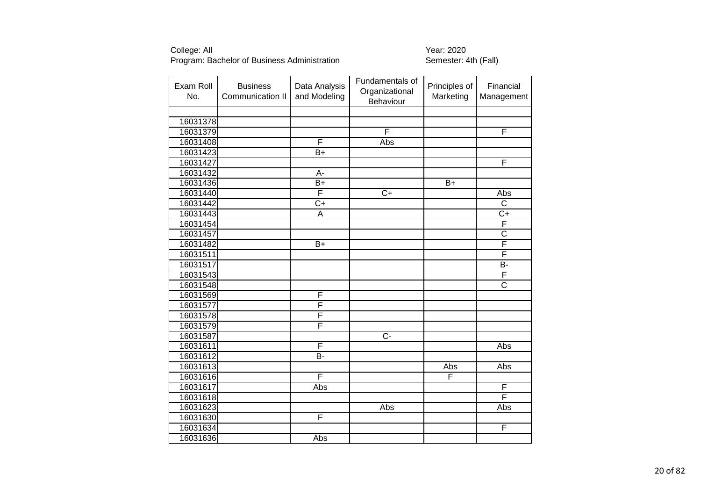| Exam Roll<br>No. | <b>Business</b><br>Communication II | Data Analysis<br>and Modeling | Fundamentals of<br>Organizational<br>Behaviour | Principles of<br>Marketing | Financial<br>Management |
|------------------|-------------------------------------|-------------------------------|------------------------------------------------|----------------------------|-------------------------|
|                  |                                     |                               |                                                |                            |                         |
| 16031378         |                                     |                               |                                                |                            |                         |
| 16031379         |                                     |                               | F                                              |                            | F                       |
| 16031408         |                                     | F                             | Abs                                            |                            |                         |
| 16031423         |                                     | $B+$                          |                                                |                            |                         |
| 16031427         |                                     |                               |                                                |                            | F                       |
| 16031432         |                                     | A-                            |                                                |                            |                         |
| 16031436         |                                     | $B+$                          |                                                | $B+$                       |                         |
| 16031440         |                                     | F                             | $\overline{C+}$                                |                            | Abs                     |
| 16031442         |                                     | $\overline{C}$                |                                                |                            | $\overline{\text{C}}$   |
| 16031443         |                                     | A                             |                                                |                            | $C+$                    |
| 16031454         |                                     |                               |                                                |                            | F                       |
| 16031457         |                                     |                               |                                                |                            | $\overline{\text{c}}$   |
| 16031482         |                                     | $B+$                          |                                                |                            | F                       |
| 16031511         |                                     |                               |                                                |                            | F                       |
| 16031517         |                                     |                               |                                                |                            | <b>B-</b>               |
| 16031543         |                                     |                               |                                                |                            | F                       |
| 16031548         |                                     |                               |                                                |                            | $\overline{\text{c}}$   |
| 16031569         |                                     | F                             |                                                |                            |                         |
| 16031577         |                                     | F                             |                                                |                            |                         |
| 16031578         |                                     | F                             |                                                |                            |                         |
| 16031579         |                                     | F                             |                                                |                            |                         |
| 16031587         |                                     |                               | $\overline{C}$                                 |                            |                         |
| 16031611         |                                     | F                             |                                                |                            | <b>Abs</b>              |
| 16031612         |                                     | B-                            |                                                |                            |                         |
| 16031613         |                                     |                               |                                                | Abs                        | Abs                     |
| 16031616         |                                     | F                             |                                                | F                          |                         |
| 16031617         |                                     | Abs                           |                                                |                            | $\overline{F}$          |
| 16031618         |                                     |                               |                                                |                            | F                       |
| 16031623         |                                     |                               | Abs                                            |                            | Abs                     |
| 16031630         |                                     | F                             |                                                |                            |                         |
| 16031634         |                                     |                               |                                                |                            | $\overline{\mathsf{F}}$ |
| 16031636         |                                     | Abs                           |                                                |                            |                         |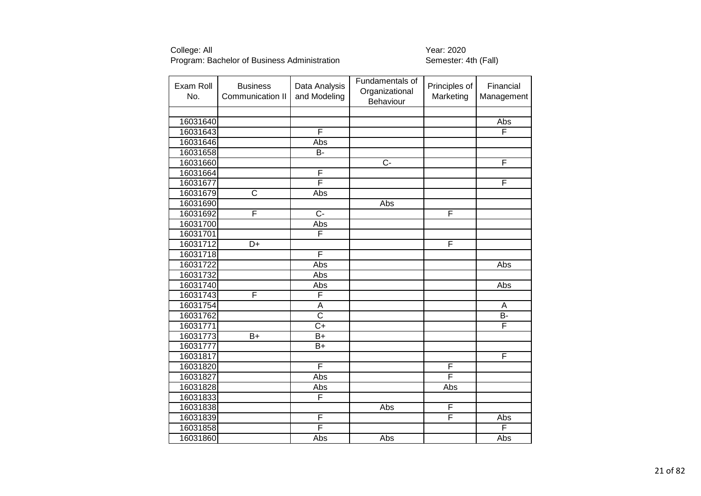| Exam Roll<br>No. | <b>Business</b><br>Communication II | Data Analysis<br>and Modeling | Fundamentals of<br>Organizational<br>Behaviour | Principles of<br>Marketing | Financial<br>Management |
|------------------|-------------------------------------|-------------------------------|------------------------------------------------|----------------------------|-------------------------|
|                  |                                     |                               |                                                |                            |                         |
| 16031640         |                                     |                               |                                                |                            | Abs                     |
| 16031643         |                                     | F                             |                                                |                            | F                       |
| 16031646         |                                     | Abs                           |                                                |                            |                         |
| 16031658         |                                     | B-                            |                                                |                            |                         |
| 16031660         |                                     |                               | $\overline{C}$                                 |                            | F                       |
| 16031664         |                                     | F                             |                                                |                            |                         |
| 16031677         |                                     | F                             |                                                |                            | F                       |
| 16031679         | $\overline{\text{c}}$               | Abs                           |                                                |                            |                         |
| 16031690         |                                     |                               | Abs                                            |                            |                         |
| 16031692         | F                                   | $\overline{C}$                |                                                | $\overline{\mathsf{F}}$    |                         |
| 16031700         |                                     | Abs                           |                                                |                            |                         |
| 16031701         |                                     | F                             |                                                |                            |                         |
| 16031712         | D+                                  |                               |                                                | $\mathsf{F}$               |                         |
| 16031718         |                                     | F                             |                                                |                            |                         |
| 16031722         |                                     | Abs                           |                                                |                            | Abs                     |
| 16031732         |                                     | Abs                           |                                                |                            |                         |
| 16031740         |                                     | Abs                           |                                                |                            | Abs                     |
| 16031743         | F                                   | F                             |                                                |                            |                         |
| 16031754         |                                     | $\overline{A}$                |                                                |                            | A                       |
| 16031762         |                                     | $\overline{\text{c}}$         |                                                |                            | $\overline{B}$          |
| 16031771         |                                     | $\overline{C}$                |                                                |                            | F                       |
| 16031773         | $B+$                                | $B+$                          |                                                |                            |                         |
| 16031777         |                                     | $B+$                          |                                                |                            |                         |
| 16031817         |                                     |                               |                                                |                            | F                       |
| 16031820         |                                     | F                             |                                                | F                          |                         |
| 16031827         |                                     | <b>Abs</b>                    |                                                | F                          |                         |
| 16031828         |                                     | Abs                           |                                                | Abs                        |                         |
| 16031833         |                                     | F                             |                                                |                            |                         |
| 16031838         |                                     |                               | Abs                                            | F                          |                         |
| 16031839         |                                     | F                             |                                                | F                          | Abs                     |
| 16031858         |                                     | F                             |                                                |                            | F                       |
| 16031860         |                                     | Abs                           | Abs                                            |                            | Abs                     |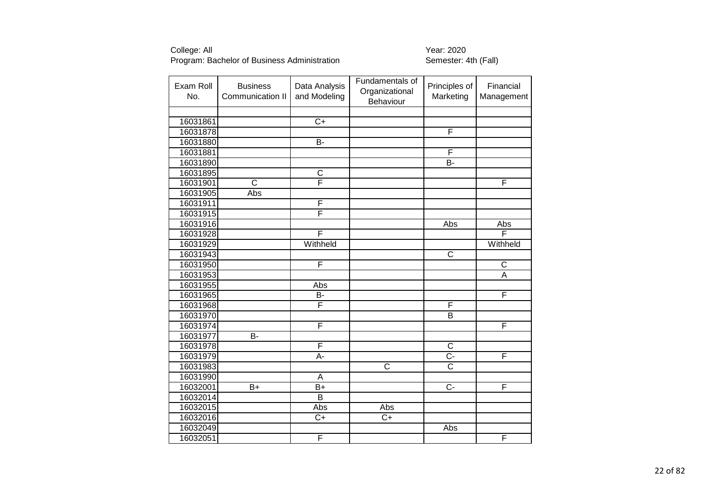| Exam Roll<br>No. | <b>Business</b><br>Communication II | Data Analysis<br>and Modeling | Fundamentals of<br>Organizational<br>Behaviour | Principles of<br>Marketing | Financial<br>Management |
|------------------|-------------------------------------|-------------------------------|------------------------------------------------|----------------------------|-------------------------|
|                  |                                     |                               |                                                |                            |                         |
| 16031861         |                                     | $\overline{C+}$               |                                                |                            |                         |
| 16031878         |                                     |                               |                                                | F                          |                         |
| 16031880         |                                     | $\overline{B}$                |                                                |                            |                         |
| 16031881         |                                     |                               |                                                | $\overline{F}$             |                         |
| 16031890         |                                     |                               |                                                | $\overline{B}$             |                         |
| 16031895         |                                     | $\overline{\text{c}}$         |                                                |                            |                         |
| 16031901         | $\overline{\text{c}}$               | F                             |                                                |                            | F                       |
| 16031905         | Abs                                 |                               |                                                |                            |                         |
| 16031911         |                                     | F                             |                                                |                            |                         |
| 16031915         |                                     | F                             |                                                |                            |                         |
| 16031916         |                                     |                               |                                                | Abs                        | Abs                     |
| 16031928         |                                     | F                             |                                                |                            | F                       |
| 16031929         |                                     | Withheld                      |                                                |                            | Withheld                |
| 16031943         |                                     |                               |                                                | $\overline{\mathsf{C}}$    |                         |
| 16031950         |                                     | F                             |                                                |                            | $\overline{C}$          |
| 16031953         |                                     |                               |                                                |                            | A                       |
| 16031955         |                                     | Abs                           |                                                |                            |                         |
| 16031965         |                                     | <b>B-</b>                     |                                                |                            | F                       |
| 16031968         |                                     | F                             |                                                | F                          |                         |
| 16031970         |                                     |                               |                                                | $\overline{B}$             |                         |
| 16031974         |                                     | F                             |                                                |                            | F                       |
| 16031977         | B-                                  |                               |                                                |                            |                         |
| 16031978         |                                     | F                             |                                                | $\overline{\text{c}}$      |                         |
| 16031979         |                                     | A-                            |                                                | $\overline{C}$ -           | $\overline{\mathsf{F}}$ |
| 16031983         |                                     |                               | $\overline{\text{c}}$                          | $\overline{\text{c}}$      |                         |
| 16031990         |                                     | A                             |                                                |                            |                         |
| 16032001         | $B+$                                | $B+$                          |                                                | $\overline{C}$             | F                       |
| 16032014         |                                     | $\overline{B}$                |                                                |                            |                         |
| 16032015         |                                     | Abs                           | Abs                                            |                            |                         |
| 16032016         |                                     | $C+$                          | $C+$                                           |                            |                         |
| 16032049         |                                     |                               |                                                | Abs                        |                         |
| 16032051         |                                     | F                             |                                                |                            | F                       |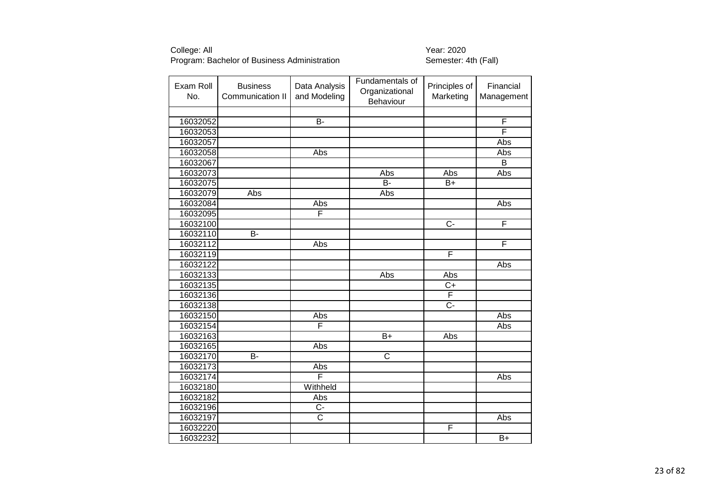| Exam Roll<br>No. | <b>Business</b><br>Communication II | Data Analysis<br>and Modeling | Fundamentals of<br>Organizational<br>Behaviour | Principles of<br>Marketing | Financial<br>Management |
|------------------|-------------------------------------|-------------------------------|------------------------------------------------|----------------------------|-------------------------|
|                  |                                     |                               |                                                |                            |                         |
| 16032052         |                                     | $\overline{B}$                |                                                |                            | $\overline{F}$          |
| 16032053         |                                     |                               |                                                |                            | F                       |
| 16032057         |                                     |                               |                                                |                            | Abs                     |
| 16032058         |                                     | Abs                           |                                                |                            | Abs                     |
| 16032067         |                                     |                               |                                                |                            | $\overline{B}$          |
| 16032073         |                                     |                               | Abs                                            | Abs                        | Abs                     |
| 16032075         |                                     |                               | $\overline{B}$                                 | $B+$                       |                         |
| 16032079         | Abs                                 |                               | Abs                                            |                            |                         |
| 16032084         |                                     | Abs                           |                                                |                            | Abs                     |
| 16032095         |                                     | F                             |                                                |                            |                         |
| 16032100         |                                     |                               |                                                | $\overline{C}$             | F                       |
| 16032110         | B-                                  |                               |                                                |                            |                         |
| 16032112         |                                     | Abs                           |                                                |                            | F                       |
| 16032119         |                                     |                               |                                                | F                          |                         |
| 16032122         |                                     |                               |                                                |                            | Abs                     |
| 16032133         |                                     |                               | Abs                                            | Abs                        |                         |
| 16032135         |                                     |                               |                                                | $C+$                       |                         |
| 16032136         |                                     |                               |                                                | F                          |                         |
| 16032138         |                                     |                               |                                                | $\overline{C}$ -           |                         |
| 16032150         |                                     | Abs                           |                                                |                            | Abs                     |
| 16032154         |                                     | F                             |                                                |                            | Abs                     |
| 16032163         |                                     |                               | $B+$                                           | Abs                        |                         |
| 16032165         |                                     | Abs                           |                                                |                            |                         |
| 16032170         | <b>B-</b>                           |                               | $\overline{\text{c}}$                          |                            |                         |
| 16032173         |                                     | Abs                           |                                                |                            |                         |
| 16032174         |                                     | F                             |                                                |                            | Abs                     |
| 16032180         |                                     | Withheld                      |                                                |                            |                         |
| 16032182         |                                     | Abs                           |                                                |                            |                         |
| 16032196         |                                     | $\overline{C}$                |                                                |                            |                         |
| 16032197         |                                     | $\overline{\text{c}}$         |                                                |                            | Abs                     |
| 16032220         |                                     |                               |                                                | F                          |                         |
| 16032232         |                                     |                               |                                                |                            | $\overline{B+}$         |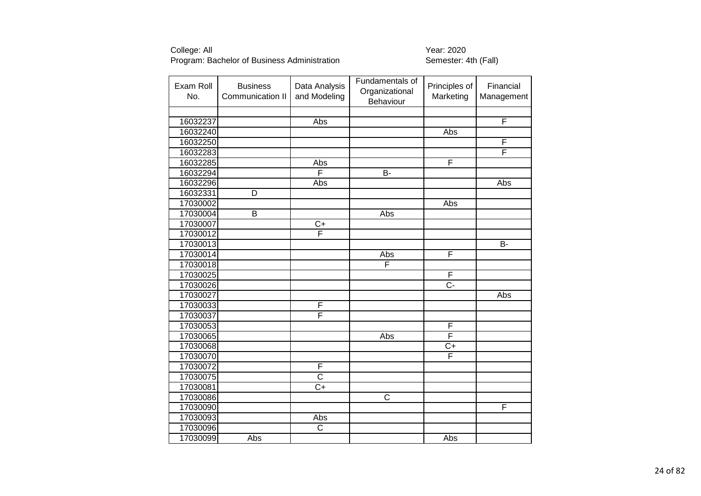| Exam Roll<br>No. | <b>Business</b><br>Communication II | Data Analysis<br>and Modeling | Fundamentals of<br>Organizational<br>Behaviour | Principles of<br>Marketing | Financial<br>Management |
|------------------|-------------------------------------|-------------------------------|------------------------------------------------|----------------------------|-------------------------|
|                  |                                     |                               |                                                |                            |                         |
| 16032237         |                                     | Abs                           |                                                |                            | F                       |
| 16032240         |                                     |                               |                                                | Abs                        |                         |
| 16032250         |                                     |                               |                                                |                            | F                       |
| 16032283         |                                     |                               |                                                |                            | F                       |
| 16032285         |                                     | Abs                           |                                                | F                          |                         |
| 16032294         |                                     | F                             | B-                                             |                            |                         |
| 16032296         |                                     | Abs                           |                                                |                            | Abs                     |
| 16032331         | D                                   |                               |                                                |                            |                         |
| 17030002         |                                     |                               |                                                | Abs                        |                         |
| 17030004         | B                                   |                               | Abs                                            |                            |                         |
| 17030007         |                                     | $C+$                          |                                                |                            |                         |
| 17030012         |                                     | $\overline{\mathsf{F}}$       |                                                |                            |                         |
| 17030013         |                                     |                               |                                                |                            | B-                      |
| 17030014         |                                     |                               | Abs                                            | F                          |                         |
| 17030018         |                                     |                               | F                                              |                            |                         |
| 17030025         |                                     |                               |                                                | $\mathsf F$                |                         |
| 17030026         |                                     |                               |                                                | $\overline{C}$ -           |                         |
| 17030027         |                                     |                               |                                                |                            | Abs                     |
| 17030033         |                                     | F                             |                                                |                            |                         |
| 17030037         |                                     | F                             |                                                |                            |                         |
| 17030053         |                                     |                               |                                                | F                          |                         |
| 17030065         |                                     |                               | Abs                                            | $\overline{\mathsf{F}}$    |                         |
| 17030068         |                                     |                               |                                                | $\overline{C+}$            |                         |
| 17030070         |                                     |                               |                                                | F                          |                         |
| 17030072         |                                     | F                             |                                                |                            |                         |
| 17030075         |                                     | $\overline{\text{c}}$         |                                                |                            |                         |
| 17030081         |                                     | $C+$                          |                                                |                            |                         |
| 17030086         |                                     |                               | $\overline{\text{c}}$                          |                            |                         |
| 17030090         |                                     |                               |                                                |                            | F                       |
| 17030093         |                                     | Abs                           |                                                |                            |                         |
| 17030096         |                                     | $\overline{\text{c}}$         |                                                |                            |                         |
| 17030099         | Abs                                 |                               |                                                | Abs                        |                         |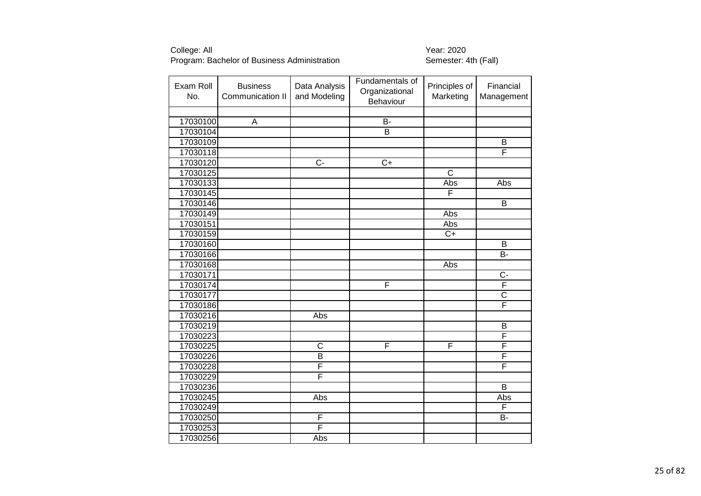| Exam Roll<br>No. | <b>Business</b><br>Communication II | Data Analysis<br>and Modeling | Fundamentals of<br>Organizational<br>Behaviour | Principles of<br>Marketing | Financial<br>Management |
|------------------|-------------------------------------|-------------------------------|------------------------------------------------|----------------------------|-------------------------|
|                  |                                     |                               |                                                |                            |                         |
| 17030100         | A                                   |                               | <b>B-</b>                                      |                            |                         |
| 17030104         |                                     |                               | B                                              |                            |                         |
| 17030109         |                                     |                               |                                                |                            | $\overline{B}$          |
| 17030118         |                                     |                               |                                                |                            | F                       |
| 17030120         |                                     | $\overline{C}$                | $\overline{C+}$                                |                            |                         |
| 17030125         |                                     |                               |                                                | $\overline{\text{c}}$      |                         |
| 17030133         |                                     |                               |                                                | Abs                        | Abs                     |
| 17030145         |                                     |                               |                                                | F                          |                         |
| 17030146         |                                     |                               |                                                |                            | B                       |
| 17030149         |                                     |                               |                                                | Abs                        |                         |
| 17030151         |                                     |                               |                                                | Abs                        |                         |
| 17030159         |                                     |                               |                                                | $\overline{C+}$            |                         |
| 17030160         |                                     |                               |                                                |                            | В                       |
| 17030166         |                                     |                               |                                                |                            | $B-$                    |
| 17030168         |                                     |                               |                                                | Abs                        |                         |
| 17030171         |                                     |                               |                                                |                            | $C -$                   |
| 17030174         |                                     |                               | F                                              |                            | F                       |
| 17030177         |                                     |                               |                                                |                            | $\overline{\text{C}}$   |
| 17030186         |                                     |                               |                                                |                            | F                       |
| 17030216         |                                     | Abs                           |                                                |                            |                         |
| 17030219         |                                     |                               |                                                |                            | $\overline{B}$          |
| 17030223         |                                     |                               |                                                |                            | F                       |
| 17030225         |                                     | $\overline{\text{c}}$         | F                                              | F                          | F                       |
| 17030226         |                                     | $\overline{\mathsf{B}}$       |                                                |                            | F                       |
| 17030228         |                                     | F                             |                                                |                            | F                       |
| 17030229         |                                     | F                             |                                                |                            |                         |
| 17030236         |                                     |                               |                                                |                            | B                       |
| 17030245         |                                     | Abs                           |                                                |                            | Abs                     |
| 17030249         |                                     |                               |                                                |                            | F                       |
| 17030250         |                                     | $\overline{\mathsf{F}}$       |                                                |                            | <b>B-</b>               |
| 17030253         |                                     | F                             |                                                |                            |                         |
| 17030256         |                                     | Abs                           |                                                |                            |                         |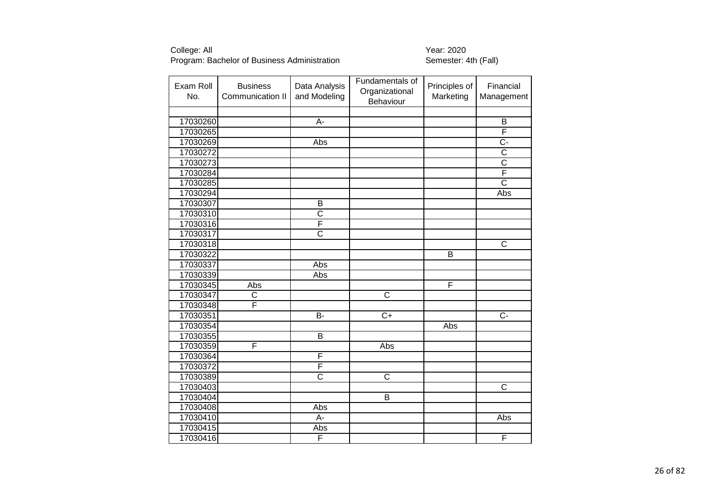| Exam Roll<br>No. | <b>Business</b><br>Communication II | Data Analysis<br>and Modeling | Fundamentals of<br>Organizational<br>Behaviour | Principles of<br>Marketing | Financial<br>Management |
|------------------|-------------------------------------|-------------------------------|------------------------------------------------|----------------------------|-------------------------|
|                  |                                     |                               |                                                |                            |                         |
| 17030260         |                                     | A-                            |                                                |                            | B                       |
| 17030265         |                                     |                               |                                                |                            | F                       |
| 17030269         |                                     | Abs                           |                                                |                            | $\overline{C}$ -        |
| 17030272         |                                     |                               |                                                |                            | $\overline{\text{C}}$   |
| 17030273         |                                     |                               |                                                |                            | $\overline{\text{c}}$   |
| 17030284         |                                     |                               |                                                |                            | F                       |
| 17030285         |                                     |                               |                                                |                            | $\overline{\text{c}}$   |
| 17030294         |                                     |                               |                                                |                            | Abs                     |
| 17030307         |                                     | B                             |                                                |                            |                         |
| 17030310         |                                     | $\overline{\text{c}}$         |                                                |                            |                         |
| 17030316         |                                     | F                             |                                                |                            |                         |
| 17030317         |                                     | $\overline{\text{c}}$         |                                                |                            |                         |
| 17030318         |                                     |                               |                                                |                            | C                       |
| 17030322         |                                     |                               |                                                | $\overline{B}$             |                         |
| 17030337         |                                     | Abs                           |                                                |                            |                         |
| 17030339         |                                     | Abs                           |                                                |                            |                         |
| 17030345         | Abs                                 |                               |                                                | F                          |                         |
| 17030347         | C                                   |                               | $\overline{C}$                                 |                            |                         |
| 17030348         | F                                   |                               |                                                |                            |                         |
| 17030351         |                                     | B-                            | $\overline{C+}$                                |                            | $\overline{C}$ -        |
| 17030354         |                                     |                               |                                                | Abs                        |                         |
| 17030355         |                                     | B                             |                                                |                            |                         |
| 17030359         | F                                   |                               | Abs                                            |                            |                         |
| 17030364         |                                     | F                             |                                                |                            |                         |
| 17030372         |                                     | F                             |                                                |                            |                         |
| 17030389         |                                     | $\overline{\text{c}}$         | $\overline{\text{c}}$                          |                            |                         |
| 17030403         |                                     |                               |                                                |                            | C                       |
| 17030404         |                                     |                               | $\overline{B}$                                 |                            |                         |
| 17030408         |                                     | Abs                           |                                                |                            |                         |
| 17030410         |                                     | A-                            |                                                |                            | Abs                     |
| 17030415         |                                     | Abs                           |                                                |                            |                         |
| 17030416         |                                     | F                             |                                                |                            | F                       |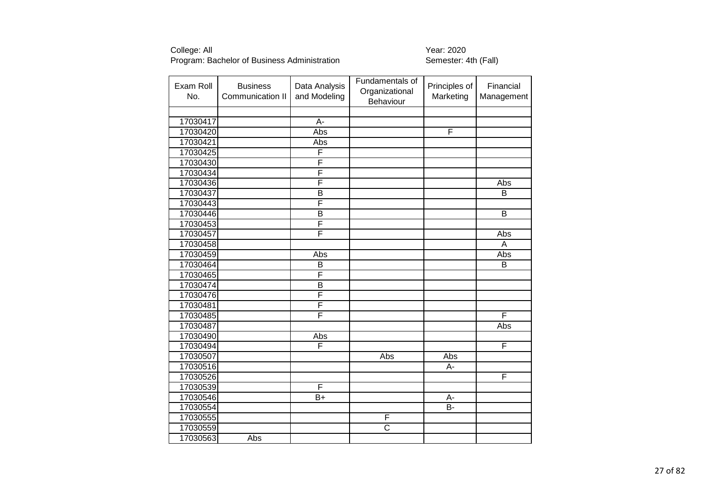| Exam Roll<br>No. | <b>Business</b><br>Communication II | Data Analysis<br>and Modeling | Fundamentals of<br>Organizational<br>Behaviour | Principles of<br>Marketing | Financial<br>Management |
|------------------|-------------------------------------|-------------------------------|------------------------------------------------|----------------------------|-------------------------|
|                  |                                     |                               |                                                |                            |                         |
| 17030417         |                                     | A-                            |                                                |                            |                         |
| 17030420         |                                     | Abs                           |                                                | F                          |                         |
| 17030421         |                                     | Abs                           |                                                |                            |                         |
| 17030425         |                                     | F                             |                                                |                            |                         |
| 17030430         |                                     | F                             |                                                |                            |                         |
| 17030434         |                                     | F                             |                                                |                            |                         |
| 17030436         |                                     | F                             |                                                |                            | Abs                     |
| 17030437         |                                     | $\overline{\mathsf{B}}$       |                                                |                            | $\overline{B}$          |
| 17030443         |                                     | F                             |                                                |                            |                         |
| 17030446         |                                     | $\overline{B}$                |                                                |                            | B                       |
| 17030453         |                                     | F                             |                                                |                            |                         |
| 17030457         |                                     | F                             |                                                |                            | Abs                     |
| 17030458         |                                     |                               |                                                |                            | A                       |
| 17030459         |                                     | Abs                           |                                                |                            | Abs                     |
| 17030464         |                                     | B                             |                                                |                            | B                       |
| 17030465         |                                     | F                             |                                                |                            |                         |
| 17030474         |                                     | $\overline{B}$                |                                                |                            |                         |
| 17030476         |                                     | F                             |                                                |                            |                         |
| 17030481         |                                     | F                             |                                                |                            |                         |
| 17030485         |                                     | F                             |                                                |                            | F                       |
| 17030487         |                                     |                               |                                                |                            | Abs                     |
| 17030490         |                                     | Abs                           |                                                |                            |                         |
| 17030494         |                                     | F                             |                                                |                            | F                       |
| 17030507         |                                     |                               | Abs                                            | Abs                        |                         |
| 17030516         |                                     |                               |                                                | А-                         |                         |
| 17030526         |                                     |                               |                                                |                            | F                       |
| 17030539         |                                     | F                             |                                                |                            |                         |
| 17030546         |                                     | $B+$                          |                                                | A-                         |                         |
| 17030554         |                                     |                               |                                                | $B -$                      |                         |
| 17030555         |                                     |                               | F                                              |                            |                         |
| 17030559         |                                     |                               | $\overline{\text{c}}$                          |                            |                         |
| 17030563         | Abs                                 |                               |                                                |                            |                         |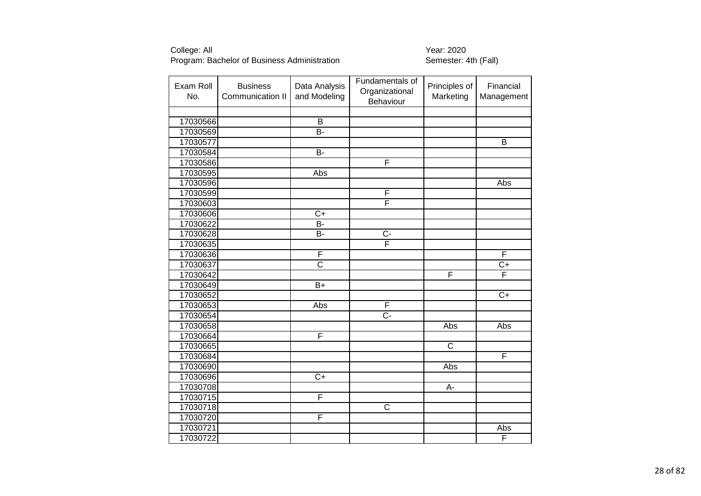| Exam Roll<br>No. | <b>Business</b><br>Communication II | Data Analysis<br>and Modeling | Fundamentals of<br>Organizational<br>Behaviour | Principles of<br>Marketing | Financial<br>Management |
|------------------|-------------------------------------|-------------------------------|------------------------------------------------|----------------------------|-------------------------|
|                  |                                     |                               |                                                |                            |                         |
| 17030566         |                                     | $\overline{B}$                |                                                |                            |                         |
| 17030569         |                                     | $\overline{B}$                |                                                |                            |                         |
| 17030577         |                                     |                               |                                                |                            | $\overline{B}$          |
| 17030584         |                                     | $\overline{B}$                |                                                |                            |                         |
| 17030586         |                                     |                               | F                                              |                            |                         |
| 17030595         |                                     | Abs                           |                                                |                            |                         |
| 17030596         |                                     |                               |                                                |                            | Abs                     |
| 17030599         |                                     |                               | F                                              |                            |                         |
| 17030603         |                                     |                               | $\overline{\mathsf{F}}$                        |                            |                         |
| 17030606         |                                     | $C+$                          |                                                |                            |                         |
| 17030622         |                                     | $\overline{B}$                |                                                |                            |                         |
| 17030628         |                                     | B-                            | $C -$                                          |                            |                         |
| 17030635         |                                     |                               | F                                              |                            |                         |
| 17030636         |                                     | F                             |                                                |                            | F                       |
| 17030637         |                                     | $\overline{\text{c}}$         |                                                |                            | $\overline{C}$          |
| 17030642         |                                     |                               |                                                | $\mathsf{F}$               | F                       |
| 17030649         |                                     | $\overline{B+}$               |                                                |                            |                         |
| 17030652         |                                     |                               |                                                |                            | $\overline{C+}$         |
| 17030653         |                                     | Abs                           | $\overline{\mathsf{F}}$                        |                            |                         |
| 17030654         |                                     |                               | $\overline{C}$ -                               |                            |                         |
| 17030658         |                                     |                               |                                                | Abs                        | Abs                     |
| 17030664         |                                     | F                             |                                                |                            |                         |
| 17030665         |                                     |                               |                                                | $\overline{\text{c}}$      |                         |
| 17030684         |                                     |                               |                                                |                            | F                       |
| 17030690         |                                     |                               |                                                | Abs                        |                         |
| 17030696         |                                     | $\overline{C+}$               |                                                |                            |                         |
| 17030708         |                                     |                               |                                                | А-                         |                         |
| 17030715         |                                     | F                             |                                                |                            |                         |
| 17030718         |                                     |                               | $\overline{\text{c}}$                          |                            |                         |
| 17030720         |                                     | F                             |                                                |                            |                         |
| 17030721         |                                     |                               |                                                |                            | Abs                     |
| 17030722         |                                     |                               |                                                |                            | F                       |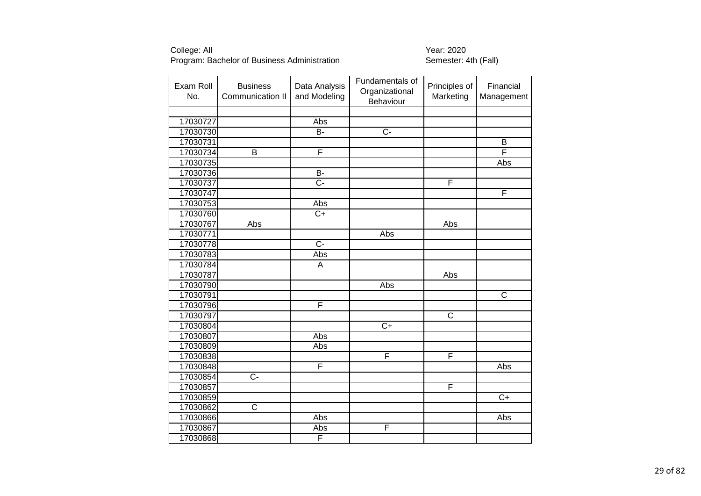| Exam Roll<br>No. | <b>Business</b><br>Communication II | Data Analysis<br>and Modeling | Fundamentals of<br>Organizational<br>Behaviour | Principles of<br>Marketing | Financial<br>Management |
|------------------|-------------------------------------|-------------------------------|------------------------------------------------|----------------------------|-------------------------|
|                  |                                     |                               |                                                |                            |                         |
| 17030727         |                                     | Abs                           |                                                |                            |                         |
| 17030730         |                                     | $\overline{B}$                | $\overline{C}$                                 |                            |                         |
| 17030731         |                                     |                               |                                                |                            | B                       |
| 17030734         | $\overline{B}$                      | $\overline{\mathsf{F}}$       |                                                |                            | F                       |
| 17030735         |                                     |                               |                                                |                            | Abs                     |
| 17030736         |                                     | $B -$                         |                                                |                            |                         |
| 17030737         |                                     | C-                            |                                                | F                          |                         |
| 17030747         |                                     |                               |                                                |                            | F                       |
| 17030753         |                                     | Abs                           |                                                |                            |                         |
| 17030760         |                                     | $C+$                          |                                                |                            |                         |
| 17030767         | Abs                                 |                               |                                                | Abs                        |                         |
| 17030771         |                                     |                               | Abs                                            |                            |                         |
| 17030778         |                                     | $\overline{C}$                |                                                |                            |                         |
| 17030783         |                                     | Abs                           |                                                |                            |                         |
| 17030784         |                                     | A                             |                                                |                            |                         |
| 17030787         |                                     |                               |                                                | Abs                        |                         |
| 17030790         |                                     |                               | Abs                                            |                            |                         |
| 17030791         |                                     |                               |                                                |                            | C                       |
| 17030796         |                                     | F                             |                                                |                            |                         |
| 17030797         |                                     |                               |                                                | $\overline{\text{c}}$      |                         |
| 17030804         |                                     |                               | $\overline{C+}$                                |                            |                         |
| 17030807         |                                     | Abs                           |                                                |                            |                         |
| 17030809         |                                     | Abs                           |                                                |                            |                         |
| 17030838         |                                     |                               | F                                              | $\overline{\mathsf{F}}$    |                         |
| 17030848         |                                     | F                             |                                                |                            | Abs                     |
| 17030854         | $\overline{C}$                      |                               |                                                |                            |                         |
| 17030857         |                                     |                               |                                                | $\overline{F}$             |                         |
| 17030859         |                                     |                               |                                                |                            | $\overline{C+}$         |
| 17030862         | $\overline{\text{c}}$               |                               |                                                |                            |                         |
| 17030866         |                                     | Abs                           |                                                |                            | Abs                     |
| 17030867         |                                     | Abs                           | F                                              |                            |                         |
| 17030868         |                                     | F                             |                                                |                            |                         |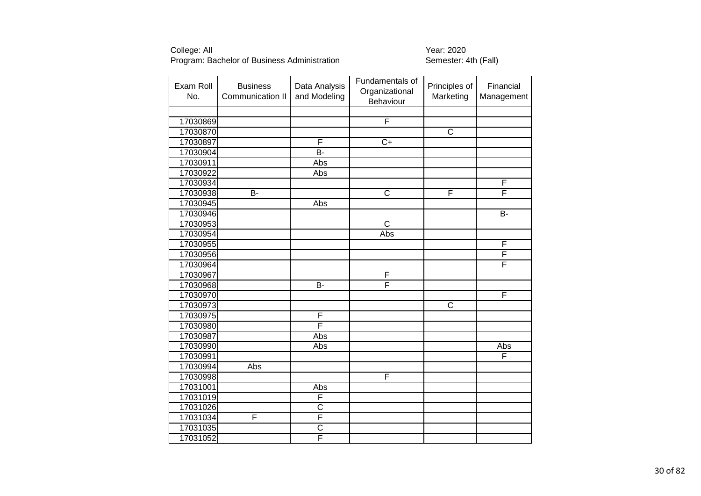| Exam Roll<br>No. | <b>Business</b><br>Communication II | Data Analysis<br>and Modeling | Fundamentals of<br>Organizational<br>Behaviour | Principles of<br>Marketing | Financial<br>Management |
|------------------|-------------------------------------|-------------------------------|------------------------------------------------|----------------------------|-------------------------|
|                  |                                     |                               |                                                |                            |                         |
| 17030869         |                                     |                               | F                                              |                            |                         |
| 17030870         |                                     |                               |                                                | $\overline{\text{c}}$      |                         |
| 17030897         |                                     | F                             | $\overline{C+}$                                |                            |                         |
| 17030904         |                                     | <b>B-</b>                     |                                                |                            |                         |
| 17030911         |                                     | Abs                           |                                                |                            |                         |
| 17030922         |                                     | Abs                           |                                                |                            |                         |
| 17030934         |                                     |                               |                                                |                            | F                       |
| 17030938         | <b>B-</b>                           |                               | $\overline{C}$                                 | F                          | F                       |
| 17030945         |                                     | Abs                           |                                                |                            |                         |
| 17030946         |                                     |                               |                                                |                            | B-                      |
| 17030953         |                                     |                               | $\overline{C}$                                 |                            |                         |
| 17030954         |                                     |                               | Abs                                            |                            |                         |
| 17030955         |                                     |                               |                                                |                            | F                       |
| 17030956         |                                     |                               |                                                |                            | F                       |
| 17030964         |                                     |                               |                                                |                            | F                       |
| 17030967         |                                     |                               | F                                              |                            |                         |
| 17030968         |                                     | $\overline{B}$                | F                                              |                            |                         |
| 17030970         |                                     |                               |                                                |                            | F                       |
| 17030973         |                                     |                               |                                                | $\overline{\text{c}}$      |                         |
| 17030975         |                                     | F                             |                                                |                            |                         |
| 17030980         |                                     | F                             |                                                |                            |                         |
| 17030987         |                                     | Abs                           |                                                |                            |                         |
| 17030990         |                                     | Abs                           |                                                |                            | Abs                     |
| 17030991         |                                     |                               |                                                |                            | F                       |
| 17030994         | Abs                                 |                               |                                                |                            |                         |
| 17030998         |                                     |                               | F                                              |                            |                         |
| 17031001         |                                     | Abs                           |                                                |                            |                         |
| 17031019         |                                     | F                             |                                                |                            |                         |
| 17031026         |                                     | $\overline{\text{C}}$         |                                                |                            |                         |
| 17031034         | F                                   | F                             |                                                |                            |                         |
| 17031035         |                                     | $\overline{\text{c}}$         |                                                |                            |                         |
| 17031052         |                                     | F                             |                                                |                            |                         |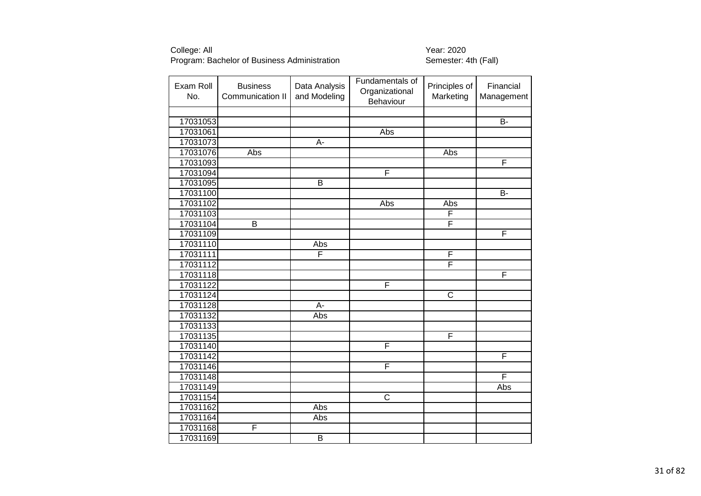| Exam Roll<br>No. | <b>Business</b><br>Communication II | Data Analysis<br>and Modeling | Fundamentals of<br>Organizational<br>Behaviour | Principles of<br>Marketing | Financial<br>Management |
|------------------|-------------------------------------|-------------------------------|------------------------------------------------|----------------------------|-------------------------|
|                  |                                     |                               |                                                |                            |                         |
| 17031053         |                                     |                               |                                                |                            | B-                      |
| 17031061         |                                     |                               | Abs                                            |                            |                         |
| 17031073         |                                     | $\overline{A}$                |                                                |                            |                         |
| 17031076         | Abs                                 |                               |                                                | Abs                        |                         |
| 17031093         |                                     |                               |                                                |                            | F                       |
| 17031094         |                                     |                               | F                                              |                            |                         |
| 17031095         |                                     | B                             |                                                |                            |                         |
| 17031100         |                                     |                               |                                                |                            | B-                      |
| 17031102         |                                     |                               | Abs                                            | Abs                        |                         |
| 17031103         |                                     |                               |                                                | F                          |                         |
| 17031104         | В                                   |                               |                                                | F                          |                         |
| 17031109         |                                     |                               |                                                |                            | F                       |
| 17031110         |                                     | Abs                           |                                                |                            |                         |
| 17031111         |                                     | F                             |                                                | F                          |                         |
| 17031112         |                                     |                               |                                                | F                          |                         |
| 17031118         |                                     |                               |                                                |                            | F                       |
| 17031122         |                                     |                               | F                                              |                            |                         |
| 17031124         |                                     |                               |                                                | $\overline{\text{c}}$      |                         |
| 17031128         |                                     | $\overline{A}$ -              |                                                |                            |                         |
| 17031132         |                                     | Abs                           |                                                |                            |                         |
| 17031133         |                                     |                               |                                                |                            |                         |
| 17031135         |                                     |                               |                                                | F                          |                         |
| 17031140         |                                     |                               | F                                              |                            |                         |
| 17031142         |                                     |                               |                                                |                            | F                       |
| 17031146         |                                     |                               | F                                              |                            |                         |
| 17031148         |                                     |                               |                                                |                            | F                       |
| 17031149         |                                     |                               |                                                |                            | Abs                     |
| 17031154         |                                     |                               | $\overline{C}$                                 |                            |                         |
| 17031162         |                                     | Abs                           |                                                |                            |                         |
| 17031164         |                                     | Abs                           |                                                |                            |                         |
| 17031168         | F                                   |                               |                                                |                            |                         |
| 17031169         |                                     | $\overline{\mathsf{B}}$       |                                                |                            |                         |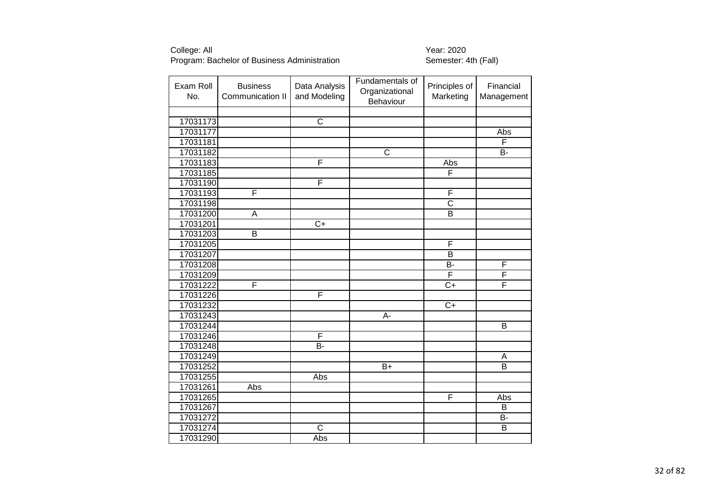| Exam Roll<br>No. | <b>Business</b><br>Communication II | Data Analysis<br>and Modeling | Fundamentals of<br>Organizational<br>Behaviour | Principles of<br>Marketing | Financial<br>Management |
|------------------|-------------------------------------|-------------------------------|------------------------------------------------|----------------------------|-------------------------|
|                  |                                     |                               |                                                |                            |                         |
| 17031173         |                                     | $\overline{\text{C}}$         |                                                |                            |                         |
| 17031177         |                                     |                               |                                                |                            | Abs                     |
| 17031181         |                                     |                               |                                                |                            | F                       |
| 17031182         |                                     |                               | $\overline{\text{c}}$                          |                            | B-                      |
| 17031183         |                                     | F                             |                                                | Abs                        |                         |
| 17031185         |                                     |                               |                                                | F                          |                         |
| 17031190         |                                     | F                             |                                                |                            |                         |
| 17031193         | F                                   |                               |                                                | F                          |                         |
| 17031198         |                                     |                               |                                                | $\overline{\text{c}}$      |                         |
| 17031200         | A                                   |                               |                                                | $\overline{B}$             |                         |
| 17031201         |                                     | $\overline{C+}$               |                                                |                            |                         |
| 17031203         | B                                   |                               |                                                |                            |                         |
| 17031205         |                                     |                               |                                                | $\overline{F}$             |                         |
| 17031207         |                                     |                               |                                                | $\overline{B}$             |                         |
| 17031208         |                                     |                               |                                                | B-                         | F                       |
| 17031209         |                                     |                               |                                                | F                          | F                       |
| 17031222         | F                                   |                               |                                                | $\overline{C+}$            | F                       |
| 17031226         |                                     | F                             |                                                |                            |                         |
| 17031232         |                                     |                               |                                                | $\overline{C+}$            |                         |
| 17031243         |                                     |                               | A-                                             |                            |                         |
| 17031244         |                                     |                               |                                                |                            | $\overline{B}$          |
| 17031246         |                                     | F                             |                                                |                            |                         |
| 17031248         |                                     | $\overline{B}$                |                                                |                            |                         |
| 17031249         |                                     |                               |                                                |                            | A                       |
| 17031252         |                                     |                               | $\overline{B+}$                                |                            | $\overline{B}$          |
| 17031255         |                                     | Abs                           |                                                |                            |                         |
| 17031261         | Abs                                 |                               |                                                |                            |                         |
| 17031265         |                                     |                               |                                                | $\mathsf F$                | Abs                     |
| 17031267         |                                     |                               |                                                |                            | B                       |
| 17031272         |                                     |                               |                                                |                            | B-                      |
| 17031274         |                                     | $\overline{C}$                |                                                |                            | $\overline{B}$          |
| 17031290         |                                     | Abs                           |                                                |                            |                         |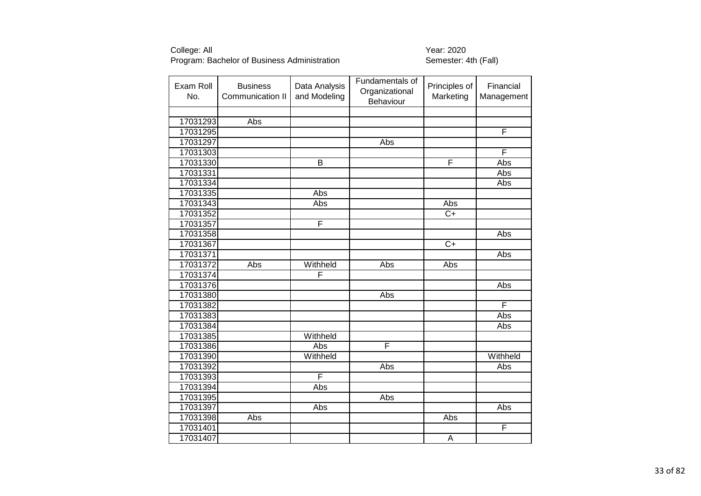| Exam Roll<br>No. | <b>Business</b><br>Communication II | Data Analysis<br>and Modeling | Fundamentals of<br>Organizational<br>Behaviour | Principles of<br>Marketing | Financial<br>Management |
|------------------|-------------------------------------|-------------------------------|------------------------------------------------|----------------------------|-------------------------|
|                  |                                     |                               |                                                |                            |                         |
| 17031293         | Abs                                 |                               |                                                |                            |                         |
| 17031295         |                                     |                               |                                                |                            | F                       |
| 17031297         |                                     |                               | Abs                                            |                            |                         |
| 17031303         |                                     |                               |                                                |                            | F                       |
| 17031330         |                                     | $\overline{B}$                |                                                | F                          | Abs                     |
| 17031331         |                                     |                               |                                                |                            | Abs                     |
| 17031334         |                                     |                               |                                                |                            | Abs                     |
| 17031335         |                                     | Abs                           |                                                |                            |                         |
| 17031343         |                                     | Abs                           |                                                | Abs                        |                         |
| 17031352         |                                     |                               |                                                | $\overline{C+}$            |                         |
| 17031357         |                                     | F                             |                                                |                            |                         |
| 17031358         |                                     |                               |                                                |                            | Abs                     |
| 17031367         |                                     |                               |                                                | $C+$                       |                         |
| 17031371         |                                     |                               |                                                |                            | Abs                     |
| 17031372         | Abs                                 | Withheld                      | Abs                                            | Abs                        |                         |
| 17031374         |                                     | F                             |                                                |                            |                         |
| 17031376         |                                     |                               |                                                |                            | Abs                     |
| 17031380         |                                     |                               | Abs                                            |                            |                         |
| 17031382         |                                     |                               |                                                |                            | F                       |
| 17031383         |                                     |                               |                                                |                            | <b>Abs</b>              |
| 17031384         |                                     |                               |                                                |                            | Abs                     |
| 17031385         |                                     | Withheld                      |                                                |                            |                         |
| 17031386         |                                     | Abs                           | F                                              |                            |                         |
| 17031390         |                                     | Withheld                      |                                                |                            | Withheld                |
| 17031392         |                                     |                               | Abs                                            |                            | Abs                     |
| 17031393         |                                     | F                             |                                                |                            |                         |
| 17031394         |                                     | Abs                           |                                                |                            |                         |
| 17031395         |                                     |                               | Abs                                            |                            |                         |
| 17031397         |                                     | Abs                           |                                                |                            | Abs                     |
| 17031398         | Abs                                 |                               |                                                | Abs                        |                         |
| 17031401         |                                     |                               |                                                |                            | F                       |
| 17031407         |                                     |                               |                                                | $\overline{A}$             |                         |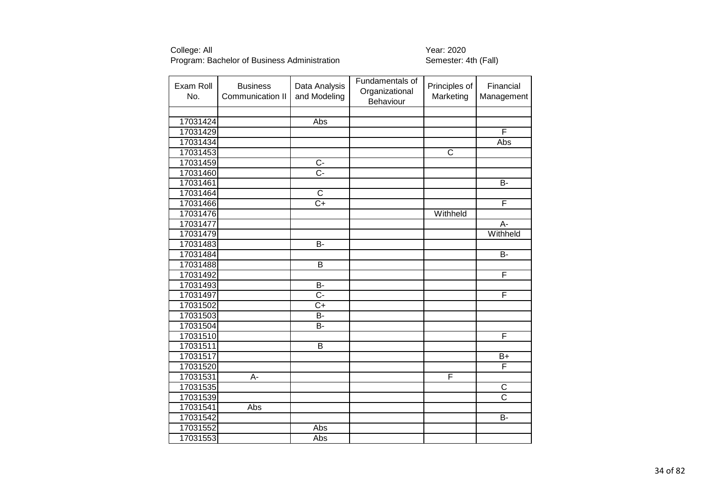| Exam Roll<br>No. | <b>Business</b><br>Communication II | Data Analysis<br>and Modeling | Fundamentals of<br>Organizational<br>Behaviour | Principles of<br>Marketing | Financial<br>Management |
|------------------|-------------------------------------|-------------------------------|------------------------------------------------|----------------------------|-------------------------|
|                  |                                     |                               |                                                |                            |                         |
| 17031424         |                                     | Abs                           |                                                |                            |                         |
| 17031429         |                                     |                               |                                                |                            | F                       |
| 17031434         |                                     |                               |                                                |                            | Abs                     |
| 17031453         |                                     |                               |                                                | $\overline{\text{c}}$      |                         |
| 17031459         |                                     | $\overline{C}$                |                                                |                            |                         |
| 17031460         |                                     | $\overline{C}$ -              |                                                |                            |                         |
| 17031461         |                                     |                               |                                                |                            | <b>B-</b>               |
| 17031464         |                                     | $\overline{\text{c}}$         |                                                |                            |                         |
| 17031466         |                                     | $\overline{C}$                |                                                |                            | F                       |
| 17031476         |                                     |                               |                                                | Withheld                   |                         |
| 17031477         |                                     |                               |                                                |                            | $\overline{A}$          |
| 17031479         |                                     |                               |                                                |                            | Withheld                |
| 17031483         |                                     | B-                            |                                                |                            |                         |
| 17031484         |                                     |                               |                                                |                            | $\overline{B}$          |
| 17031488         |                                     | B                             |                                                |                            |                         |
| 17031492         |                                     |                               |                                                |                            | $\overline{F}$          |
| 17031493         |                                     | $\overline{B}$                |                                                |                            |                         |
| 17031497         |                                     | $\overline{C}$                |                                                |                            | F                       |
| 17031502         |                                     | $\overline{C}$                |                                                |                            |                         |
| 17031503         |                                     | $\overline{B}$                |                                                |                            |                         |
| 17031504         |                                     | B-                            |                                                |                            |                         |
| 17031510         |                                     |                               |                                                |                            | F                       |
| 17031511         |                                     | $\overline{\mathsf{B}}$       |                                                |                            |                         |
| 17031517         |                                     |                               |                                                |                            | $B+$                    |
| 17031520         |                                     |                               |                                                |                            | F                       |
| 17031531         | А-                                  |                               |                                                | F                          |                         |
| 17031535         |                                     |                               |                                                |                            | C                       |
| 17031539         |                                     |                               |                                                |                            | $\overline{\text{c}}$   |
| 17031541         | Abs                                 |                               |                                                |                            |                         |
| 17031542         |                                     |                               |                                                |                            | <b>B-</b>               |
| 17031552         |                                     | Abs                           |                                                |                            |                         |
| 17031553         |                                     | Abs                           |                                                |                            |                         |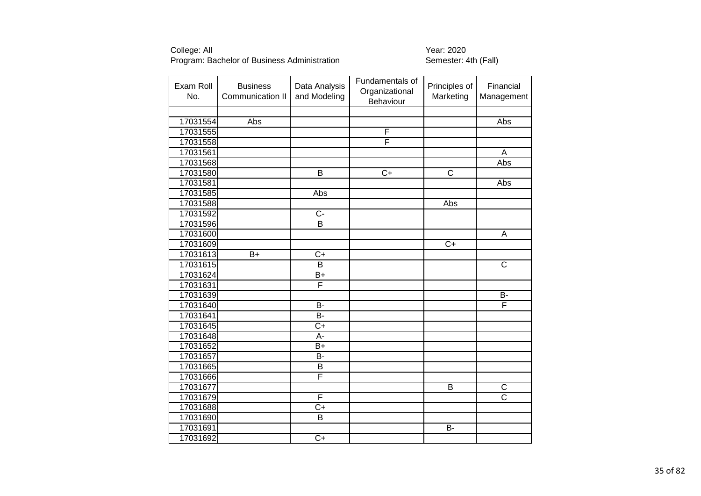| Exam Roll<br>No. | <b>Business</b><br>Communication II | Data Analysis<br>and Modeling | Fundamentals of<br>Organizational<br>Behaviour | Principles of<br>Marketing | Financial<br>Management          |
|------------------|-------------------------------------|-------------------------------|------------------------------------------------|----------------------------|----------------------------------|
|                  |                                     |                               |                                                |                            |                                  |
| 17031554         | Abs                                 |                               |                                                |                            | Abs                              |
| 17031555         |                                     |                               | F                                              |                            |                                  |
| 17031558         |                                     |                               | F                                              |                            |                                  |
| 17031561         |                                     |                               |                                                |                            | A                                |
| 17031568         |                                     |                               |                                                |                            | Abs                              |
| 17031580         |                                     | $\overline{B}$                | $\overline{C}$                                 | $\overline{\text{c}}$      |                                  |
| 17031581         |                                     |                               |                                                |                            | Abs                              |
| 17031585         |                                     | Abs                           |                                                |                            |                                  |
| 17031588         |                                     |                               |                                                | Abs                        |                                  |
| 17031592         |                                     | $C -$                         |                                                |                            |                                  |
| 17031596         |                                     | $\overline{\mathsf{B}}$       |                                                |                            |                                  |
| 17031600         |                                     |                               |                                                |                            | A                                |
| 17031609         |                                     |                               |                                                | $\overline{C}$             |                                  |
| 17031613         | $B+$                                | $\overline{C}$                |                                                |                            |                                  |
| 17031615         |                                     | $\overline{B}$                |                                                |                            | $\overline{\text{c}}$            |
| 17031624         |                                     | $B+$                          |                                                |                            |                                  |
| 17031631         |                                     | F                             |                                                |                            |                                  |
| 17031639         |                                     |                               |                                                |                            | $\overline{B}$                   |
| 17031640         |                                     | <b>B-</b>                     |                                                |                            | F                                |
| 17031641         |                                     | B-                            |                                                |                            |                                  |
| 17031645         |                                     | $C+$                          |                                                |                            |                                  |
| 17031648         |                                     | A-                            |                                                |                            |                                  |
| 17031652         |                                     | B+                            |                                                |                            |                                  |
| 17031657         |                                     | B-                            |                                                |                            |                                  |
| 17031665         |                                     | B                             |                                                |                            |                                  |
| 17031666         |                                     | F                             |                                                |                            |                                  |
| 17031677         |                                     |                               |                                                | В                          | C                                |
| 17031679         |                                     | $\overline{\mathsf{F}}$       |                                                |                            | $\overline{\overline{\text{c}}}$ |
| 17031688         |                                     | C+                            |                                                |                            |                                  |
| 17031690         |                                     | $\overline{B}$                |                                                |                            |                                  |
| 17031691         |                                     |                               |                                                | <b>B-</b>                  |                                  |
| 17031692         |                                     | $\overline{C+}$               |                                                |                            |                                  |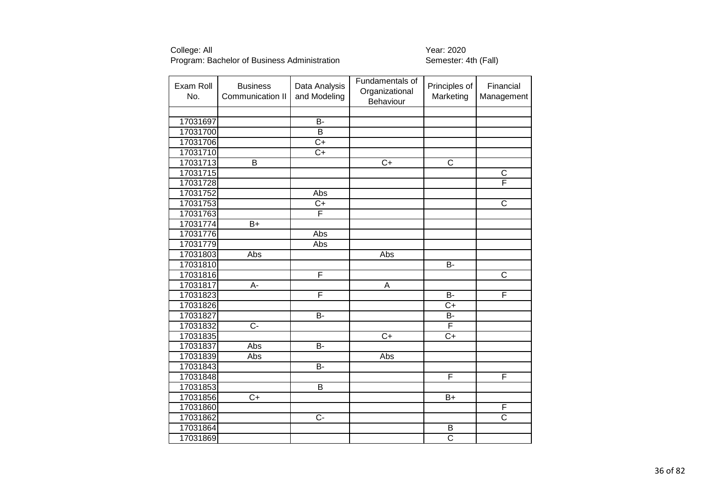| Exam Roll<br>No. | <b>Business</b><br>Communication II | Data Analysis<br>and Modeling | Fundamentals of<br>Organizational<br>Behaviour | Principles of<br>Marketing | Financial<br>Management |
|------------------|-------------------------------------|-------------------------------|------------------------------------------------|----------------------------|-------------------------|
|                  |                                     |                               |                                                |                            |                         |
| 17031697         |                                     | <b>B-</b>                     |                                                |                            |                         |
| 17031700         |                                     | $\overline{\mathsf{B}}$       |                                                |                            |                         |
| 17031706         |                                     | $\overline{C+}$               |                                                |                            |                         |
| 17031710         |                                     | $C+$                          |                                                |                            |                         |
| 17031713         | $\overline{\mathsf{B}}$             |                               | $\overline{C+}$                                | $\overline{\text{c}}$      |                         |
| 17031715         |                                     |                               |                                                |                            | $\overline{\text{c}}$   |
| 17031728         |                                     |                               |                                                |                            | F                       |
| 17031752         |                                     | Abs                           |                                                |                            |                         |
| 17031753         |                                     | $C+$                          |                                                |                            | $\overline{\text{c}}$   |
| 17031763         |                                     | F                             |                                                |                            |                         |
| 17031774         | $\bar{B}+$                          |                               |                                                |                            |                         |
| 17031776         |                                     | Abs                           |                                                |                            |                         |
| 17031779         |                                     | Abs                           |                                                |                            |                         |
| 17031803         | Abs                                 |                               | Abs                                            |                            |                         |
| 17031810         |                                     |                               |                                                | <b>B-</b>                  |                         |
| 17031816         |                                     | F                             |                                                |                            | $\overline{C}$          |
| 17031817         | $\overline{A}$ -                    |                               | $\overline{A}$                                 |                            |                         |
| 17031823         |                                     | F                             |                                                | <b>B-</b>                  | F                       |
| 17031826         |                                     |                               |                                                | $\overline{C+}$            |                         |
| 17031827         |                                     | $\overline{B}$                |                                                | $\overline{B}$             |                         |
| 17031832         | $\overline{C}$                      |                               |                                                | $\overline{F}$             |                         |
| 17031835         |                                     |                               | $\overline{C}$                                 | $C+$                       |                         |
| 17031837         | Abs                                 | $\overline{B}$                |                                                |                            |                         |
| 17031839         | Abs                                 |                               | Abs                                            |                            |                         |
| 17031843         |                                     | $\overline{B}$                |                                                |                            |                         |
| 17031848         |                                     |                               |                                                | F                          | F                       |
| 17031853         |                                     | $\overline{B}$                |                                                |                            |                         |
| 17031856         | $C+$                                |                               |                                                | $B+$                       |                         |
| 17031860         |                                     |                               |                                                |                            | F                       |
| 17031862         |                                     | $\overline{C}$                |                                                |                            | $\overline{\text{c}}$   |
| 17031864         |                                     |                               |                                                | $\sf B$                    |                         |
| 17031869         |                                     |                               |                                                | $\overline{\mathsf{C}}$    |                         |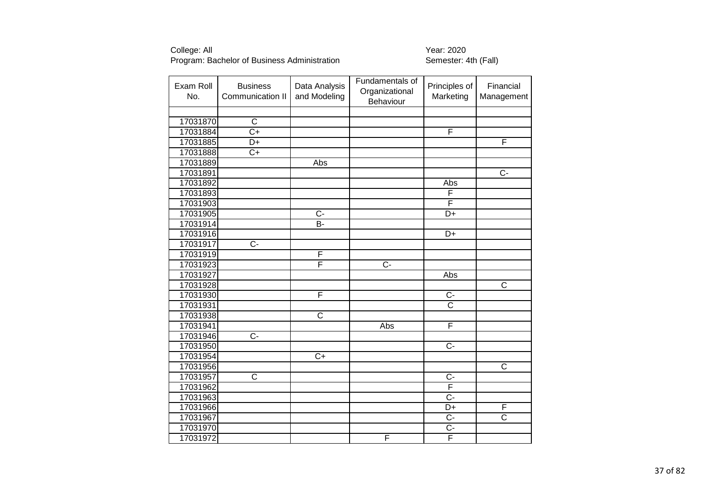| Exam Roll<br>No. | <b>Business</b><br>Communication II | Data Analysis<br>and Modeling | Fundamentals of<br>Organizational<br>Behaviour | Principles of<br>Marketing | Financial<br>Management |
|------------------|-------------------------------------|-------------------------------|------------------------------------------------|----------------------------|-------------------------|
|                  |                                     |                               |                                                |                            |                         |
| 17031870         | $\overline{C}$                      |                               |                                                |                            |                         |
| 17031884         | $\overline{C+}$                     |                               |                                                | F                          |                         |
| 17031885         | D+                                  |                               |                                                |                            | F                       |
| 17031888         | $C+$                                |                               |                                                |                            |                         |
| 17031889         |                                     | Abs                           |                                                |                            |                         |
| 17031891         |                                     |                               |                                                |                            | $\overline{C}$ -        |
| 17031892         |                                     |                               |                                                | Abs                        |                         |
| 17031893         |                                     |                               |                                                | F                          |                         |
| 17031903         |                                     |                               |                                                | F                          |                         |
| 17031905         |                                     | $\overline{C}$                |                                                | $\overline{D}$ +           |                         |
| 17031914         |                                     | B-                            |                                                |                            |                         |
| 17031916         |                                     |                               |                                                | $D+$                       |                         |
| 17031917         | $C -$                               |                               |                                                |                            |                         |
| 17031919         |                                     | F                             |                                                |                            |                         |
| 17031923         |                                     | F                             | $\overline{C}$                                 |                            |                         |
| 17031927         |                                     |                               |                                                | Abs                        |                         |
| 17031928         |                                     |                               |                                                |                            | $\overline{\text{c}}$   |
| 17031930         |                                     | F                             |                                                | $C -$                      |                         |
| 17031931         |                                     |                               |                                                | $\overline{\text{c}}$      |                         |
| 17031938         |                                     | $\overline{\text{c}}$         |                                                |                            |                         |
| 17031941         |                                     |                               | Abs                                            | F                          |                         |
| 17031946         | $\overline{C}$                      |                               |                                                |                            |                         |
| 17031950         |                                     |                               |                                                | $\overline{C}$             |                         |
| 17031954         |                                     | $C+$                          |                                                |                            |                         |
| 17031956         |                                     |                               |                                                |                            | $\overline{\text{c}}$   |
| 17031957         | $\overline{\text{c}}$               |                               |                                                | $\overline{C}$             |                         |
| 17031962         |                                     |                               |                                                | F                          |                         |
| 17031963         |                                     |                               |                                                | $\overline{C}$ -           |                         |
| 17031966         |                                     |                               |                                                | D+                         | F                       |
| 17031967         |                                     |                               |                                                | $\overline{C}$             | $\overline{\text{c}}$   |
| 17031970         |                                     |                               |                                                | $C -$                      |                         |
| 17031972         |                                     |                               | F                                              | $\overline{\mathsf{F}}$    |                         |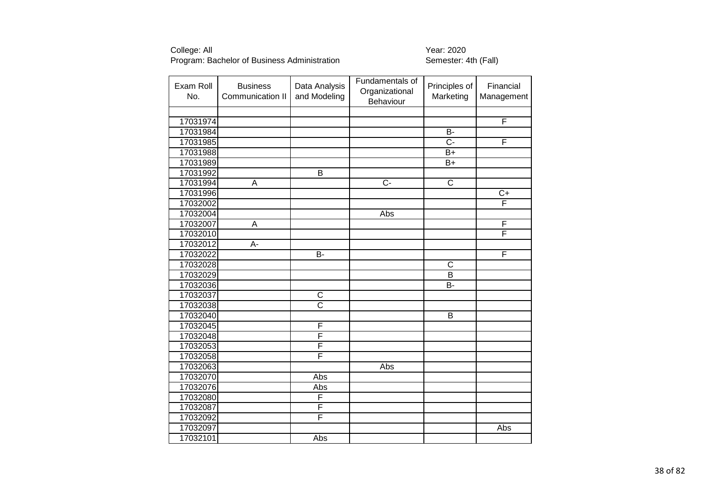| Exam Roll<br>No. | <b>Business</b><br>Communication II | Data Analysis<br>and Modeling | Fundamentals of<br>Organizational<br>Behaviour | Principles of<br>Marketing | Financial<br>Management |
|------------------|-------------------------------------|-------------------------------|------------------------------------------------|----------------------------|-------------------------|
|                  |                                     |                               |                                                |                            |                         |
| 17031974         |                                     |                               |                                                |                            | $\overline{\mathsf{F}}$ |
| 17031984         |                                     |                               |                                                | $\overline{B}$             |                         |
| 17031985         |                                     |                               |                                                | $\overline{C}$ -           | F                       |
| 17031988         |                                     |                               |                                                | B+                         |                         |
| 17031989         |                                     |                               |                                                | $\overline{B+}$            |                         |
| 17031992         |                                     | $\overline{B}$                |                                                |                            |                         |
| 17031994         | A                                   |                               | $\overline{C}$                                 | $\overline{\text{c}}$      |                         |
| 17031996         |                                     |                               |                                                |                            | $C+$                    |
| 17032002         |                                     |                               |                                                |                            | $\overline{\mathsf{F}}$ |
| 17032004         |                                     |                               | Abs                                            |                            |                         |
| 17032007         | A                                   |                               |                                                |                            | F                       |
| 17032010         |                                     |                               |                                                |                            | F                       |
| 17032012         | A-                                  |                               |                                                |                            |                         |
| 17032022         |                                     | $\overline{B}$                |                                                |                            | F                       |
| 17032028         |                                     |                               |                                                | C                          |                         |
| 17032029         |                                     |                               |                                                | $\overline{B}$             |                         |
| 17032036         |                                     |                               |                                                | Я-                         |                         |
| 17032037         |                                     | $\overline{C}$                |                                                |                            |                         |
| 17032038         |                                     | $\overline{\text{C}}$         |                                                |                            |                         |
| 17032040         |                                     |                               |                                                | $\overline{B}$             |                         |
| 17032045         |                                     | F                             |                                                |                            |                         |
| 17032048         |                                     | F                             |                                                |                            |                         |
| 17032053         |                                     | F                             |                                                |                            |                         |
| 17032058         |                                     | F                             |                                                |                            |                         |
| 17032063         |                                     |                               | Abs                                            |                            |                         |
| 17032070         |                                     | <b>Abs</b>                    |                                                |                            |                         |
| 17032076         |                                     | Abs                           |                                                |                            |                         |
| 17032080         |                                     | F                             |                                                |                            |                         |
| 17032087         |                                     | F                             |                                                |                            |                         |
| 17032092         |                                     | F                             |                                                |                            |                         |
| 17032097         |                                     |                               |                                                |                            | Abs                     |
| 17032101         |                                     | Abs                           |                                                |                            |                         |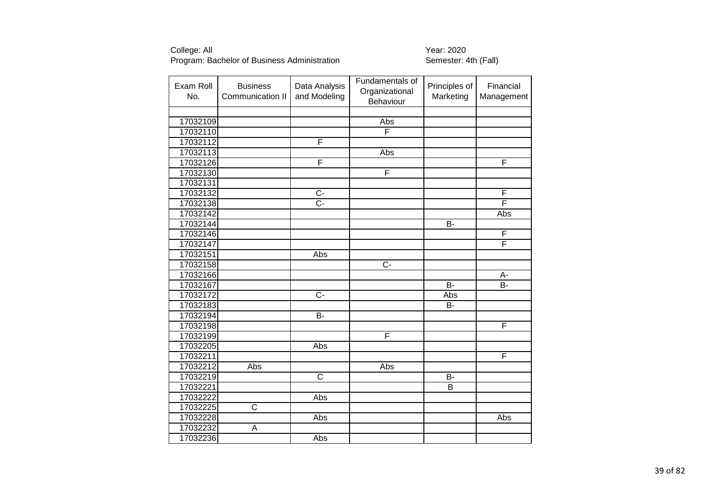| Exam Roll<br>No. | <b>Business</b><br>Communication II | Data Analysis<br>and Modeling | Fundamentals of<br>Organizational<br>Behaviour | Principles of<br>Marketing | Financial<br>Management |
|------------------|-------------------------------------|-------------------------------|------------------------------------------------|----------------------------|-------------------------|
|                  |                                     |                               |                                                |                            |                         |
| 17032109         |                                     |                               | Abs                                            |                            |                         |
| 17032110         |                                     |                               | F                                              |                            |                         |
| 17032112         |                                     | F                             |                                                |                            |                         |
| 17032113         |                                     |                               | Abs                                            |                            |                         |
| 17032126         |                                     | F                             |                                                |                            | F                       |
| 17032130         |                                     |                               | F                                              |                            |                         |
| 17032131         |                                     |                               |                                                |                            |                         |
| 17032132         |                                     | $\overline{C}$                |                                                |                            | F                       |
| 17032138         |                                     | $\overline{C}$ -              |                                                |                            | F                       |
| 17032142         |                                     |                               |                                                |                            | Abs                     |
| 17032144         |                                     |                               |                                                | B-                         |                         |
| 17032146         |                                     |                               |                                                |                            | F                       |
| 17032147         |                                     |                               |                                                |                            | F                       |
| 17032151         |                                     | Abs                           |                                                |                            |                         |
| 17032158         |                                     |                               | $\overline{C}$                                 |                            |                         |
| 17032166         |                                     |                               |                                                |                            | A-                      |
| 17032167         |                                     |                               |                                                | $\overline{B}$             | $\overline{B}$          |
| 17032172         |                                     | $\overline{C}$                |                                                | Abs                        |                         |
| 17032183         |                                     |                               |                                                | <b>B-</b>                  |                         |
| 17032194         |                                     | $\overline{B}$                |                                                |                            |                         |
| 17032198         |                                     |                               |                                                |                            | F                       |
| 17032199         |                                     |                               | F                                              |                            |                         |
| 17032205         |                                     | Abs                           |                                                |                            |                         |
| 17032211         |                                     |                               |                                                |                            | F                       |
| 17032212         | Abs                                 |                               | Abs                                            |                            |                         |
| 17032219         |                                     | $\overline{\text{c}}$         |                                                | $\overline{B}$             |                         |
| 17032221         |                                     |                               |                                                | B                          |                         |
| 17032222         |                                     | Abs                           |                                                |                            |                         |
| 17032225         | $\overline{\mathsf{C}}$             |                               |                                                |                            |                         |
| 17032228         |                                     | Abs                           |                                                |                            | Abs                     |
| 17032232         | A                                   |                               |                                                |                            |                         |
| 17032236         |                                     | Abs                           |                                                |                            |                         |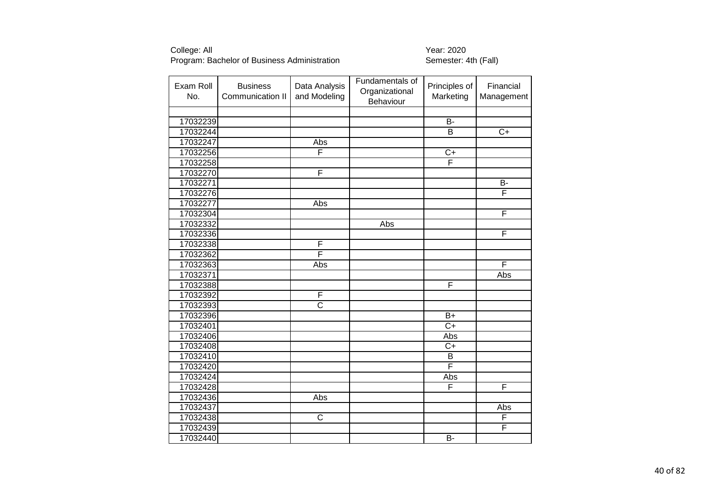| Exam Roll<br>No. | <b>Business</b><br>Communication II | Data Analysis<br>and Modeling | Fundamentals of<br>Organizational<br>Behaviour | Principles of<br>Marketing | Financial<br>Management |
|------------------|-------------------------------------|-------------------------------|------------------------------------------------|----------------------------|-------------------------|
|                  |                                     |                               |                                                |                            |                         |
| 17032239         |                                     |                               |                                                | B-                         |                         |
| 17032244         |                                     |                               |                                                | $\overline{B}$             | $\overline{C+}$         |
| 17032247         |                                     | Abs                           |                                                |                            |                         |
| 17032256         |                                     | F                             |                                                | $C+$                       |                         |
| 17032258         |                                     |                               |                                                | F                          |                         |
| 17032270         |                                     | F                             |                                                |                            |                         |
| 17032271         |                                     |                               |                                                |                            | В-                      |
| 17032276         |                                     |                               |                                                |                            | F                       |
| 17032277         |                                     | Abs                           |                                                |                            |                         |
| 17032304         |                                     |                               |                                                |                            | F                       |
| 17032332         |                                     |                               | Abs                                            |                            |                         |
| 17032336         |                                     |                               |                                                |                            | F                       |
| 17032338         |                                     | F                             |                                                |                            |                         |
| 17032362         |                                     | F                             |                                                |                            |                         |
| 17032363         |                                     | Abs                           |                                                |                            | F                       |
| 17032371         |                                     |                               |                                                |                            | Abs                     |
| 17032388         |                                     |                               |                                                | F                          |                         |
| 17032392         |                                     | F                             |                                                |                            |                         |
| 17032393         |                                     | $\overline{\text{c}}$         |                                                |                            |                         |
| 17032396         |                                     |                               |                                                | $B+$                       |                         |
| 17032401         |                                     |                               |                                                | $\overline{C+}$            |                         |
| 17032406         |                                     |                               |                                                | Abs                        |                         |
| 17032408         |                                     |                               |                                                | $\overline{C+}$            |                         |
| 17032410         |                                     |                               |                                                | B                          |                         |
| 17032420         |                                     |                               |                                                | F                          |                         |
| 17032424         |                                     |                               |                                                | Abs                        |                         |
| 17032428         |                                     |                               |                                                | F                          | F                       |
| 17032436         |                                     | Abs                           |                                                |                            |                         |
| 17032437         |                                     |                               |                                                |                            | Abs                     |
| 17032438         |                                     | $\overline{\text{C}}$         |                                                |                            | F                       |
| 17032439         |                                     |                               |                                                |                            | F                       |
| 17032440         |                                     |                               |                                                | $\overline{B}$             |                         |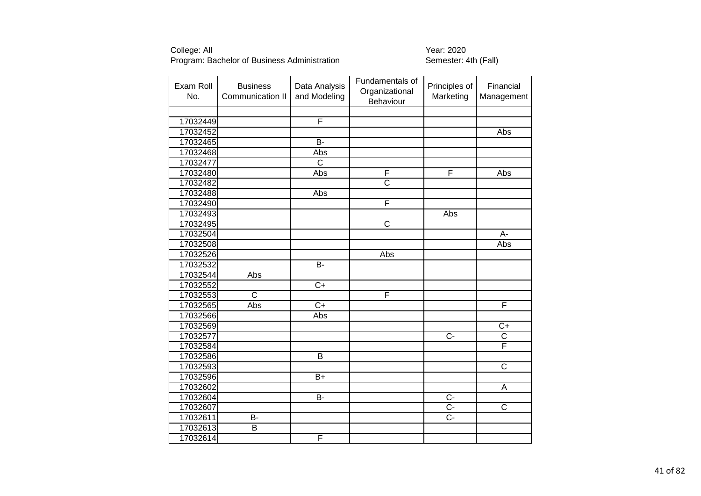| Exam Roll<br>No. | <b>Business</b><br>Communication II | Data Analysis<br>and Modeling | Fundamentals of<br>Organizational<br>Behaviour | Principles of<br>Marketing | Financial<br>Management |
|------------------|-------------------------------------|-------------------------------|------------------------------------------------|----------------------------|-------------------------|
|                  |                                     |                               |                                                |                            |                         |
| 17032449         |                                     | F                             |                                                |                            |                         |
| 17032452         |                                     |                               |                                                |                            | <b>Abs</b>              |
| 17032465         |                                     | $B -$                         |                                                |                            |                         |
| 17032468         |                                     | Abs                           |                                                |                            |                         |
| 17032477         |                                     | $\overline{\mathsf{C}}$       |                                                |                            |                         |
| 17032480         |                                     | Abs                           | F                                              | F                          | Abs                     |
| 17032482         |                                     |                               | $\overline{\text{c}}$                          |                            |                         |
| 17032488         |                                     | Abs                           |                                                |                            |                         |
| 17032490         |                                     |                               | $\overline{F}$                                 |                            |                         |
| 17032493         |                                     |                               |                                                | Abs                        |                         |
| 17032495         |                                     |                               | $\overline{\text{c}}$                          |                            |                         |
| 17032504         |                                     |                               |                                                |                            | A-                      |
| 17032508         |                                     |                               |                                                |                            | Abs                     |
| 17032526         |                                     |                               | Abs                                            |                            |                         |
| 17032532         |                                     | <b>B-</b>                     |                                                |                            |                         |
| 17032544         | Abs                                 |                               |                                                |                            |                         |
| 17032552         |                                     | $\overline{C+}$               |                                                |                            |                         |
| 17032553         | $\overline{C}$                      |                               | $\overline{F}$                                 |                            |                         |
| 17032565         | Abs                                 | $\overline{C+}$               |                                                |                            | F                       |
| 17032566         |                                     | Abs                           |                                                |                            |                         |
| 17032569         |                                     |                               |                                                |                            | $C+$                    |
| 17032577         |                                     |                               |                                                | $\overline{C}$             | $\overline{\text{c}}$   |
| 17032584         |                                     |                               |                                                |                            | F                       |
| 17032586         |                                     | $\overline{B}$                |                                                |                            |                         |
| 17032593         |                                     |                               |                                                |                            | $\overline{C}$          |
| 17032596         |                                     | $\overline{B+}$               |                                                |                            |                         |
| 17032602         |                                     |                               |                                                |                            | A                       |
| 17032604         |                                     | $\overline{B}$                |                                                | $\overline{C}$             |                         |
| 17032607         |                                     |                               |                                                | $\overline{C}$ -           | $\overline{\text{C}}$   |
| 17032611         | B-                                  |                               |                                                | $\overline{C}$             |                         |
| 17032613         | B                                   |                               |                                                |                            |                         |
| 17032614         |                                     | F                             |                                                |                            |                         |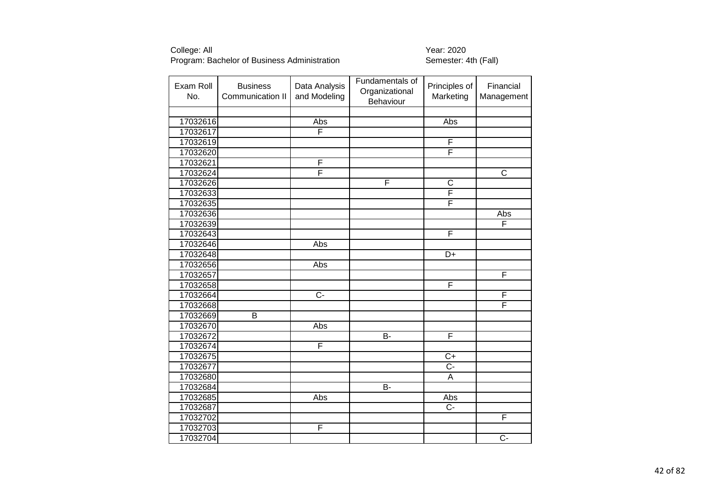| Exam Roll<br>No. | <b>Business</b><br>Communication II | Data Analysis<br>and Modeling | Fundamentals of<br>Organizational<br>Behaviour | Principles of<br>Marketing | Financial<br>Management |
|------------------|-------------------------------------|-------------------------------|------------------------------------------------|----------------------------|-------------------------|
|                  |                                     |                               |                                                |                            |                         |
| 17032616         |                                     | Abs                           |                                                | Abs                        |                         |
| 17032617         |                                     | $\overline{F}$                |                                                |                            |                         |
| 17032619         |                                     |                               |                                                | F                          |                         |
| 17032620         |                                     |                               |                                                | F                          |                         |
| 17032621         |                                     | F                             |                                                |                            |                         |
| 17032624         |                                     | F                             |                                                |                            | $\overline{\mathsf{C}}$ |
| 17032626         |                                     |                               | $\overline{F}$                                 | $\overline{C}$             |                         |
| 17032633         |                                     |                               |                                                | $\overline{\mathsf{F}}$    |                         |
| 17032635         |                                     |                               |                                                | F                          |                         |
| 17032636         |                                     |                               |                                                |                            | Abs                     |
| 17032639         |                                     |                               |                                                |                            | F                       |
| 17032643         |                                     |                               |                                                | F                          |                         |
| 17032646         |                                     | Abs                           |                                                |                            |                         |
| 17032648         |                                     |                               |                                                | $\overline{D+}$            |                         |
| 17032656         |                                     | Abs                           |                                                |                            |                         |
| 17032657         |                                     |                               |                                                |                            | F                       |
| 17032658         |                                     |                               |                                                | F                          |                         |
| 17032664         |                                     | $\overline{C}$                |                                                |                            | F                       |
| 17032668         |                                     |                               |                                                |                            | F                       |
| 17032669         | $\overline{B}$                      |                               |                                                |                            |                         |
| 17032670         |                                     | Abs                           |                                                |                            |                         |
| 17032672         |                                     |                               | $\overline{B}$                                 | F                          |                         |
| 17032674         |                                     | F                             |                                                |                            |                         |
| 17032675         |                                     |                               |                                                | $\overline{C}$             |                         |
| 17032677         |                                     |                               |                                                | $\overline{C}$             |                         |
| 17032680         |                                     |                               |                                                | $\overline{A}$             |                         |
| 17032684         |                                     |                               | <b>B-</b>                                      |                            |                         |
| 17032685         |                                     | Abs                           |                                                | Abs                        |                         |
| 17032687         |                                     |                               |                                                | $\overline{C}$ -           |                         |
| 17032702         |                                     |                               |                                                |                            | F                       |
| 17032703         |                                     | F                             |                                                |                            |                         |
| 17032704         |                                     |                               |                                                |                            | $\overline{C}$          |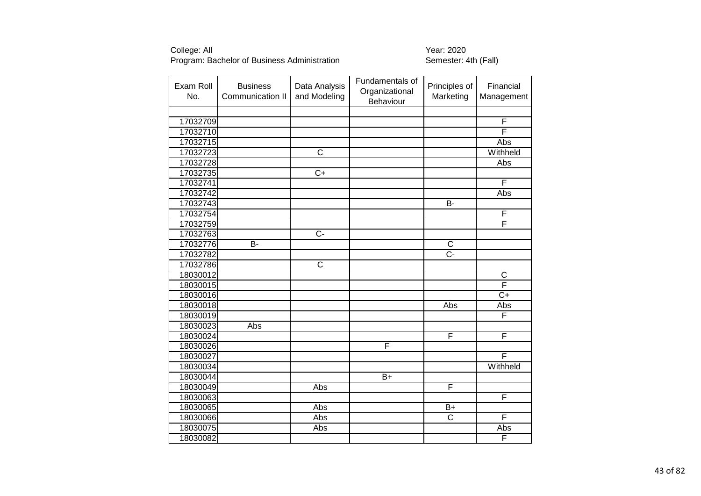| Exam Roll<br>No. | <b>Business</b><br>Communication II | Data Analysis<br>and Modeling | Fundamentals of<br>Organizational<br>Behaviour | Principles of<br>Marketing | Financial<br>Management |
|------------------|-------------------------------------|-------------------------------|------------------------------------------------|----------------------------|-------------------------|
|                  |                                     |                               |                                                |                            |                         |
| 17032709         |                                     |                               |                                                |                            | F                       |
| 17032710         |                                     |                               |                                                |                            | F                       |
| 17032715         |                                     |                               |                                                |                            | Abs                     |
| 17032723         |                                     | $\overline{C}$                |                                                |                            | Withheld                |
| 17032728         |                                     |                               |                                                |                            | Abs                     |
| 17032735         |                                     | $\overline{C+}$               |                                                |                            |                         |
| 17032741         |                                     |                               |                                                |                            | F                       |
| 17032742         |                                     |                               |                                                |                            | Abs                     |
| 17032743         |                                     |                               |                                                | B-                         |                         |
| 17032754         |                                     |                               |                                                |                            | F                       |
| 17032759         |                                     |                               |                                                |                            | F                       |
| 17032763         |                                     | $\overline{C}$                |                                                |                            |                         |
| 17032776         | B-                                  |                               |                                                | C                          |                         |
| 17032782         |                                     |                               |                                                | $\overline{C}$             |                         |
| 17032786         |                                     | $\overline{\text{c}}$         |                                                |                            |                         |
| 18030012         |                                     |                               |                                                |                            | $\mathsf C$             |
| 18030015         |                                     |                               |                                                |                            | F                       |
| 18030016         |                                     |                               |                                                |                            | $C+$                    |
| 18030018         |                                     |                               |                                                | Abs                        | Abs                     |
| 18030019         |                                     |                               |                                                |                            | F                       |
| 18030023         | Abs                                 |                               |                                                |                            |                         |
| 18030024         |                                     |                               |                                                | F                          | F                       |
| 18030026         |                                     |                               | F                                              |                            |                         |
| 18030027         |                                     |                               |                                                |                            | $\overline{\mathsf{F}}$ |
| 18030034         |                                     |                               |                                                |                            | Withheld                |
| 18030044         |                                     |                               | $\overline{B+}$                                |                            |                         |
| 18030049         |                                     | Abs                           |                                                | F                          |                         |
| 18030063         |                                     |                               |                                                |                            | $\overline{\mathsf{F}}$ |
| 18030065         |                                     | Abs                           |                                                | $\overline{B+}$            |                         |
| 18030066         |                                     | Abs                           |                                                | $\overline{C}$             | F                       |
| 18030075         |                                     | Abs                           |                                                |                            | Abs                     |
| 18030082         |                                     |                               |                                                |                            | F                       |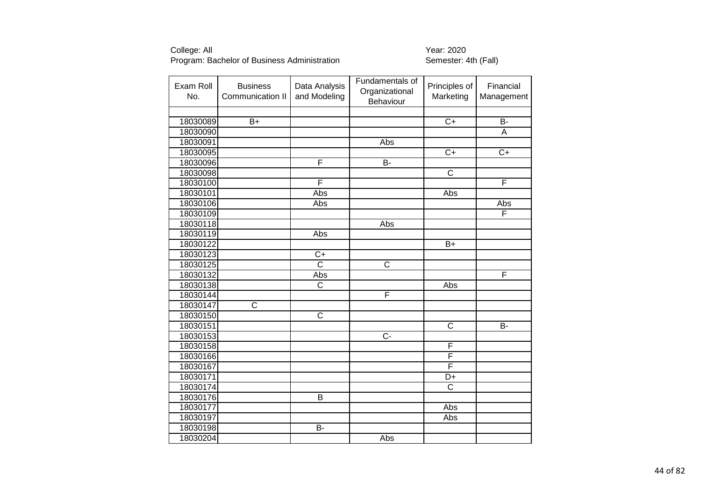| Exam Roll<br>No. | <b>Business</b><br>Communication II | Data Analysis<br>and Modeling | Fundamentals of<br>Organizational<br>Behaviour | Principles of<br>Marketing | Financial<br>Management |
|------------------|-------------------------------------|-------------------------------|------------------------------------------------|----------------------------|-------------------------|
|                  |                                     |                               |                                                |                            |                         |
| 18030089         | $B+$                                |                               |                                                | $\overline{C}$             | $\overline{B}$          |
| 18030090         |                                     |                               |                                                |                            | A                       |
| 18030091         |                                     |                               | Abs                                            |                            |                         |
| 18030095         |                                     |                               |                                                | $\overline{C+}$            | $\overline{C+}$         |
| 18030096         |                                     | F                             | $\overline{B}$                                 |                            |                         |
| 18030098         |                                     |                               |                                                | $\overline{\text{c}}$      |                         |
| 18030100         |                                     | F                             |                                                |                            | F                       |
| 18030101         |                                     | Abs                           |                                                | Abs                        |                         |
| 18030106         |                                     | Abs                           |                                                |                            | Abs                     |
| 18030109         |                                     |                               |                                                |                            | F                       |
| 18030118         |                                     |                               | Abs                                            |                            |                         |
| 18030119         |                                     | Abs                           |                                                |                            |                         |
| 18030122         |                                     |                               |                                                | $B+$                       |                         |
| 18030123         |                                     | $\overline{C}$                |                                                |                            |                         |
| 18030125         |                                     | $\overline{\text{c}}$         | $\overline{\text{c}}$                          |                            |                         |
| 18030132         |                                     | Abs                           |                                                |                            | F                       |
| 18030138         |                                     | $\overline{\mathsf{C}}$       |                                                | Abs                        |                         |
| 18030144         |                                     |                               | F                                              |                            |                         |
| 18030147         | $\overline{\text{C}}$               |                               |                                                |                            |                         |
| 18030150         |                                     | $\overline{\text{c}}$         |                                                |                            |                         |
| 18030151         |                                     |                               |                                                | $\overline{\text{c}}$      | <b>B-</b>               |
| 18030153         |                                     |                               | $\overline{C}$                                 |                            |                         |
| 18030158         |                                     |                               |                                                | F                          |                         |
| 18030166         |                                     |                               |                                                | F                          |                         |
| 18030167         |                                     |                               |                                                | F                          |                         |
| 18030171         |                                     |                               |                                                | $\overline{D+}$            |                         |
| 18030174         |                                     |                               |                                                | C                          |                         |
| 18030176         |                                     | $\overline{B}$                |                                                |                            |                         |
| 18030177         |                                     |                               |                                                | Abs                        |                         |
| 18030197         |                                     |                               |                                                | Abs                        |                         |
| 18030198         |                                     | B-                            |                                                |                            |                         |
| 18030204         |                                     |                               | Abs                                            |                            |                         |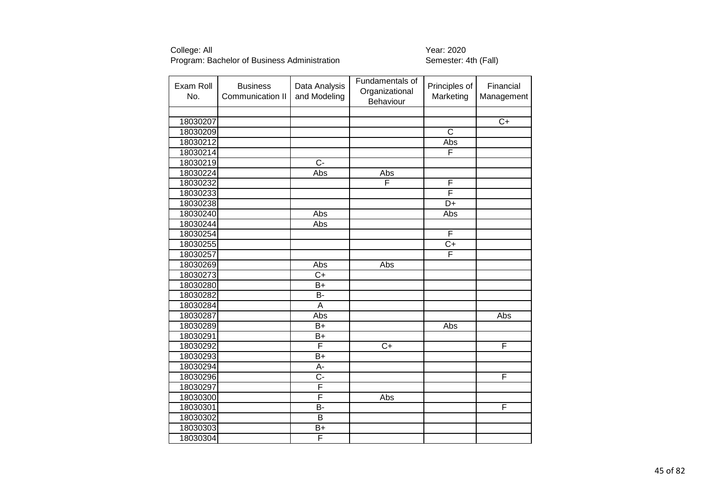| Exam Roll<br>No. | <b>Business</b><br>Communication II | Data Analysis<br>and Modeling | Fundamentals of<br>Organizational<br>Behaviour | Principles of<br>Marketing | Financial<br>Management |
|------------------|-------------------------------------|-------------------------------|------------------------------------------------|----------------------------|-------------------------|
|                  |                                     |                               |                                                |                            |                         |
| 18030207         |                                     |                               |                                                |                            | $\overline{C+}$         |
| 18030209         |                                     |                               |                                                | $\overline{\text{c}}$      |                         |
| 18030212         |                                     |                               |                                                | Abs                        |                         |
| 18030214         |                                     |                               |                                                | F                          |                         |
| 18030219         |                                     | $\overline{C}$ -              |                                                |                            |                         |
| 18030224         |                                     | Abs                           | Abs                                            |                            |                         |
| 18030232         |                                     |                               | F                                              | F                          |                         |
| 18030233         |                                     |                               |                                                | F                          |                         |
| 18030238         |                                     |                               |                                                | $\overline{D+}$            |                         |
| 18030240         |                                     | Abs                           |                                                | Abs                        |                         |
| 18030244         |                                     | Abs                           |                                                |                            |                         |
| 18030254         |                                     |                               |                                                | F                          |                         |
| 18030255         |                                     |                               |                                                | $\overline{C}$             |                         |
| 18030257         |                                     |                               |                                                | F                          |                         |
| 18030269         |                                     | Abs                           | Abs                                            |                            |                         |
| 18030273         |                                     | $\overline{C}$                |                                                |                            |                         |
| 18030280         |                                     | $B+$                          |                                                |                            |                         |
| 18030282         |                                     | <b>B-</b>                     |                                                |                            |                         |
| 18030284         |                                     | $\overline{A}$                |                                                |                            |                         |
| 18030287         |                                     | Abs                           |                                                |                            | Abs                     |
| 18030289         |                                     | $B+$                          |                                                | Abs                        |                         |
| 18030291         |                                     | $B+$                          |                                                |                            |                         |
| 18030292         |                                     | F                             | $\overline{C+}$                                |                            | F                       |
| 18030293         |                                     | $B+$                          |                                                |                            |                         |
| 18030294         |                                     | А-                            |                                                |                            |                         |
| 18030296         |                                     | $\overline{C}$                |                                                |                            | F                       |
| 18030297         |                                     | F                             |                                                |                            |                         |
| 18030300         |                                     | F                             | Abs                                            |                            |                         |
| 18030301         |                                     | $\overline{B}$                |                                                |                            | F                       |
| 18030302         |                                     | B                             |                                                |                            |                         |
| 18030303         |                                     | $B+$                          |                                                |                            |                         |
| 18030304         |                                     | F                             |                                                |                            |                         |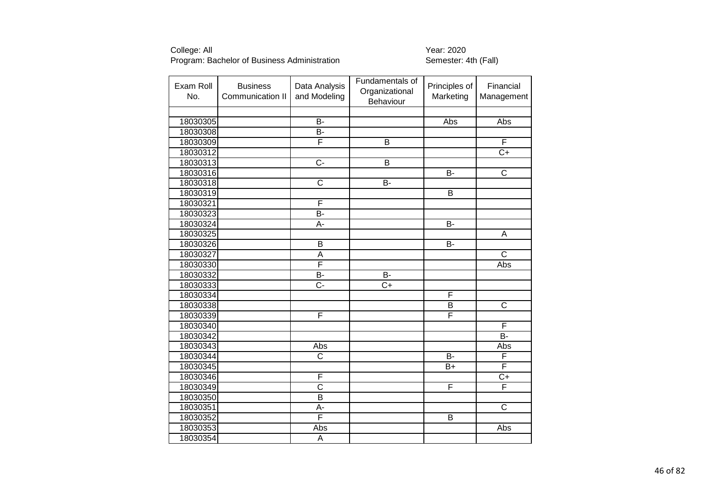| Exam Roll<br>No. | <b>Business</b><br>Communication II | Data Analysis<br>and Modeling | Fundamentals of<br>Organizational<br>Behaviour | Principles of<br>Marketing | Financial<br>Management |
|------------------|-------------------------------------|-------------------------------|------------------------------------------------|----------------------------|-------------------------|
|                  |                                     |                               |                                                |                            |                         |
| 18030305         |                                     | $B -$                         |                                                | Abs                        | Abs                     |
| 18030308         |                                     | $\overline{B}$                |                                                |                            |                         |
| 18030309         |                                     | F                             | $\overline{\mathsf{B}}$                        |                            | F                       |
| 18030312         |                                     |                               |                                                |                            | $C+$                    |
| 18030313         |                                     | $\overline{C}$                | $\overline{\mathsf{B}}$                        |                            |                         |
| 18030316         |                                     |                               |                                                | B-                         | $\overline{C}$          |
| 18030318         |                                     | $\overline{\mathsf{C}}$       | B-                                             |                            |                         |
| 18030319         |                                     |                               |                                                | B                          |                         |
| 18030321         |                                     | F                             |                                                |                            |                         |
| 18030323         |                                     | B-                            |                                                |                            |                         |
| 18030324         |                                     | А-                            |                                                | $\overline{B}$             |                         |
| 18030325         |                                     |                               |                                                |                            | A                       |
| 18030326         |                                     | B                             |                                                | <b>B-</b>                  |                         |
| 18030327         |                                     | А                             |                                                |                            | $\overline{\text{c}}$   |
| 18030330         |                                     | F                             |                                                |                            | Abs                     |
| 18030332         |                                     | B-                            | <b>B-</b>                                      |                            |                         |
| 18030333         |                                     | $\overline{C}$ -              | $\overline{C}$                                 |                            |                         |
| 18030334         |                                     |                               |                                                | F                          |                         |
| 18030338         |                                     |                               |                                                | B                          | $\overline{\text{c}}$   |
| 18030339         |                                     | F                             |                                                | F                          |                         |
| 18030340         |                                     |                               |                                                |                            | F                       |
| 18030342         |                                     |                               |                                                |                            | $\overline{B}$          |
| 18030343         |                                     | Abs                           |                                                |                            | Abs                     |
| 18030344         |                                     | $\overline{\text{C}}$         |                                                | $\overline{B}$             | F                       |
| 18030345         |                                     |                               |                                                | $B+$                       | F                       |
| 18030346         |                                     | F                             |                                                |                            | $\overline{C+}$         |
| 18030349         |                                     | C                             |                                                | F                          | F                       |
| 18030350         |                                     | $\overline{B}$                |                                                |                            |                         |
| 18030351         |                                     | A-                            |                                                |                            | $\overline{\text{c}}$   |
| 18030352         |                                     | F                             |                                                | B                          |                         |
| 18030353         |                                     | Abs                           |                                                |                            | Abs                     |
| 18030354         |                                     | $\overline{A}$                |                                                |                            |                         |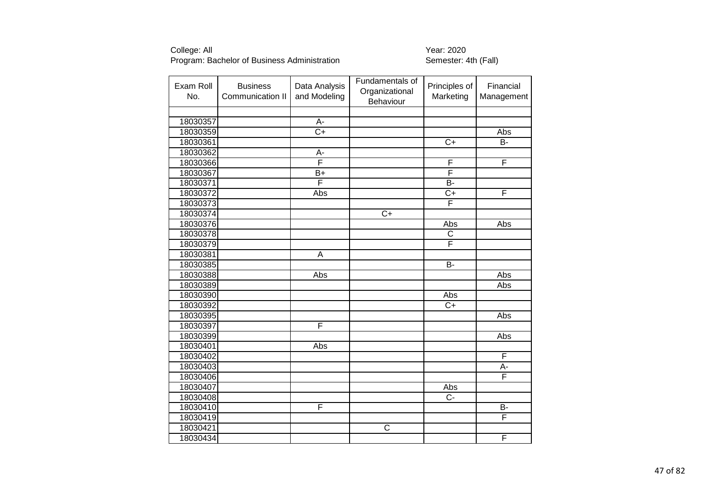| Exam Roll<br>No. | <b>Business</b><br>Communication II | Data Analysis<br>and Modeling | Fundamentals of<br>Organizational<br>Behaviour | Principles of<br>Marketing | Financial<br>Management |
|------------------|-------------------------------------|-------------------------------|------------------------------------------------|----------------------------|-------------------------|
|                  |                                     |                               |                                                |                            |                         |
| 18030357         |                                     | $\overline{A}$                |                                                |                            |                         |
| 18030359         |                                     | $\overline{C+}$               |                                                |                            | Abs                     |
| 18030361         |                                     |                               |                                                | $\overline{C+}$            | $\overline{B}$          |
| 18030362         |                                     | A-                            |                                                |                            |                         |
| 18030366         |                                     | F                             |                                                | F                          | F                       |
| 18030367         |                                     | B+                            |                                                | F                          |                         |
| 18030371         |                                     | F                             |                                                | $\overline{B}$             |                         |
| 18030372         |                                     | Abs                           |                                                | $\overline{C}$             | F                       |
| 18030373         |                                     |                               |                                                | F                          |                         |
| 18030374         |                                     |                               | $C+$                                           |                            |                         |
| 18030376         |                                     |                               |                                                | Abs                        | Abs                     |
| 18030378         |                                     |                               |                                                | $\mathsf C$                |                         |
| 18030379         |                                     |                               |                                                | F                          |                         |
| 18030381         |                                     | A                             |                                                |                            |                         |
| 18030385         |                                     |                               |                                                | <b>B-</b>                  |                         |
| 18030388         |                                     | Abs                           |                                                |                            | Abs                     |
| 18030389         |                                     |                               |                                                |                            | Abs                     |
| 18030390         |                                     |                               |                                                | Abs                        |                         |
| 18030392         |                                     |                               |                                                | $C+$                       |                         |
| 18030395         |                                     |                               |                                                |                            | Abs                     |
| 18030397         |                                     | F                             |                                                |                            |                         |
| 18030399         |                                     |                               |                                                |                            | Abs                     |
| 18030401         |                                     | Abs                           |                                                |                            |                         |
| 18030402         |                                     |                               |                                                |                            | F                       |
| 18030403         |                                     |                               |                                                |                            | А-                      |
| 18030406         |                                     |                               |                                                |                            | F                       |
| 18030407         |                                     |                               |                                                | Abs                        |                         |
| 18030408         |                                     |                               |                                                | $\overline{C}$             |                         |
| 18030410         |                                     | F                             |                                                |                            | В-                      |
| 18030419         |                                     |                               |                                                |                            | F                       |
| 18030421         |                                     |                               | $\overline{\text{c}}$                          |                            |                         |
| 18030434         |                                     |                               |                                                |                            | F                       |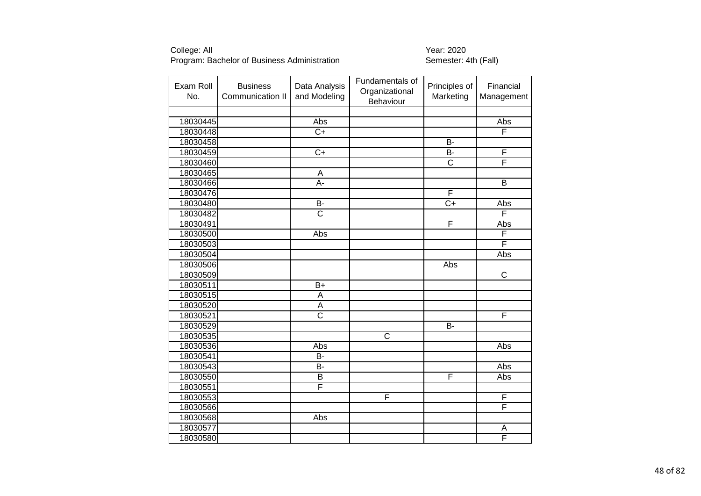| Exam Roll<br>No. | <b>Business</b><br>Communication II | Data Analysis<br>and Modeling | Fundamentals of<br>Organizational<br>Behaviour | Principles of<br>Marketing | Financial<br>Management |
|------------------|-------------------------------------|-------------------------------|------------------------------------------------|----------------------------|-------------------------|
|                  |                                     |                               |                                                |                            |                         |
| 18030445         |                                     | Abs                           |                                                |                            | Abs                     |
| 18030448         |                                     | $\overline{C}$                |                                                |                            | F                       |
| 18030458         |                                     |                               |                                                | $\overline{B}$             |                         |
| 18030459         |                                     | $\overline{C+}$               |                                                | <b>B-</b>                  | F                       |
| 18030460         |                                     |                               |                                                | $\overline{\text{c}}$      | F                       |
| 18030465         |                                     | A                             |                                                |                            |                         |
| 18030466         |                                     | A-                            |                                                |                            | B                       |
| 18030476         |                                     |                               |                                                | F                          |                         |
| 18030480         |                                     | <b>B-</b>                     |                                                | $\overline{C+}$            | Abs                     |
| 18030482         |                                     | $\overline{\mathsf{c}}$       |                                                |                            | F                       |
| 18030491         |                                     |                               |                                                | F                          | Abs                     |
| 18030500         |                                     | Abs                           |                                                |                            | F                       |
| 18030503         |                                     |                               |                                                |                            | F                       |
| 18030504         |                                     |                               |                                                |                            | Abs                     |
| 18030506         |                                     |                               |                                                | Abs                        |                         |
| 18030509         |                                     |                               |                                                |                            | C                       |
| 18030511         |                                     | $B+$                          |                                                |                            |                         |
| 18030515         |                                     | A                             |                                                |                            |                         |
| 18030520         |                                     | A                             |                                                |                            |                         |
| 18030521         |                                     | $\overline{\text{c}}$         |                                                |                            | F                       |
| 18030529         |                                     |                               |                                                | <b>B-</b>                  |                         |
| 18030535         |                                     |                               | $\overline{\text{c}}$                          |                            |                         |
| 18030536         |                                     | Abs                           |                                                |                            | Abs                     |
| 18030541         |                                     | B-                            |                                                |                            |                         |
| 18030543         |                                     | B-                            |                                                |                            | Abs                     |
| 18030550         |                                     | $\overline{\mathsf{B}}$       |                                                | F                          | Abs                     |
| 18030551         |                                     | F                             |                                                |                            |                         |
| 18030553         |                                     |                               | $\overline{F}$                                 |                            | F                       |
| 18030566         |                                     |                               |                                                |                            | F                       |
| 18030568         |                                     | Abs                           |                                                |                            |                         |
| 18030577         |                                     |                               |                                                |                            | A                       |
| 18030580         |                                     |                               |                                                |                            | F                       |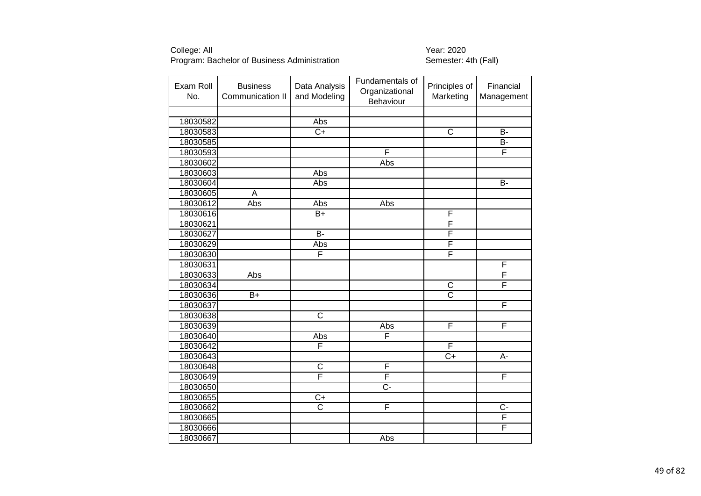| Exam Roll<br>No. | <b>Business</b><br>Communication II | Data Analysis<br>and Modeling | Fundamentals of<br>Organizational<br>Behaviour | Principles of<br>Marketing | Financial<br>Management |
|------------------|-------------------------------------|-------------------------------|------------------------------------------------|----------------------------|-------------------------|
|                  |                                     |                               |                                                |                            |                         |
| 18030582         |                                     | Abs                           |                                                |                            |                         |
| 18030583         |                                     | $\overline{C}$                |                                                | $\overline{\text{c}}$      | $\overline{B}$          |
| 18030585         |                                     |                               |                                                |                            | B-                      |
| 18030593         |                                     |                               | F                                              |                            | F                       |
| 18030602         |                                     |                               | Abs                                            |                            |                         |
| 18030603         |                                     | Abs                           |                                                |                            |                         |
| 18030604         |                                     | Abs                           |                                                |                            | <b>B-</b>               |
| 18030605         | A                                   |                               |                                                |                            |                         |
| 18030612         | Abs                                 | Abs                           | Abs                                            |                            |                         |
| 18030616         |                                     | B+                            |                                                | F                          |                         |
| 18030621         |                                     |                               |                                                | F                          |                         |
| 18030627         |                                     | Б-                            |                                                | F                          |                         |
| 18030629         |                                     | Abs                           |                                                | $\overline{F}$             |                         |
| 18030630         |                                     | F                             |                                                | F                          |                         |
| 18030631         |                                     |                               |                                                |                            | $\mathsf F$             |
| 18030633         | Abs                                 |                               |                                                |                            | F                       |
| 18030634         |                                     |                               |                                                | $\overline{\mathsf{C}}$    | F                       |
| 18030636         | $B+$                                |                               |                                                | $\overline{\text{C}}$      |                         |
| 18030637         |                                     |                               |                                                |                            | F                       |
| 18030638         |                                     | $\overline{\text{c}}$         |                                                |                            |                         |
| 18030639         |                                     |                               | Abs                                            | F                          | F                       |
| 18030640         |                                     | Abs                           | F                                              |                            |                         |
| 18030642         |                                     | F                             |                                                | F                          |                         |
| 18030643         |                                     |                               |                                                | $\overline{C+}$            | A-                      |
| 18030648         |                                     | $\overline{\text{c}}$         | F                                              |                            |                         |
| 18030649         |                                     | $\overline{\mathsf{F}}$       | F                                              |                            | F                       |
| 18030650         |                                     |                               | C-                                             |                            |                         |
| 18030655         |                                     | $\overline{C+}$               |                                                |                            |                         |
| 18030662         |                                     | $\overline{\text{c}}$         | F                                              |                            | $C -$                   |
| 18030665         |                                     |                               |                                                |                            | F                       |
| 18030666         |                                     |                               |                                                |                            | F                       |
| 18030667         |                                     |                               | Abs                                            |                            |                         |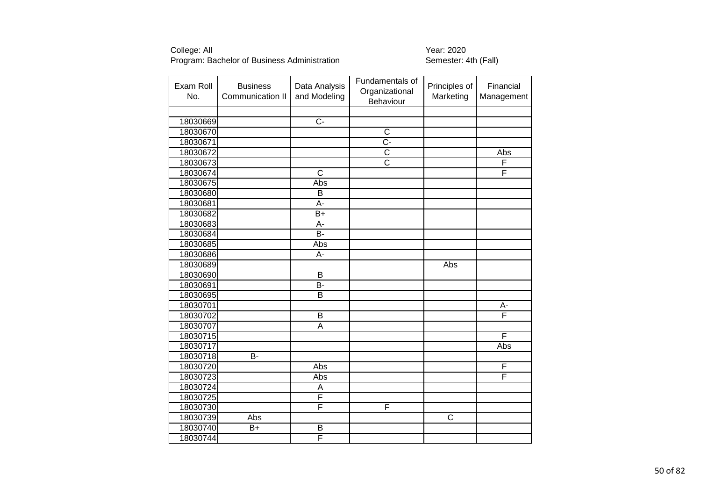| Exam Roll<br>No. | <b>Business</b><br>Communication II | Data Analysis<br>and Modeling | Fundamentals of<br>Organizational<br>Behaviour | Principles of<br>Marketing | Financial<br>Management |
|------------------|-------------------------------------|-------------------------------|------------------------------------------------|----------------------------|-------------------------|
|                  |                                     |                               |                                                |                            |                         |
| 18030669         |                                     | $\overline{C}$                |                                                |                            |                         |
| 18030670         |                                     |                               | $\overline{\text{c}}$                          |                            |                         |
| 18030671         |                                     |                               | $\overline{C}$ -                               |                            |                         |
| 18030672         |                                     |                               | $\overline{\text{c}}$                          |                            | Abs                     |
| 18030673         |                                     |                               | $\overline{\text{c}}$                          |                            | F                       |
| 18030674         |                                     | $\overline{\text{c}}$         |                                                |                            | F                       |
| 18030675         |                                     | Abs                           |                                                |                            |                         |
| 18030680         |                                     | B                             |                                                |                            |                         |
| 18030681         |                                     | $A -$                         |                                                |                            |                         |
| 18030682         |                                     | $B+$                          |                                                |                            |                         |
| 18030683         |                                     | A-                            |                                                |                            |                         |
| 18030684         |                                     | $\overline{B}$                |                                                |                            |                         |
| 18030685         |                                     | Abs                           |                                                |                            |                         |
| 18030686         |                                     | A-                            |                                                |                            |                         |
| 18030689         |                                     |                               |                                                | Abs                        |                         |
| 18030690         |                                     | B                             |                                                |                            |                         |
| 18030691         |                                     | $\overline{B}$                |                                                |                            |                         |
| 18030695         |                                     | B                             |                                                |                            |                         |
| 18030701         |                                     |                               |                                                |                            | A-                      |
| 18030702         |                                     | $\overline{\mathsf{B}}$       |                                                |                            | F                       |
| 18030707         |                                     | A                             |                                                |                            |                         |
| 18030715         |                                     |                               |                                                |                            | F                       |
| 18030717         |                                     |                               |                                                |                            | Abs                     |
| 18030718         | B-                                  |                               |                                                |                            |                         |
| 18030720         |                                     | Abs                           |                                                |                            | F                       |
| 18030723         |                                     | Abs                           |                                                |                            | F                       |
| 18030724         |                                     | A                             |                                                |                            |                         |
| 18030725         |                                     | F                             |                                                |                            |                         |
| 18030730         |                                     | F                             | F                                              |                            |                         |
| 18030739         | Abs                                 |                               |                                                | $\overline{\text{c}}$      |                         |
| 18030740         | B+                                  | B                             |                                                |                            |                         |
| 18030744         |                                     | F                             |                                                |                            |                         |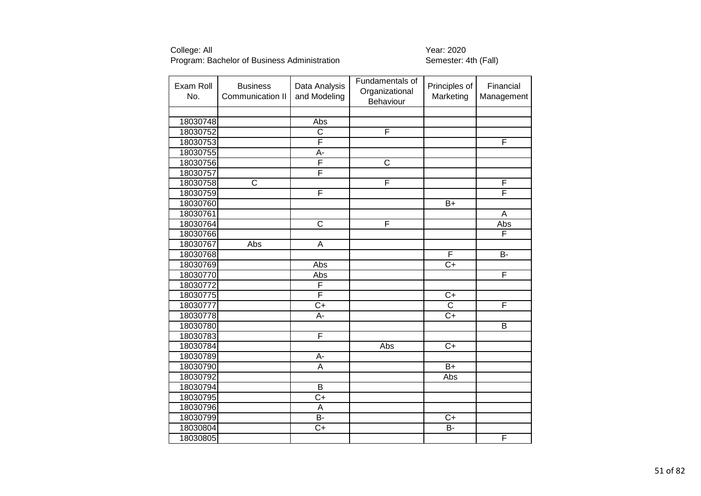| Exam Roll<br>No. | <b>Business</b><br>Communication II | Data Analysis<br>and Modeling | Fundamentals of<br>Organizational<br>Behaviour | Principles of<br>Marketing | Financial<br>Management |
|------------------|-------------------------------------|-------------------------------|------------------------------------------------|----------------------------|-------------------------|
|                  |                                     |                               |                                                |                            |                         |
| 18030748         |                                     | Abs                           |                                                |                            |                         |
| 18030752         |                                     | $\overline{\text{c}}$         | F                                              |                            |                         |
| 18030753         |                                     | F                             |                                                |                            | F                       |
| 18030755         |                                     | A-                            |                                                |                            |                         |
| 18030756         |                                     | F                             | $\overline{\text{c}}$                          |                            |                         |
| 18030757         |                                     | F                             |                                                |                            |                         |
| 18030758         | $\overline{\text{c}}$               |                               | F                                              |                            | F                       |
| 18030759         |                                     | F                             |                                                |                            | F                       |
| 18030760         |                                     |                               |                                                | $B+$                       |                         |
| 18030761         |                                     |                               |                                                |                            | A                       |
| 18030764         |                                     | $\overline{\mathsf{C}}$       | F                                              |                            | Abs                     |
| 18030766         |                                     |                               |                                                |                            | F                       |
| 18030767         | Abs                                 | A                             |                                                |                            |                         |
| 18030768         |                                     |                               |                                                | F                          | $\overline{B}$          |
| 18030769         |                                     | Abs                           |                                                | $C+$                       |                         |
| 18030770         |                                     | Abs                           |                                                |                            | F                       |
| 18030772         |                                     | F                             |                                                |                            |                         |
| 18030775         |                                     | F                             |                                                | $C+$                       |                         |
| 18030777         |                                     | $\overline{C+}$               |                                                | $\overline{\text{c}}$      | F                       |
| 18030778         |                                     | А-                            |                                                | $\overline{C}$ +           |                         |
| 18030780         |                                     |                               |                                                |                            | B                       |
| 18030783         |                                     | F                             |                                                |                            |                         |
| 18030784         |                                     |                               | Abs                                            | $\overline{C+}$            |                         |
| 18030789         |                                     | A-                            |                                                |                            |                         |
| 18030790         |                                     | A                             |                                                | $B+$                       |                         |
| 18030792         |                                     |                               |                                                | Abs                        |                         |
| 18030794         |                                     | B                             |                                                |                            |                         |
| 18030795         |                                     | $C+$                          |                                                |                            |                         |
| 18030796         |                                     | A                             |                                                |                            |                         |
| 18030799         |                                     | $\overline{B}$                |                                                | $C+$                       |                         |
| 18030804         |                                     | $C+$                          |                                                | B-                         |                         |
| 18030805         |                                     |                               |                                                |                            | F                       |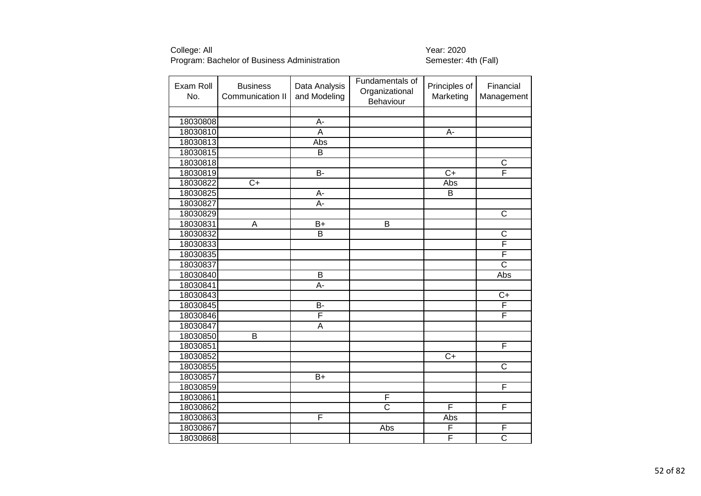| Exam Roll<br>No. | <b>Business</b><br>Communication II | Data Analysis<br>and Modeling | Fundamentals of<br>Organizational<br>Behaviour | Principles of<br>Marketing | Financial<br>Management |
|------------------|-------------------------------------|-------------------------------|------------------------------------------------|----------------------------|-------------------------|
|                  |                                     |                               |                                                |                            |                         |
| 18030808         |                                     | A-                            |                                                |                            |                         |
| 18030810         |                                     | A                             |                                                | $\overline{A}$ -           |                         |
| 18030813         |                                     | Abs                           |                                                |                            |                         |
| 18030815         |                                     | B                             |                                                |                            |                         |
| 18030818         |                                     |                               |                                                |                            | $\overline{\text{c}}$   |
| 18030819         |                                     | B-                            |                                                | $\overline{C+}$            | F                       |
| 18030822         | $\overline{C}$                      |                               |                                                | Abs                        |                         |
| 18030825         |                                     | A-                            |                                                | B                          |                         |
| 18030827         |                                     | A-                            |                                                |                            |                         |
| 18030829         |                                     |                               |                                                |                            | $\overline{C}$          |
| 18030831         | A                                   | $\overline{B+}$               | B                                              |                            |                         |
| 18030832         |                                     | $\overline{B}$                |                                                |                            | $\mathsf C$             |
| 18030833         |                                     |                               |                                                |                            | F                       |
| 18030835         |                                     |                               |                                                |                            | F                       |
| 18030837         |                                     |                               |                                                |                            | $\overline{\text{c}}$   |
| 18030840         |                                     | $\overline{B}$                |                                                |                            | Abs                     |
| 18030841         |                                     | A-                            |                                                |                            |                         |
| 18030843         |                                     |                               |                                                |                            | $C+$                    |
| 18030845         |                                     | $\overline{B}$                |                                                |                            | F                       |
| 18030846         |                                     | F                             |                                                |                            | F                       |
| 18030847         |                                     | A                             |                                                |                            |                         |
| 18030850         | B                                   |                               |                                                |                            |                         |
| 18030851         |                                     |                               |                                                |                            | F                       |
| 18030852         |                                     |                               |                                                | $C+$                       |                         |
| 18030855         |                                     |                               |                                                |                            | $\overline{\text{c}}$   |
| 18030857         |                                     | $B+$                          |                                                |                            |                         |
| 18030859         |                                     |                               |                                                |                            | $\overline{\mathsf{F}}$ |
| 18030861         |                                     |                               | $\overline{F}$                                 |                            |                         |
| 18030862         |                                     |                               | $\overline{\text{c}}$                          | F                          | F                       |
| 18030863         |                                     | F                             |                                                | Abs                        |                         |
| 18030867         |                                     |                               | Abs                                            | F                          | F                       |
| 18030868         |                                     |                               |                                                | F                          | $\overline{\text{c}}$   |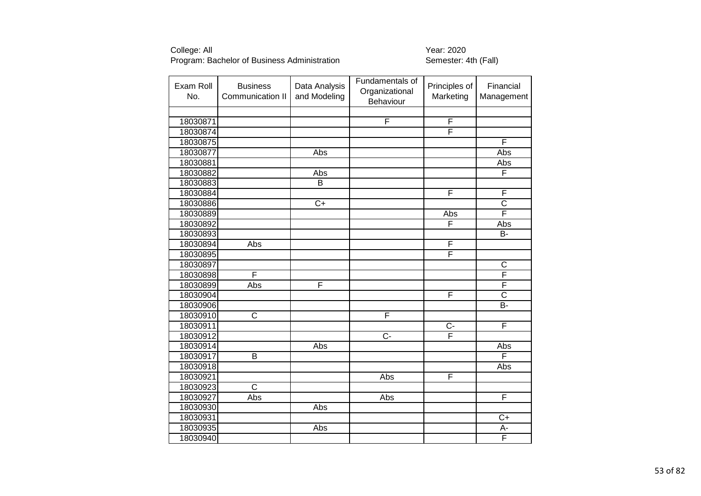| Exam Roll<br>No. | <b>Business</b><br>Communication II | Data Analysis<br>and Modeling | Fundamentals of<br>Organizational<br>Behaviour | Principles of<br>Marketing | Financial<br>Management |
|------------------|-------------------------------------|-------------------------------|------------------------------------------------|----------------------------|-------------------------|
|                  |                                     |                               |                                                |                            |                         |
| 18030871         |                                     |                               | $\overline{F}$                                 | $\mathsf{F}$               |                         |
| 18030874         |                                     |                               |                                                | F                          |                         |
| 18030875         |                                     |                               |                                                |                            | F                       |
| 18030877         |                                     | Abs                           |                                                |                            | Abs                     |
| 18030881         |                                     |                               |                                                |                            | Abs                     |
| 18030882         |                                     | Abs                           |                                                |                            | F                       |
| 18030883         |                                     | B                             |                                                |                            |                         |
| 18030884         |                                     |                               |                                                | F                          | F                       |
| 18030886         |                                     | $\overline{C+}$               |                                                |                            | $\overline{\text{c}}$   |
| 18030889         |                                     |                               |                                                | Abs                        | F                       |
| 18030892         |                                     |                               |                                                | F                          | Abs                     |
| 18030893         |                                     |                               |                                                |                            | <b>B-</b>               |
| 18030894         | Abs                                 |                               |                                                | $\mathsf{F}$               |                         |
| 18030895         |                                     |                               |                                                | F                          |                         |
| 18030897         |                                     |                               |                                                |                            | $\overline{C}$          |
| 18030898         | F                                   |                               |                                                |                            | $\overline{\mathsf{F}}$ |
| 18030899         | Abs                                 | F                             |                                                |                            | F                       |
| 18030904         |                                     |                               |                                                | F                          | $\overline{\text{c}}$   |
| 18030906         |                                     |                               |                                                |                            | <b>B-</b>               |
| 18030910         | $\overline{\text{c}}$               |                               | F                                              |                            |                         |
| 18030911         |                                     |                               |                                                | $\overline{C}$             | F                       |
| 18030912         |                                     |                               | C-                                             | $\overline{\mathsf{F}}$    |                         |
| 18030914         |                                     | Abs                           |                                                |                            | Abs                     |
| 18030917         | B                                   |                               |                                                |                            | F                       |
| 18030918         |                                     |                               |                                                |                            | Abs                     |
| 18030921         |                                     |                               | Abs                                            | F                          |                         |
| 18030923         | $\overline{\text{c}}$               |                               |                                                |                            |                         |
| 18030927         | Abs                                 |                               | Abs                                            |                            | $\overline{\mathsf{F}}$ |
| 18030930         |                                     | <b>Abs</b>                    |                                                |                            |                         |
| 18030931         |                                     |                               |                                                |                            | $\overline{C+}$         |
| 18030935         |                                     | Abs                           |                                                |                            | A-                      |
| 18030940         |                                     |                               |                                                |                            | F                       |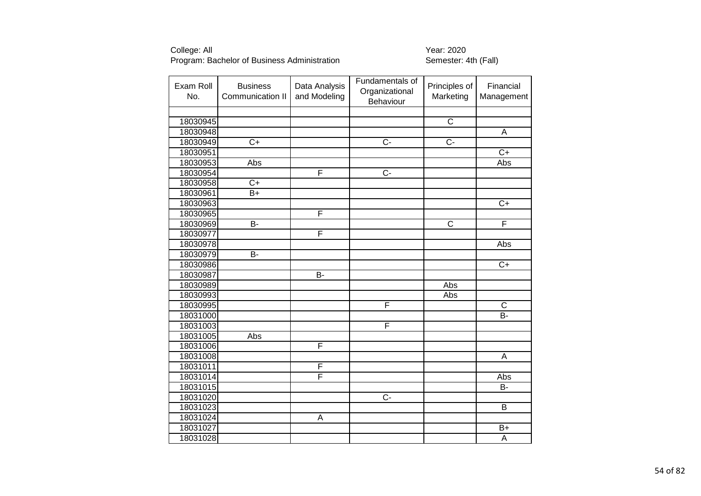| Exam Roll<br>No. | <b>Business</b><br>Communication II | Data Analysis<br>and Modeling | Fundamentals of<br>Organizational<br>Behaviour | Principles of<br>Marketing | Financial<br>Management |
|------------------|-------------------------------------|-------------------------------|------------------------------------------------|----------------------------|-------------------------|
|                  |                                     |                               |                                                |                            |                         |
| 18030945         |                                     |                               |                                                | $\overline{C}$             |                         |
| 18030948         |                                     |                               |                                                |                            | $\overline{A}$          |
| 18030949         | $\overline{C+}$                     |                               | $\overline{C}$ -                               | $\overline{C}$ -           |                         |
| 18030951         |                                     |                               |                                                |                            | $\overline{C}$          |
| 18030953         | Abs                                 |                               |                                                |                            | Abs                     |
| 18030954         |                                     | F                             | $\overline{C}$ -                               |                            |                         |
| 18030958         | $\overline{C}$ +                    |                               |                                                |                            |                         |
| 18030961         | B+                                  |                               |                                                |                            |                         |
| 18030963         |                                     |                               |                                                |                            | $\overline{C+}$         |
| 18030965         |                                     | F                             |                                                |                            |                         |
| 18030969         | $\overline{B}$                      |                               |                                                | $\overline{\mathsf{C}}$    | F                       |
| 18030977         |                                     | F                             |                                                |                            |                         |
| 18030978         |                                     |                               |                                                |                            | Abs                     |
| 18030979         | $\overline{B}$                      |                               |                                                |                            |                         |
| 18030986         |                                     |                               |                                                |                            | $\overline{C+}$         |
| 18030987         |                                     | $\overline{B}$                |                                                |                            |                         |
| 18030989         |                                     |                               |                                                | Abs                        |                         |
| 18030993         |                                     |                               |                                                | Abs                        |                         |
| 18030995         |                                     |                               | F                                              |                            | $\overline{C}$          |
| 18031000         |                                     |                               |                                                |                            | $\overline{B}$          |
| 18031003         |                                     |                               | F                                              |                            |                         |
| 18031005         | Abs                                 |                               |                                                |                            |                         |
| 18031006         |                                     | F                             |                                                |                            |                         |
| 18031008         |                                     |                               |                                                |                            | A                       |
| 18031011         |                                     | F                             |                                                |                            |                         |
| 18031014         |                                     | F                             |                                                |                            | Abs                     |
| 18031015         |                                     |                               |                                                |                            | B-                      |
| 18031020         |                                     |                               | $\overline{C}$                                 |                            |                         |
| 18031023         |                                     |                               |                                                |                            | B                       |
| 18031024         |                                     | $\mathsf A$                   |                                                |                            |                         |
| 18031027         |                                     |                               |                                                |                            | $B+$                    |
| 18031028         |                                     |                               |                                                |                            | A                       |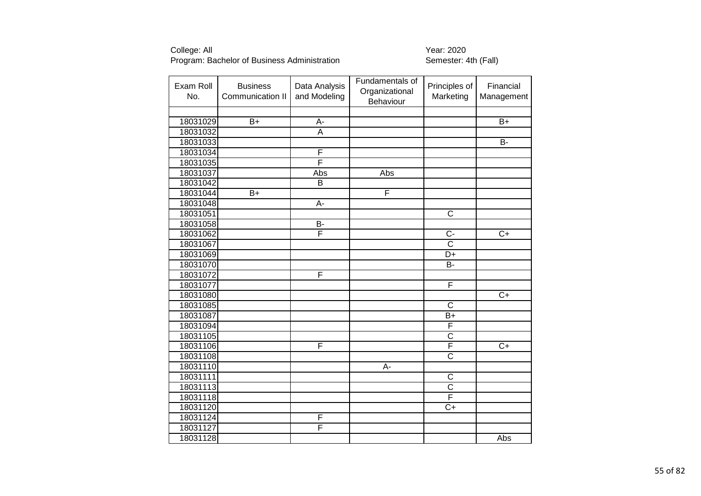| Exam Roll<br>No. | <b>Business</b><br>Communication II | Data Analysis<br>and Modeling | Fundamentals of<br>Organizational<br>Behaviour | Principles of<br>Marketing | Financial<br>Management |
|------------------|-------------------------------------|-------------------------------|------------------------------------------------|----------------------------|-------------------------|
|                  |                                     |                               |                                                |                            |                         |
| 18031029         | $B+$                                | A-                            |                                                |                            | $B+$                    |
| 18031032         |                                     | $\overline{A}$                |                                                |                            |                         |
| 18031033         |                                     |                               |                                                |                            | $\overline{B}$          |
| 18031034         |                                     | F                             |                                                |                            |                         |
| 18031035         |                                     | F                             |                                                |                            |                         |
| 18031037         |                                     | Abs                           | Abs                                            |                            |                         |
| 18031042         |                                     | B                             |                                                |                            |                         |
| 18031044         | $\overline{B}$ +                    |                               | F                                              |                            |                         |
| 18031048         |                                     | A-                            |                                                |                            |                         |
| 18031051         |                                     |                               |                                                | $\overline{C}$             |                         |
| 18031058         |                                     | B-                            |                                                |                            |                         |
| 18031062         |                                     | $\overline{\mathsf{F}}$       |                                                | $C -$                      | $C+$                    |
| 18031067         |                                     |                               |                                                | $\overline{\text{c}}$      |                         |
| 18031069         |                                     |                               |                                                | $\overline{D+}$            |                         |
| 18031070         |                                     |                               |                                                | <b>B-</b>                  |                         |
| 18031072         |                                     | F                             |                                                |                            |                         |
| 18031077         |                                     |                               |                                                | F                          |                         |
| 18031080         |                                     |                               |                                                |                            | $\overline{C}$          |
| 18031085         |                                     |                               |                                                | $\overline{\text{c}}$      |                         |
| 18031087         |                                     |                               |                                                | $\overline{B+}$            |                         |
| 18031094         |                                     |                               |                                                | F                          |                         |
| 18031105         |                                     |                               |                                                | $\overline{\text{c}}$      |                         |
| 18031106         |                                     | F                             |                                                | F                          | $\overline{C+}$         |
| 18031108         |                                     |                               |                                                | $\overline{\text{c}}$      |                         |
| 18031110         |                                     |                               | A-                                             |                            |                         |
| 18031111         |                                     |                               |                                                | $\overline{\text{c}}$      |                         |
| 18031113         |                                     |                               |                                                | $\overline{\text{c}}$      |                         |
| 18031118         |                                     |                               |                                                | $\overline{\mathsf{F}}$    |                         |
| 18031120         |                                     |                               |                                                | $\overline{C+}$            |                         |
| 18031124         |                                     | F                             |                                                |                            |                         |
| 18031127         |                                     | F                             |                                                |                            |                         |
| 18031128         |                                     |                               |                                                |                            | Abs                     |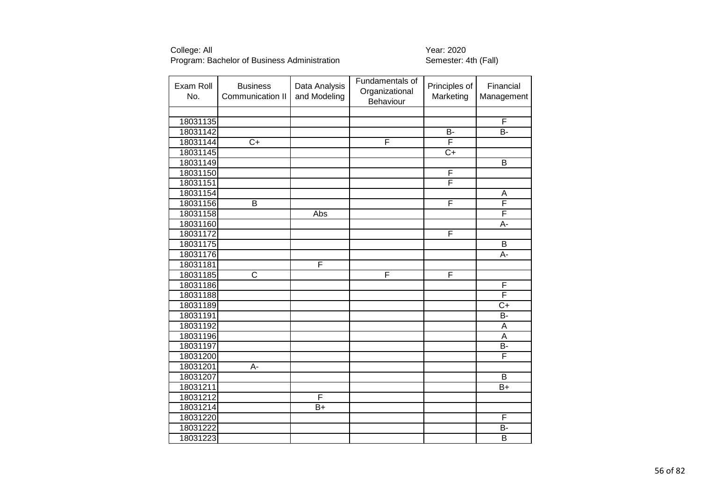| Exam Roll<br>No. | <b>Business</b><br>Communication II | Data Analysis<br>and Modeling | Fundamentals of<br>Organizational<br>Behaviour | Principles of<br>Marketing | Financial<br>Management |
|------------------|-------------------------------------|-------------------------------|------------------------------------------------|----------------------------|-------------------------|
|                  |                                     |                               |                                                |                            |                         |
| 18031135         |                                     |                               |                                                |                            | $\overline{\mathsf{F}}$ |
| 18031142         |                                     |                               |                                                | $\overline{B}$             | $\overline{B}$          |
| 18031144         | $\overline{C+}$                     |                               | F                                              | F                          |                         |
| 18031145         |                                     |                               |                                                | $\overline{C+}$            |                         |
| 18031149         |                                     |                               |                                                |                            | $\overline{\mathsf{B}}$ |
| 18031150         |                                     |                               |                                                | F                          |                         |
| 18031151         |                                     |                               |                                                | $\overline{\mathsf{F}}$    |                         |
| 18031154         |                                     |                               |                                                |                            | Α                       |
| 18031156         | B                                   |                               |                                                | F                          | F                       |
| 18031158         |                                     | Abs                           |                                                |                            | F                       |
| 18031160         |                                     |                               |                                                |                            | $\overline{A}$ -        |
| 18031172         |                                     |                               |                                                | $\mathsf F$                |                         |
| 18031175         |                                     |                               |                                                |                            | B                       |
| 18031176         |                                     |                               |                                                |                            | A-                      |
| 18031181         |                                     | F                             |                                                |                            |                         |
| 18031185         | $\overline{\text{c}}$               |                               | F                                              | $\overline{F}$             |                         |
| 18031186         |                                     |                               |                                                |                            | F                       |
| 18031188         |                                     |                               |                                                |                            | F                       |
| 18031189         |                                     |                               |                                                |                            | $\overline{C}$          |
| 18031191         |                                     |                               |                                                |                            | $\overline{B}$          |
| 18031192         |                                     |                               |                                                |                            | A                       |
| 18031196         |                                     |                               |                                                |                            | A                       |
| 18031197         |                                     |                               |                                                |                            | <b>B-</b>               |
| 18031200         |                                     |                               |                                                |                            | F                       |
| 18031201         | A-                                  |                               |                                                |                            |                         |
| 18031207         |                                     |                               |                                                |                            | $\overline{B}$          |
| 18031211         |                                     |                               |                                                |                            | B+                      |
| 18031212         |                                     | $\overline{\mathsf{F}}$       |                                                |                            |                         |
| 18031214         |                                     | $B+$                          |                                                |                            |                         |
| 18031220         |                                     |                               |                                                |                            | F                       |
| 18031222         |                                     |                               |                                                |                            | B-                      |
| 18031223         |                                     |                               |                                                |                            | $\overline{B}$          |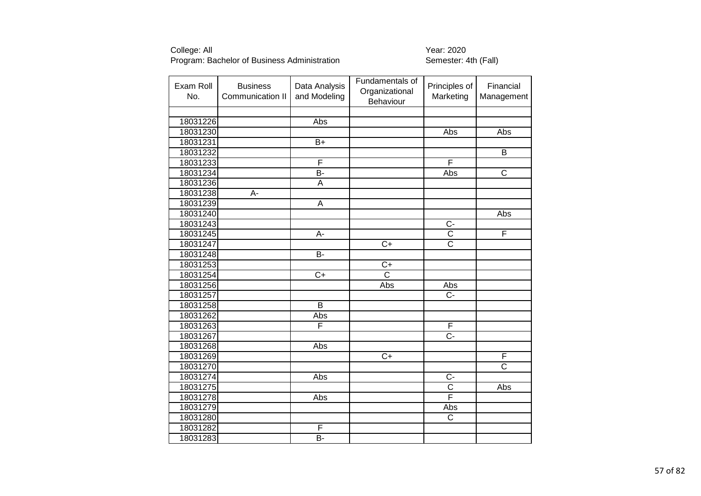| Exam Roll<br>No. | <b>Business</b><br>Communication II | Data Analysis<br>and Modeling | Fundamentals of<br>Organizational<br>Behaviour | Principles of<br>Marketing | Financial<br>Management |
|------------------|-------------------------------------|-------------------------------|------------------------------------------------|----------------------------|-------------------------|
|                  |                                     |                               |                                                |                            |                         |
| 18031226         |                                     | Abs                           |                                                |                            |                         |
| 18031230         |                                     |                               |                                                | Abs                        | Abs                     |
| 18031231         |                                     | $\overline{B+}$               |                                                |                            |                         |
| 18031232         |                                     |                               |                                                |                            | $\overline{B}$          |
| 18031233         |                                     | F                             |                                                | F                          |                         |
| 18031234         |                                     | $\overline{B}$                |                                                | Abs                        | $\overline{\text{c}}$   |
| 18031236         |                                     | A                             |                                                |                            |                         |
| 18031238         | A-                                  |                               |                                                |                            |                         |
| 18031239         |                                     | A                             |                                                |                            |                         |
| 18031240         |                                     |                               |                                                |                            | Abs                     |
| 18031243         |                                     |                               |                                                | $\overline{C}$             |                         |
| 18031245         |                                     | А-                            |                                                | $\overline{C}$             | F                       |
| 18031247         |                                     |                               | $\overline{C}$ +                               | $\overline{\text{c}}$      |                         |
| 18031248         |                                     | $\overline{B}$                |                                                |                            |                         |
| 18031253         |                                     |                               | $C+$                                           |                            |                         |
| 18031254         |                                     | $\overline{C}$                | $\overline{\text{c}}$                          |                            |                         |
| 18031256         |                                     |                               | Abs                                            | Abs                        |                         |
| 18031257         |                                     |                               |                                                | $C -$                      |                         |
| 18031258         |                                     | $\overline{B}$                |                                                |                            |                         |
| 18031262         |                                     | <b>Abs</b>                    |                                                |                            |                         |
| 18031263         |                                     | F                             |                                                | F                          |                         |
| 18031267         |                                     |                               |                                                | $\overline{C}$             |                         |
| 18031268         |                                     | Abs                           |                                                |                            |                         |
| 18031269         |                                     |                               | $C+$                                           |                            | F                       |
| 18031270         |                                     |                               |                                                |                            | $\overline{\text{c}}$   |
| 18031274         |                                     | Abs                           |                                                | $\overline{C}$             |                         |
| 18031275         |                                     |                               |                                                | $\overline{C}$             | Abs                     |
| 18031278         |                                     | Abs                           |                                                | $\overline{\mathsf{F}}$    |                         |
| 18031279         |                                     |                               |                                                | Abs                        |                         |
| 18031280         |                                     |                               |                                                | $\overline{C}$             |                         |
| 18031282         |                                     | F                             |                                                |                            |                         |
| 18031283         |                                     | $\overline{B}$                |                                                |                            |                         |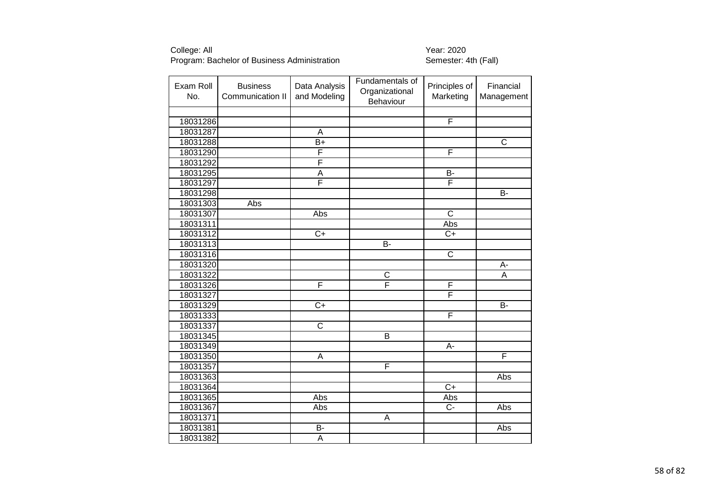| Exam Roll<br>No. | <b>Business</b><br>Communication II | Data Analysis<br>and Modeling | Fundamentals of<br>Organizational<br>Behaviour | Principles of<br>Marketing | Financial<br>Management |
|------------------|-------------------------------------|-------------------------------|------------------------------------------------|----------------------------|-------------------------|
|                  |                                     |                               |                                                |                            |                         |
| 18031286         |                                     |                               |                                                | $\overline{F}$             |                         |
| 18031287         |                                     | A                             |                                                |                            |                         |
| 18031288         |                                     | $\overline{B+}$               |                                                |                            | $\overline{\text{c}}$   |
| 18031290         |                                     | F                             |                                                | F                          |                         |
| 18031292         |                                     | F                             |                                                |                            |                         |
| 18031295         |                                     | $\overline{\mathsf{A}}$       |                                                | $\overline{B}$             |                         |
| 18031297         |                                     | F                             |                                                | F                          |                         |
| 18031298         |                                     |                               |                                                |                            | B-                      |
| 18031303         | Abs                                 |                               |                                                |                            |                         |
| 18031307         |                                     | Abs                           |                                                | $\overline{C}$             |                         |
| 18031311         |                                     |                               |                                                | Abs                        |                         |
| 18031312         |                                     | $C+$                          |                                                | $C+$                       |                         |
| 18031313         |                                     |                               | <b>B-</b>                                      |                            |                         |
| 18031316         |                                     |                               |                                                | $\overline{\mathsf{C}}$    |                         |
| 18031320         |                                     |                               |                                                |                            | A-                      |
| 18031322         |                                     |                               | $\mathsf C$                                    |                            | $\overline{\mathsf{A}}$ |
| 18031326         |                                     | F                             | F                                              | F                          |                         |
| 18031327         |                                     |                               |                                                | F                          |                         |
| 18031329         |                                     | $\overline{C+}$               |                                                |                            | B-                      |
| 18031333         |                                     |                               |                                                | F                          |                         |
| 18031337         |                                     | $\overline{\text{c}}$         |                                                |                            |                         |
| 18031345         |                                     |                               | B                                              |                            |                         |
| 18031349         |                                     |                               |                                                | $\overline{A}$ -           |                         |
| 18031350         |                                     | A                             |                                                |                            | F                       |
| 18031357         |                                     |                               | F                                              |                            |                         |
| 18031363         |                                     |                               |                                                |                            | Abs                     |
| 18031364         |                                     |                               |                                                | $\overline{C}$             |                         |
| 18031365         |                                     | Abs                           |                                                | Abs                        |                         |
| 18031367         |                                     | Abs                           |                                                | $\overline{C}$             | Abs                     |
| 18031371         |                                     |                               | A                                              |                            |                         |
| 18031381         |                                     | $\overline{B}$                |                                                |                            | Abs                     |
| 18031382         |                                     | $\overline{A}$                |                                                |                            |                         |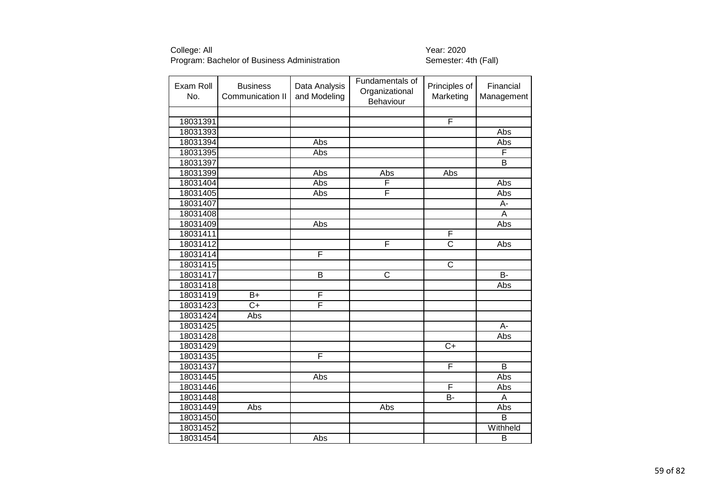| Exam Roll<br>No. | <b>Business</b><br>Communication II | Data Analysis<br>and Modeling | Fundamentals of<br>Organizational<br>Behaviour | Principles of<br>Marketing | Financial<br>Management |
|------------------|-------------------------------------|-------------------------------|------------------------------------------------|----------------------------|-------------------------|
|                  |                                     |                               |                                                |                            |                         |
| 18031391         |                                     |                               |                                                | F                          |                         |
| 18031393         |                                     |                               |                                                |                            | <b>Abs</b>              |
| 18031394         |                                     | Abs                           |                                                |                            | Abs                     |
| 18031395         |                                     | Abs                           |                                                |                            | F                       |
| 18031397         |                                     |                               |                                                |                            | B                       |
| 18031399         |                                     | Abs                           | Abs                                            | Abs                        |                         |
| 18031404         |                                     | Abs                           | F                                              |                            | Abs                     |
| 18031405         |                                     | Abs                           | F                                              |                            | Abs                     |
| 18031407         |                                     |                               |                                                |                            | A-                      |
| 18031408         |                                     |                               |                                                |                            | A                       |
| 18031409         |                                     | Abs                           |                                                |                            | Abs                     |
| 18031411         |                                     |                               |                                                | $\overline{F}$             |                         |
| 18031412         |                                     |                               | F                                              | $\overline{\mathsf{c}}$    | Abs                     |
| 18031414         |                                     | F                             |                                                |                            |                         |
| 18031415         |                                     |                               |                                                | $\mathsf C$                |                         |
| 18031417         |                                     | B                             | $\overline{\text{C}}$                          |                            | $\overline{B}$          |
| 18031418         |                                     |                               |                                                |                            | Abs                     |
| 18031419         | $B+$                                | F                             |                                                |                            |                         |
| 18031423         | $C+$                                | F                             |                                                |                            |                         |
| 18031424         | Abs                                 |                               |                                                |                            |                         |
| 18031425         |                                     |                               |                                                |                            | A-                      |
| 18031428         |                                     |                               |                                                |                            | Abs                     |
| 18031429         |                                     |                               |                                                | $\overline{C}$             |                         |
| 18031435         |                                     | F                             |                                                |                            |                         |
| 18031437         |                                     |                               |                                                | F                          | $\overline{B}$          |
| 18031445         |                                     | Abs                           |                                                |                            | Abs                     |
| 18031446         |                                     |                               |                                                | $\overline{F}$             | Abs                     |
| 18031448         |                                     |                               |                                                | <b>B-</b>                  | A                       |
| 18031449         | Abs                                 |                               | Abs                                            |                            | Abs                     |
| 18031450         |                                     |                               |                                                |                            | B                       |
| 18031452         |                                     |                               |                                                |                            | Withheld                |
| 18031454         |                                     | Abs                           |                                                |                            | $\overline{B}$          |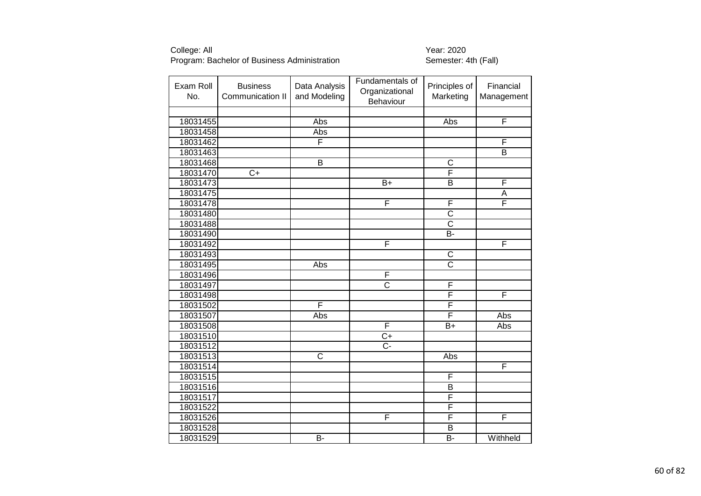| Exam Roll<br>No. | <b>Business</b><br>Communication II | Data Analysis<br>and Modeling | Fundamentals of<br>Organizational<br>Behaviour | Principles of<br>Marketing | Financial<br>Management |
|------------------|-------------------------------------|-------------------------------|------------------------------------------------|----------------------------|-------------------------|
|                  |                                     |                               |                                                |                            |                         |
| 18031455         |                                     | Abs                           |                                                | Abs                        | $\overline{F}$          |
| 18031458         |                                     | Abs                           |                                                |                            |                         |
| 18031462         |                                     | F                             |                                                |                            | F                       |
| 18031463         |                                     |                               |                                                |                            | B                       |
| 18031468         |                                     | $\overline{B}$                |                                                | $\overline{\text{c}}$      |                         |
| 18031470         | $\overline{C}$                      |                               |                                                | F                          |                         |
| 18031473         |                                     |                               | $B+$                                           | B                          | F                       |
| 18031475         |                                     |                               |                                                |                            | $\overline{A}$          |
| 18031478         |                                     |                               | F                                              | $\overline{F}$             | F                       |
| 18031480         |                                     |                               |                                                | $\overline{\text{c}}$      |                         |
| 18031488         |                                     |                               |                                                | $\overline{\text{c}}$      |                         |
| 18031490         |                                     |                               |                                                | $\overline{B}$ -           |                         |
| 18031492         |                                     |                               | F                                              |                            | $\overline{\mathsf{F}}$ |
| 18031493         |                                     |                               |                                                | $\overline{C}$             |                         |
| 18031495         |                                     | Abs                           |                                                | $\overline{\text{c}}$      |                         |
| 18031496         |                                     |                               | F                                              |                            |                         |
| 18031497         |                                     |                               | $\overline{\text{c}}$                          | F                          |                         |
| 18031498         |                                     |                               |                                                | $\overline{\mathsf{F}}$    | F                       |
| 18031502         |                                     | F                             |                                                | F                          |                         |
| 18031507         |                                     | Abs                           |                                                | F                          | Abs                     |
| 18031508         |                                     |                               | F                                              | $B+$                       | Abs                     |
| 18031510         |                                     |                               | $\overline{C+}$                                |                            |                         |
| 18031512         |                                     |                               | $\overline{C}$ -                               |                            |                         |
| 18031513         |                                     | $\overline{\text{c}}$         |                                                | Abs                        |                         |
| 18031514         |                                     |                               |                                                |                            | $\overline{\mathsf{F}}$ |
| 18031515         |                                     |                               |                                                | F                          |                         |
| 18031516         |                                     |                               |                                                | B                          |                         |
| 18031517         |                                     |                               |                                                | F                          |                         |
| 18031522         |                                     |                               |                                                | F                          |                         |
| 18031526         |                                     |                               | F                                              | $\overline{F}$             | F                       |
| 18031528         |                                     |                               |                                                | B                          |                         |
| 18031529         |                                     | $\overline{B}$                |                                                | B-                         | Withheld                |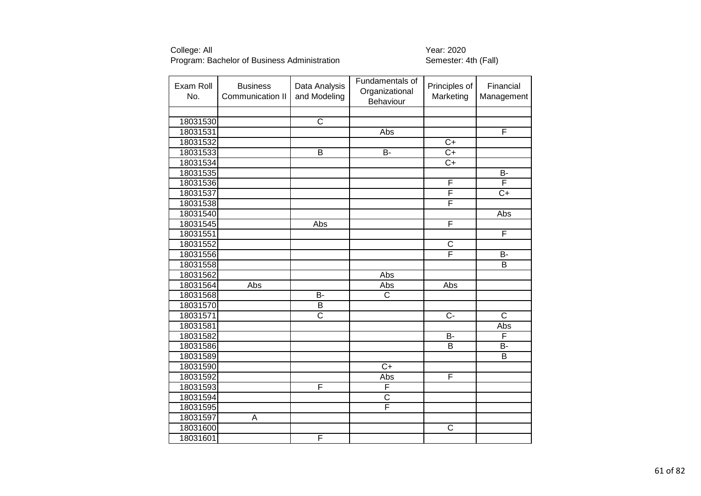| Exam Roll<br>No. | <b>Business</b><br>Communication II | Data Analysis<br>and Modeling | Fundamentals of<br>Organizational<br>Behaviour | Principles of<br>Marketing | Financial<br>Management |
|------------------|-------------------------------------|-------------------------------|------------------------------------------------|----------------------------|-------------------------|
|                  |                                     |                               |                                                |                            |                         |
| 18031530         |                                     | $\overline{\text{c}}$         |                                                |                            |                         |
| 18031531         |                                     |                               | Abs                                            |                            | F                       |
| 18031532         |                                     |                               |                                                | $\overline{C+}$            |                         |
| 18031533         |                                     | $\overline{B}$                | <b>B-</b>                                      | $\overline{C}$             |                         |
| 18031534         |                                     |                               |                                                | $\overline{C+}$            |                         |
| 18031535         |                                     |                               |                                                |                            | $\overline{B}$          |
| 18031536         |                                     |                               |                                                | F                          | F                       |
| 18031537         |                                     |                               |                                                | F                          | $C+$                    |
| 18031538         |                                     |                               |                                                | $\overline{\mathsf{F}}$    |                         |
| 18031540         |                                     |                               |                                                |                            | Abs                     |
| 18031545         |                                     | Abs                           |                                                | F                          |                         |
| 18031551         |                                     |                               |                                                |                            | F                       |
| 18031552         |                                     |                               |                                                | C                          |                         |
| 18031556         |                                     |                               |                                                | F                          | B-                      |
| 18031558         |                                     |                               |                                                |                            | B                       |
| 18031562         |                                     |                               | Abs                                            |                            |                         |
| 18031564         | Abs                                 |                               | Abs                                            | Abs                        |                         |
| 18031568         |                                     | $\overline{B}$                | $\overline{\text{c}}$                          |                            |                         |
| 18031570         |                                     | $\overline{B}$                |                                                |                            |                         |
| 18031571         |                                     | $\overline{\text{c}}$         |                                                | $\overline{C}$             | $\overline{\text{c}}$   |
| 18031581         |                                     |                               |                                                |                            | Abs                     |
| 18031582         |                                     |                               |                                                | B-                         | F                       |
| 18031586         |                                     |                               |                                                | $\overline{B}$             | <b>B-</b>               |
| 18031589         |                                     |                               |                                                |                            | B                       |
| 18031590         |                                     |                               | $\overline{C}$ +                               |                            |                         |
| 18031592         |                                     |                               | Abs                                            | F                          |                         |
| 18031593         |                                     | F                             | F                                              |                            |                         |
| 18031594         |                                     |                               | $\overline{\text{c}}$                          |                            |                         |
| 18031595         |                                     |                               | F                                              |                            |                         |
| 18031597         | A                                   |                               |                                                |                            |                         |
| 18031600         |                                     |                               |                                                | C                          |                         |
| 18031601         |                                     | F                             |                                                |                            |                         |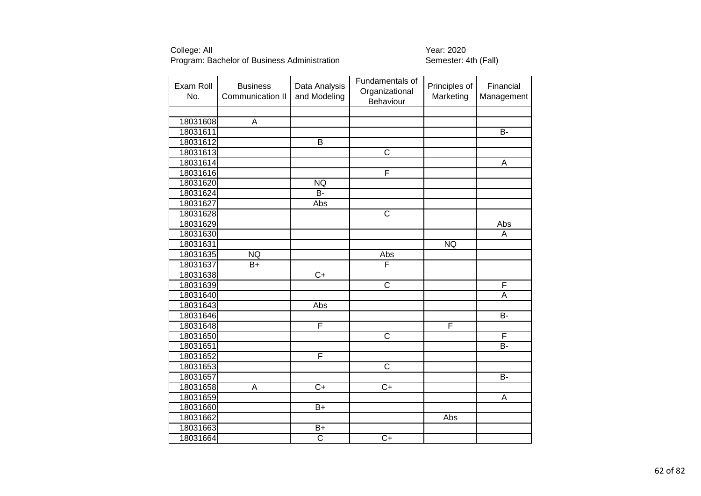| Exam Roll<br>No. | <b>Business</b><br>Communication II | Data Analysis<br>and Modeling | Fundamentals of<br>Organizational<br>Behaviour | Principles of<br>Marketing | Financial<br>Management |
|------------------|-------------------------------------|-------------------------------|------------------------------------------------|----------------------------|-------------------------|
|                  |                                     |                               |                                                |                            |                         |
| 18031608         | A                                   |                               |                                                |                            |                         |
| 18031611         |                                     |                               |                                                |                            | B-                      |
| 18031612         |                                     | $\overline{\mathsf{B}}$       |                                                |                            |                         |
| 18031613         |                                     |                               | $\mathsf C$                                    |                            |                         |
| 18031614         |                                     |                               |                                                |                            | A                       |
| 18031616         |                                     |                               | F                                              |                            |                         |
| 18031620         |                                     | <b>NQ</b>                     |                                                |                            |                         |
| 18031624         |                                     | $\overline{B}$                |                                                |                            |                         |
| 18031627         |                                     | Abs                           |                                                |                            |                         |
| 18031628         |                                     |                               | $\overline{\text{c}}$                          |                            |                         |
| 18031629         |                                     |                               |                                                |                            | Abs                     |
| 18031630         |                                     |                               |                                                |                            | А                       |
| 18031631         |                                     |                               |                                                | <b>NQ</b>                  |                         |
| 18031635         | <b>NQ</b>                           |                               | Abs                                            |                            |                         |
| 18031637         | $B+$                                |                               | $\overline{F}$                                 |                            |                         |
| 18031638         |                                     | $\overline{C+}$               |                                                |                            |                         |
| 18031639         |                                     |                               | $\overline{\text{c}}$                          |                            | F                       |
| 18031640         |                                     |                               |                                                |                            | A                       |
| 18031643         |                                     | Abs                           |                                                |                            |                         |
| 18031646         |                                     |                               |                                                |                            | $\overline{B}$          |
| 18031648         |                                     | F                             |                                                | F                          |                         |
| 18031650         |                                     |                               | $\overline{\text{c}}$                          |                            | F                       |
| 18031651         |                                     |                               |                                                |                            | $\overline{B}$          |
| 18031652         |                                     | F                             |                                                |                            |                         |
| 18031653         |                                     |                               | $\overline{\text{c}}$                          |                            |                         |
| 18031657         |                                     |                               |                                                |                            | $\overline{B}$          |
| 18031658         | A                                   | $\overline{C}$ +              | $\overline{C}$                                 |                            |                         |
| 18031659         |                                     |                               |                                                |                            | Α                       |
| 18031660         |                                     | $\overline{B+}$               |                                                |                            |                         |
| 18031662         |                                     |                               |                                                | Abs                        |                         |
| 18031663         |                                     | $B+$                          |                                                |                            |                         |
| 18031664         |                                     | $\overline{\text{c}}$         | $\overline{C+}$                                |                            |                         |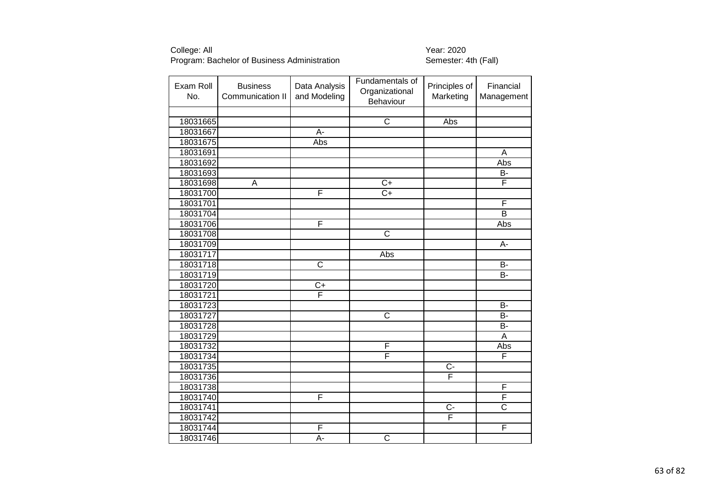| Exam Roll<br>No. | <b>Business</b><br>Communication II | Data Analysis<br>and Modeling | Fundamentals of<br>Organizational<br>Behaviour | Principles of<br>Marketing | Financial<br>Management |
|------------------|-------------------------------------|-------------------------------|------------------------------------------------|----------------------------|-------------------------|
|                  |                                     |                               |                                                |                            |                         |
| 18031665         |                                     |                               | $\overline{\text{c}}$                          | Abs                        |                         |
| 18031667         |                                     | $\overline{A}$ -              |                                                |                            |                         |
| 18031675         |                                     | Abs                           |                                                |                            |                         |
| 18031691         |                                     |                               |                                                |                            | A                       |
| 18031692         |                                     |                               |                                                |                            | Abs                     |
| 18031693         |                                     |                               |                                                |                            | B-                      |
| 18031698         | A                                   |                               | $\overline{C}$                                 |                            | F                       |
| 18031700         |                                     | F                             | $\overline{C+}$                                |                            |                         |
| 18031701         |                                     |                               |                                                |                            | F                       |
| 18031704         |                                     |                               |                                                |                            | $\overline{B}$          |
| 18031706         |                                     | F                             |                                                |                            | Abs                     |
| 18031708         |                                     |                               | $\overline{C}$                                 |                            |                         |
| 18031709         |                                     |                               |                                                |                            | A-                      |
| 18031717         |                                     |                               | Abs                                            |                            |                         |
| 18031718         |                                     | $\overline{\text{C}}$         |                                                |                            | <b>B-</b>               |
| 18031719         |                                     |                               |                                                |                            | $\overline{B}$          |
| 18031720         |                                     | $\overline{C}$                |                                                |                            |                         |
| 18031721         |                                     | F                             |                                                |                            |                         |
| 18031723         |                                     |                               |                                                |                            | <b>B-</b>               |
| 18031727         |                                     |                               | $\overline{\text{c}}$                          |                            | $\overline{B}$          |
| 18031728         |                                     |                               |                                                |                            | B-                      |
| 18031729         |                                     |                               |                                                |                            | Α                       |
| 18031732         |                                     |                               | F                                              |                            | <b>Abs</b>              |
| 18031734         |                                     |                               | F                                              |                            | F                       |
| 18031735         |                                     |                               |                                                | $C -$                      |                         |
| 18031736         |                                     |                               |                                                | Ē                          |                         |
| 18031738         |                                     |                               |                                                |                            | $\overline{F}$          |
| 18031740         |                                     | F                             |                                                |                            | F                       |
| 18031741         |                                     |                               |                                                | $C -$                      | $\overline{\text{c}}$   |
| 18031742         |                                     |                               |                                                | $\overline{\mathsf{F}}$    |                         |
| 18031744         |                                     | $\overline{\mathsf{F}}$       |                                                |                            | $\overline{\mathsf{F}}$ |
| 18031746         |                                     | A-                            | $\overline{\text{c}}$                          |                            |                         |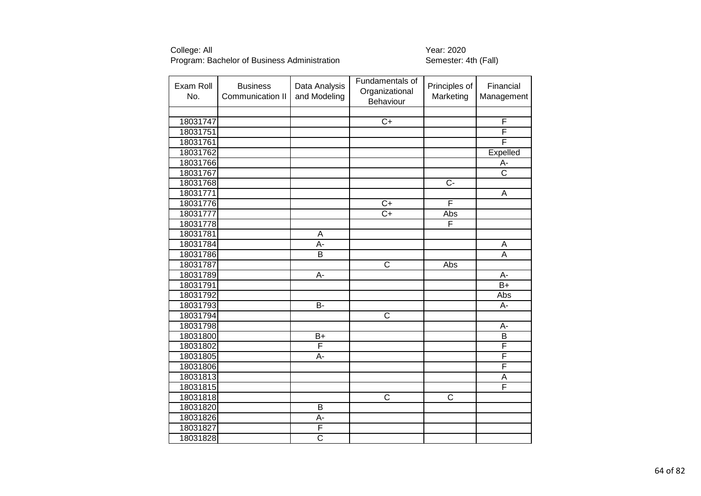| Exam Roll<br>No. | <b>Business</b><br>Communication II | Data Analysis<br>and Modeling | Fundamentals of<br>Organizational<br>Behaviour | Principles of<br>Marketing | Financial<br>Management |
|------------------|-------------------------------------|-------------------------------|------------------------------------------------|----------------------------|-------------------------|
|                  |                                     |                               |                                                |                            |                         |
| 18031747         |                                     |                               | $\overline{C+}$                                |                            | $\overline{\mathsf{F}}$ |
| 18031751         |                                     |                               |                                                |                            | F                       |
| 18031761         |                                     |                               |                                                |                            | F                       |
| 18031762         |                                     |                               |                                                |                            | Expelled                |
| 18031766         |                                     |                               |                                                |                            | A-                      |
| 18031767         |                                     |                               |                                                |                            | $\overline{\text{c}}$   |
| 18031768         |                                     |                               |                                                | $\overline{C}$             |                         |
| 18031771         |                                     |                               |                                                |                            | A                       |
| 18031776         |                                     |                               | $C+$                                           | F                          |                         |
| 18031777         |                                     |                               | $\overline{C+}$                                | Abs                        |                         |
| 18031778         |                                     |                               |                                                | F                          |                         |
| 18031781         |                                     | A                             |                                                |                            |                         |
| 18031784         |                                     | A-                            |                                                |                            | A                       |
| 18031786         |                                     | $\overline{\mathsf{B}}$       |                                                |                            | $\overline{A}$          |
| 18031787         |                                     |                               | $\overline{\text{c}}$                          | Abs                        |                         |
| 18031789         |                                     | A-                            |                                                |                            | A-                      |
| 18031791         |                                     |                               |                                                |                            | $\overline{B+}$         |
| 18031792         |                                     |                               |                                                |                            | Abs                     |
| 18031793         |                                     | $\overline{B}$                |                                                |                            | A-                      |
| 18031794         |                                     |                               | $\overline{\text{c}}$                          |                            |                         |
| 18031798         |                                     |                               |                                                |                            | A-                      |
| 18031800         |                                     | $B+$                          |                                                |                            | B                       |
| 18031802         |                                     | F                             |                                                |                            | F                       |
| 18031805         |                                     | A-                            |                                                |                            | F                       |
| 18031806         |                                     |                               |                                                |                            | F                       |
| 18031813         |                                     |                               |                                                |                            | A                       |
| 18031815         |                                     |                               |                                                |                            | F                       |
| 18031818         |                                     |                               | $\overline{\text{c}}$                          | $\overline{C}$             |                         |
| 18031820         |                                     | $\overline{B}$                |                                                |                            |                         |
| 18031826         |                                     | A-                            |                                                |                            |                         |
| 18031827         |                                     | F                             |                                                |                            |                         |
| 18031828         |                                     | $\overline{\text{c}}$         |                                                |                            |                         |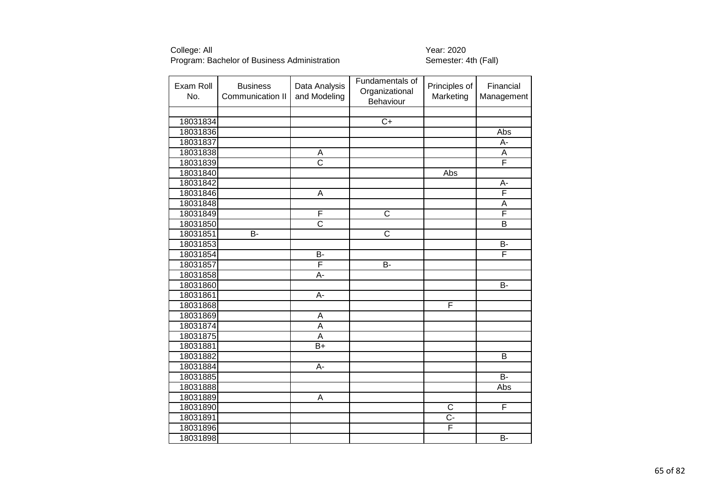| Exam Roll<br>No. | <b>Business</b><br>Communication II | Data Analysis<br>and Modeling | Fundamentals of<br>Organizational<br>Behaviour | Principles of<br>Marketing | Financial<br>Management |
|------------------|-------------------------------------|-------------------------------|------------------------------------------------|----------------------------|-------------------------|
|                  |                                     |                               |                                                |                            |                         |
| 18031834         |                                     |                               | $\overline{C+}$                                |                            |                         |
| 18031836         |                                     |                               |                                                |                            | Abs                     |
| 18031837         |                                     |                               |                                                |                            | A-                      |
| 18031838         |                                     | A                             |                                                |                            | A                       |
| 18031839         |                                     | $\overline{\text{c}}$         |                                                |                            | F                       |
| 18031840         |                                     |                               |                                                | <b>Abs</b>                 |                         |
| 18031842         |                                     |                               |                                                |                            | А-                      |
| 18031846         |                                     | A                             |                                                |                            | $\overline{\mathsf{F}}$ |
| 18031848         |                                     |                               |                                                |                            | A                       |
| 18031849         |                                     | F                             | $\overline{\text{c}}$                          |                            | F                       |
| 18031850         |                                     | $\overline{\text{c}}$         |                                                |                            | $\overline{B}$          |
| 18031851         | B-                                  |                               | $\overline{\text{c}}$                          |                            |                         |
| 18031853         |                                     |                               |                                                |                            | <b>B-</b>               |
| 18031854         |                                     | $\overline{B}$                |                                                |                            | F                       |
| 18031857         |                                     | F                             | <b>B-</b>                                      |                            |                         |
| 18031858         |                                     | A-                            |                                                |                            |                         |
| 18031860         |                                     |                               |                                                |                            | $\overline{B}$          |
| 18031861         |                                     | $\overline{A}$                |                                                |                            |                         |
| 18031868         |                                     |                               |                                                | F                          |                         |
| 18031869         |                                     | $\overline{A}$                |                                                |                            |                         |
| 18031874         |                                     | $\overline{A}$                |                                                |                            |                         |
| 18031875         |                                     | $\overline{A}$                |                                                |                            |                         |
| 18031881         |                                     | $B+$                          |                                                |                            |                         |
| 18031882         |                                     |                               |                                                |                            | B                       |
| 18031884         |                                     | A-                            |                                                |                            |                         |
| 18031885         |                                     |                               |                                                |                            | <b>B-</b>               |
| 18031888         |                                     |                               |                                                |                            | Abs                     |
| 18031889         |                                     | $\overline{A}$                |                                                |                            |                         |
| 18031890         |                                     |                               |                                                | $\overline{C}$             | F                       |
| 18031891         |                                     |                               |                                                | Ċ-                         |                         |
| 18031896         |                                     |                               |                                                | $\overline{\mathsf{F}}$    |                         |
| 18031898         |                                     |                               |                                                |                            | $\overline{B}$          |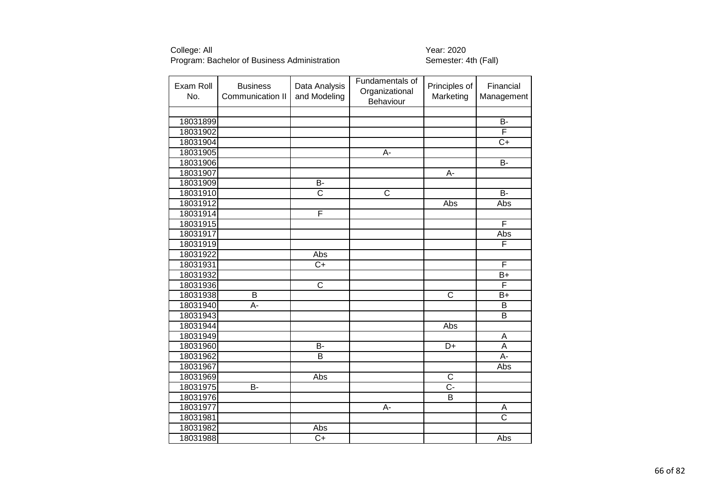| Exam Roll<br>No. | <b>Business</b><br>Communication II | Data Analysis<br>and Modeling | Fundamentals of<br>Organizational<br>Behaviour | Principles of<br>Marketing | Financial<br>Management |
|------------------|-------------------------------------|-------------------------------|------------------------------------------------|----------------------------|-------------------------|
|                  |                                     |                               |                                                |                            |                         |
| 18031899         |                                     |                               |                                                |                            | <b>B-</b>               |
| 18031902         |                                     |                               |                                                |                            | F                       |
| 18031904         |                                     |                               |                                                |                            | $\overline{C}$          |
| 18031905         |                                     |                               | A-                                             |                            |                         |
| 18031906         |                                     |                               |                                                |                            | $\overline{B}$          |
| 18031907         |                                     |                               |                                                | A-                         |                         |
| 18031909         |                                     | $\overline{B}$                |                                                |                            |                         |
| 18031910         |                                     | $\overline{\text{c}}$         | C                                              |                            | B-                      |
| 18031912         |                                     |                               |                                                | Abs                        | Abs                     |
| 18031914         |                                     | F                             |                                                |                            |                         |
| 18031915         |                                     |                               |                                                |                            | F                       |
| 18031917         |                                     |                               |                                                |                            | Abs                     |
| 18031919         |                                     |                               |                                                |                            | F                       |
| 18031922         |                                     | Abs                           |                                                |                            |                         |
| 18031931         |                                     | $C+$                          |                                                |                            | F                       |
| 18031932         |                                     |                               |                                                |                            | $B+$                    |
| 18031936         |                                     | $\overline{\text{c}}$         |                                                |                            | F                       |
| 18031938         | B                                   |                               |                                                | $\overline{\text{c}}$      | $B+$                    |
| 18031940         | $A -$                               |                               |                                                |                            | $\overline{B}$          |
| 18031943         |                                     |                               |                                                |                            | $\overline{\mathsf{B}}$ |
| 18031944         |                                     |                               |                                                | Abs                        |                         |
| 18031949         |                                     |                               |                                                |                            | A                       |
| 18031960         |                                     | $\overline{B}$                |                                                | $\overline{D+}$            | $\overline{A}$          |
| 18031962         |                                     | B                             |                                                |                            | $A -$                   |
| 18031967         |                                     |                               |                                                |                            | Abs                     |
| 18031969         |                                     | Abs                           |                                                | $\overline{\mathsf{C}}$    |                         |
| 18031975         | B-                                  |                               |                                                | $\overline{C}$             |                         |
| 18031976         |                                     |                               |                                                | B                          |                         |
| 18031977         |                                     |                               | A-                                             |                            | A                       |
| 18031981         |                                     |                               |                                                |                            | $\overline{\text{c}}$   |
| 18031982         |                                     | Abs                           |                                                |                            |                         |
| 18031988         |                                     | $\overline{C+}$               |                                                |                            | Abs                     |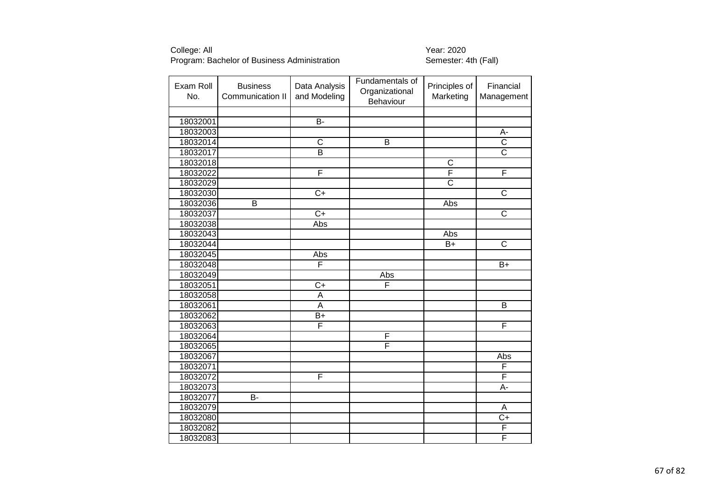| Exam Roll<br>No. | <b>Business</b><br>Communication II | Data Analysis<br>and Modeling | Fundamentals of<br>Organizational<br>Behaviour | Principles of<br>Marketing | Financial<br>Management |
|------------------|-------------------------------------|-------------------------------|------------------------------------------------|----------------------------|-------------------------|
|                  |                                     |                               |                                                |                            |                         |
| 18032001         |                                     | $\overline{B}$                |                                                |                            |                         |
| 18032003         |                                     |                               |                                                |                            | A-                      |
| 18032014         |                                     | $\overline{\mathsf{C}}$       | $\overline{\mathsf{B}}$                        |                            | $\overline{\text{c}}$   |
| 18032017         |                                     | $\overline{B}$                |                                                |                            | $\overline{\text{c}}$   |
| 18032018         |                                     |                               |                                                | $\overline{\text{c}}$      |                         |
| 18032022         |                                     | F                             |                                                | F                          | F                       |
| 18032029         |                                     |                               |                                                | $\overline{\text{c}}$      |                         |
| 18032030         |                                     | $\overline{C+}$               |                                                |                            | $\overline{\mathsf{C}}$ |
| 18032036         | B                                   |                               |                                                | Abs                        |                         |
| 18032037         |                                     | $\overline{C+}$               |                                                |                            | $\overline{\text{c}}$   |
| 18032038         |                                     | Abs                           |                                                |                            |                         |
| 18032043         |                                     |                               |                                                | Abs                        |                         |
| 18032044         |                                     |                               |                                                | $B+$                       | $\overline{\text{c}}$   |
| 18032045         |                                     | Abs                           |                                                |                            |                         |
| 18032048         |                                     | F                             |                                                |                            | $B+$                    |
| 18032049         |                                     |                               | Abs                                            |                            |                         |
| 18032051         |                                     | $\overline{C}$                | F                                              |                            |                         |
| 18032058         |                                     | $\mathsf A$                   |                                                |                            |                         |
| 18032061         |                                     | $\overline{A}$                |                                                |                            | $\overline{\mathsf{B}}$ |
| 18032062         |                                     | $B+$                          |                                                |                            |                         |
| 18032063         |                                     | F                             |                                                |                            | F                       |
| 18032064         |                                     |                               | F                                              |                            |                         |
| 18032065         |                                     |                               | F                                              |                            |                         |
| 18032067         |                                     |                               |                                                |                            | Abs                     |
| 18032071         |                                     |                               |                                                |                            | F                       |
| 18032072         |                                     | F                             |                                                |                            | F                       |
| 18032073         |                                     |                               |                                                |                            | A-                      |
| 18032077         | <b>B-</b>                           |                               |                                                |                            |                         |
| 18032079         |                                     |                               |                                                |                            | A                       |
| 18032080         |                                     |                               |                                                |                            | $C+$                    |
| 18032082         |                                     |                               |                                                |                            | F                       |
| 18032083         |                                     |                               |                                                |                            | F                       |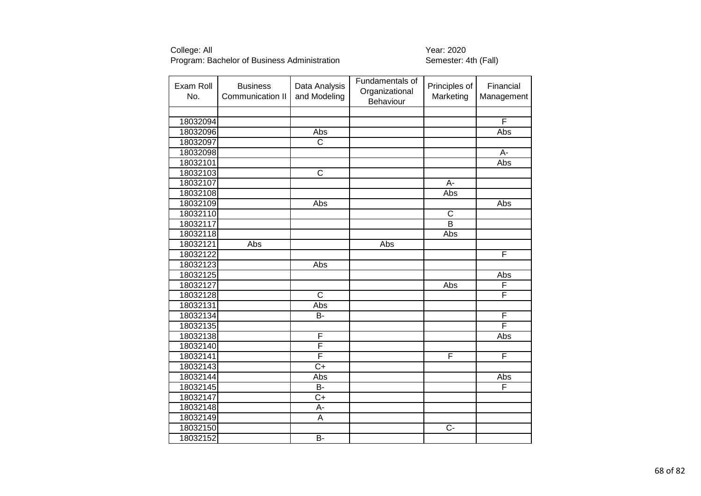| Exam Roll<br>No. | <b>Business</b><br>Communication II | Data Analysis<br>and Modeling | Fundamentals of<br>Organizational<br>Behaviour | Principles of<br>Marketing | Financial<br>Management |
|------------------|-------------------------------------|-------------------------------|------------------------------------------------|----------------------------|-------------------------|
|                  |                                     |                               |                                                |                            |                         |
| 18032094         |                                     |                               |                                                |                            | F                       |
| 18032096         |                                     | <b>Abs</b>                    |                                                |                            | Abs                     |
| 18032097         |                                     | $\overline{\text{c}}$         |                                                |                            |                         |
| 18032098         |                                     |                               |                                                |                            | A-                      |
| 18032101         |                                     |                               |                                                |                            | Abs                     |
| 18032103         |                                     | $\overline{\text{c}}$         |                                                |                            |                         |
| 18032107         |                                     |                               |                                                | A-                         |                         |
| 18032108         |                                     |                               |                                                | Abs                        |                         |
| 18032109         |                                     | Abs                           |                                                |                            | Abs                     |
| 18032110         |                                     |                               |                                                | $\overline{C}$             |                         |
| 18032117         |                                     |                               |                                                | $\overline{B}$             |                         |
| 18032118         |                                     |                               |                                                | Abs                        |                         |
| 18032121         | Abs                                 |                               | Abs                                            |                            |                         |
| 18032122         |                                     |                               |                                                |                            | F                       |
| 18032123         |                                     | Abs                           |                                                |                            |                         |
| 18032125         |                                     |                               |                                                |                            | Abs                     |
| 18032127         |                                     |                               |                                                | Abs                        | F                       |
| 18032128         |                                     | $\overline{\text{C}}$         |                                                |                            | F                       |
| 18032131         |                                     | Abs                           |                                                |                            |                         |
| 18032134         |                                     | B-                            |                                                |                            | F                       |
| 18032135         |                                     |                               |                                                |                            | F                       |
| 18032138         |                                     | F                             |                                                |                            | Abs                     |
| 18032140         |                                     | F                             |                                                |                            |                         |
| 18032141         |                                     | F                             |                                                | F                          | F                       |
| 18032143         |                                     | $\overline{C}$                |                                                |                            |                         |
| 18032144         |                                     | Abs                           |                                                |                            | Abs                     |
| 18032145         |                                     | <b>B-</b>                     |                                                |                            | F                       |
| 18032147         |                                     | $C+$                          |                                                |                            |                         |
| 18032148         |                                     | A-                            |                                                |                            |                         |
| 18032149         |                                     | $\overline{A}$                |                                                |                            |                         |
| 18032150         |                                     |                               |                                                | $C -$                      |                         |
| 18032152         |                                     | $\overline{B}$                |                                                |                            |                         |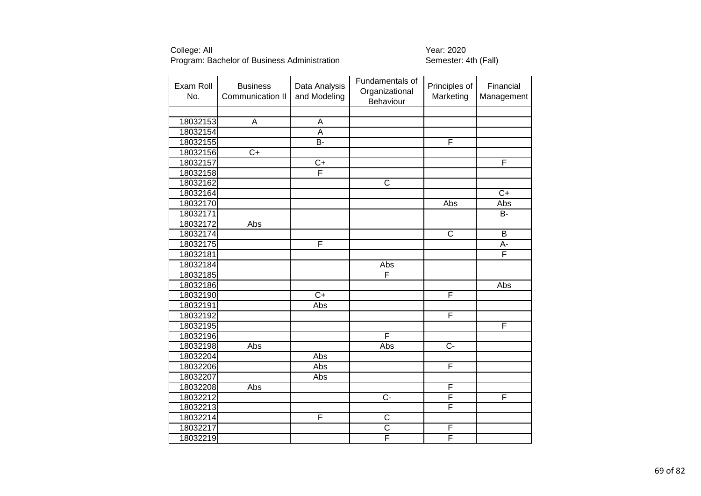| Exam Roll<br>No. | <b>Business</b><br>Communication II | Data Analysis<br>and Modeling | Fundamentals of<br>Organizational<br>Behaviour | Principles of<br>Marketing | Financial<br>Management |
|------------------|-------------------------------------|-------------------------------|------------------------------------------------|----------------------------|-------------------------|
|                  |                                     |                               |                                                |                            |                         |
| 18032153         | A                                   | A                             |                                                |                            |                         |
| 18032154         |                                     | A                             |                                                |                            |                         |
| 18032155         |                                     | B-                            |                                                | F                          |                         |
| 18032156         | $C+$                                |                               |                                                |                            |                         |
| 18032157         |                                     | $\overline{C+}$               |                                                |                            | F                       |
| 18032158         |                                     | F                             |                                                |                            |                         |
| 18032162         |                                     |                               | $\overline{\text{c}}$                          |                            |                         |
| 18032164         |                                     |                               |                                                |                            | $\overline{C+}$         |
| 18032170         |                                     |                               |                                                | Abs                        | Abs                     |
| 18032171         |                                     |                               |                                                |                            | B-                      |
| 18032172         | Abs                                 |                               |                                                |                            |                         |
| 18032174         |                                     |                               |                                                | $\mathsf C$                | $\sf B$                 |
| 18032175         |                                     | F                             |                                                |                            | A-                      |
| 18032181         |                                     |                               |                                                |                            | F                       |
| 18032184         |                                     |                               | Abs                                            |                            |                         |
| 18032185         |                                     |                               | F                                              |                            |                         |
| 18032186         |                                     |                               |                                                |                            | Abs                     |
| 18032190         |                                     | $\overline{C+}$               |                                                | F                          |                         |
| 18032191         |                                     | Abs                           |                                                |                            |                         |
| 18032192         |                                     |                               |                                                | F                          |                         |
| 18032195         |                                     |                               |                                                |                            | F                       |
| 18032196         |                                     |                               | F                                              |                            |                         |
| 18032198         | Abs                                 |                               | Abs                                            | $\overline{C}$             |                         |
| 18032204         |                                     | Abs                           |                                                |                            |                         |
| 18032206         |                                     | Abs                           |                                                | $\overline{F}$             |                         |
| 18032207         |                                     | Abs                           |                                                |                            |                         |
| 18032208         | Abs                                 |                               |                                                | $\mathsf{F}$               |                         |
| 18032212         |                                     |                               | $\overline{C}$                                 | $\overline{F}$             | F                       |
| 18032213         |                                     |                               |                                                | F                          |                         |
| 18032214         |                                     | F                             | $\mathsf C$                                    |                            |                         |
| 18032217         |                                     |                               | $\overline{\text{c}}$                          | $\mathsf F$                |                         |
| 18032219         |                                     |                               | F                                              | F                          |                         |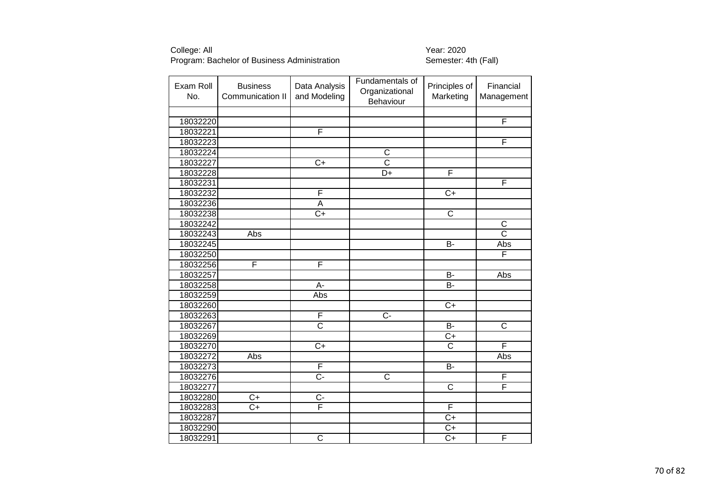| Exam Roll<br>No. | <b>Business</b><br>Communication II | Data Analysis<br>and Modeling | Fundamentals of<br>Organizational<br>Behaviour | Principles of<br>Marketing | Financial<br>Management |
|------------------|-------------------------------------|-------------------------------|------------------------------------------------|----------------------------|-------------------------|
|                  |                                     |                               |                                                |                            |                         |
| 18032220         |                                     |                               |                                                |                            | F                       |
| 18032221         |                                     | F                             |                                                |                            |                         |
| 18032223         |                                     |                               |                                                |                            | F                       |
| 18032224         |                                     |                               | $\overline{\text{c}}$                          |                            |                         |
| 18032227         |                                     | $C+$                          | $\overline{\text{c}}$                          |                            |                         |
| 18032228         |                                     |                               | D+                                             | F                          |                         |
| 18032231         |                                     |                               |                                                |                            | F                       |
| 18032232         |                                     | F                             |                                                | $\overline{C+}$            |                         |
| 18032236         |                                     | $\overline{A}$                |                                                |                            |                         |
| 18032238         |                                     | $\overline{C+}$               |                                                | C                          |                         |
| 18032242         |                                     |                               |                                                |                            | $\overline{\mathsf{C}}$ |
| 18032243         | Abs                                 |                               |                                                |                            | $\overline{\text{c}}$   |
| 18032245         |                                     |                               |                                                | B-                         | Abs                     |
| 18032250         |                                     |                               |                                                |                            | F                       |
| 18032256         | F                                   | F                             |                                                |                            |                         |
| 18032257         |                                     |                               |                                                | B-                         | Abs                     |
| 18032258         |                                     | $\overline{A}$                |                                                | Я-                         |                         |
| 18032259         |                                     | Abs                           |                                                |                            |                         |
| 18032260         |                                     |                               |                                                | $\overline{C}$             |                         |
| 18032263         |                                     | F                             | $\overline{C}$ -                               |                            |                         |
| 18032267         |                                     | $\overline{\text{c}}$         |                                                | $\overline{B}$             | $\overline{\text{c}}$   |
| 18032269         |                                     |                               |                                                | $\overline{C+}$            |                         |
| 18032270         |                                     | $\overline{C+}$               |                                                | $\overline{\text{c}}$      | F                       |
| 18032272         | Abs                                 |                               |                                                |                            | Abs                     |
| 18032273         |                                     | $\overline{F}$                |                                                | <b>B-</b>                  |                         |
| 18032276         |                                     | $\overline{C}$ -              | $\overline{\text{c}}$                          |                            | F                       |
| 18032277         |                                     |                               |                                                | C                          | F                       |
| 18032280         | $\overline{C+}$                     | $\overline{C}$                |                                                |                            |                         |
| 18032283         | $\overline{C}$                      | F                             |                                                | F                          |                         |
| 18032287         |                                     |                               |                                                | $\overline{C}$             |                         |
| 18032290         |                                     |                               |                                                | $C+$                       |                         |
| 18032291         |                                     | $\overline{\text{c}}$         |                                                | $\overline{C+}$            | F                       |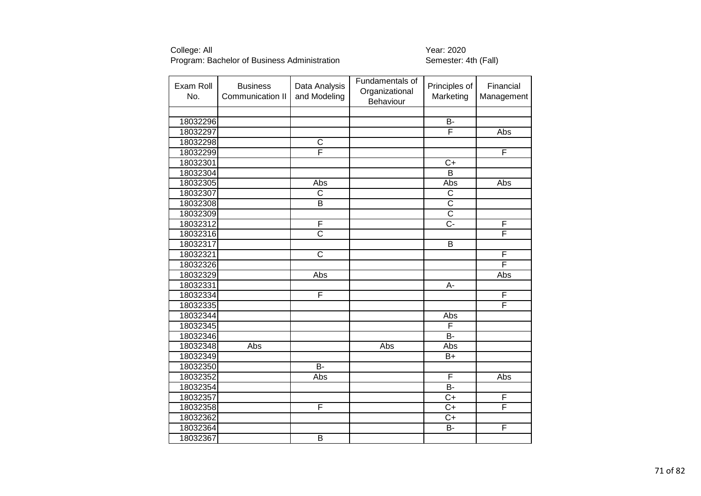| Exam Roll<br>No. | <b>Business</b><br>Communication II | Data Analysis<br>and Modeling | Fundamentals of<br>Organizational<br>Behaviour | Principles of<br>Marketing | Financial<br>Management |
|------------------|-------------------------------------|-------------------------------|------------------------------------------------|----------------------------|-------------------------|
|                  |                                     |                               |                                                |                            |                         |
| 18032296         |                                     |                               |                                                | <b>B-</b>                  |                         |
| 18032297         |                                     |                               |                                                | F                          | Abs                     |
| 18032298         |                                     | C                             |                                                |                            |                         |
| 18032299         |                                     | F                             |                                                |                            | F                       |
| 18032301         |                                     |                               |                                                | $\overline{C}$             |                         |
| 18032304         |                                     |                               |                                                | $\overline{B}$             |                         |
| 18032305         |                                     | Abs                           |                                                | Abs                        | Abs                     |
| 18032307         |                                     | $\overline{\text{c}}$         |                                                | $\overline{\text{c}}$      |                         |
| 18032308         |                                     | B                             |                                                | $\overline{\text{c}}$      |                         |
| 18032309         |                                     |                               |                                                | $\overline{\text{c}}$      |                         |
| 18032312         |                                     | F                             |                                                | $\overline{C}$ -           | F                       |
| 18032316         |                                     | $\overline{\text{c}}$         |                                                |                            | F                       |
| 18032317         |                                     |                               |                                                | B                          |                         |
| 18032321         |                                     | $\overline{\text{c}}$         |                                                |                            | F                       |
| 18032326         |                                     |                               |                                                |                            | F                       |
| 18032329         |                                     | Abs                           |                                                |                            | Abs                     |
| 18032331         |                                     |                               |                                                | A-                         |                         |
| 18032334         |                                     | F                             |                                                |                            | F                       |
| 18032335         |                                     |                               |                                                |                            | F                       |
| 18032344         |                                     |                               |                                                | Abs                        |                         |
| 18032345         |                                     |                               |                                                | F                          |                         |
| 18032346         |                                     |                               |                                                | <b>B-</b>                  |                         |
| 18032348         | Abs                                 |                               | Abs                                            | Abs                        |                         |
| 18032349         |                                     |                               |                                                | $B+$                       |                         |
| 18032350         |                                     | $\overline{B}$                |                                                |                            |                         |
| 18032352         |                                     | Abs                           |                                                | F                          | Abs                     |
| 18032354         |                                     |                               |                                                | $\overline{B}$             |                         |
| 18032357         |                                     |                               |                                                | $C+$                       | F                       |
| 18032358         |                                     | F                             |                                                | $\overline{C}$             | F                       |
| 18032362         |                                     |                               |                                                | $C+$                       |                         |
| 18032364         |                                     |                               |                                                | $\overline{B}$             | F                       |
| 18032367         |                                     | $\overline{\mathsf{B}}$       |                                                |                            |                         |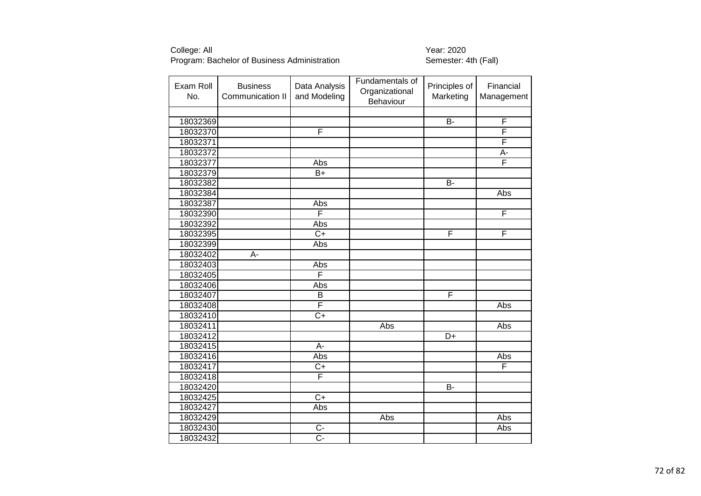| Exam Roll<br>No. | <b>Business</b><br>Communication II | Data Analysis<br>and Modeling | Fundamentals of<br>Organizational<br>Behaviour | Principles of<br>Marketing | Financial<br>Management |
|------------------|-------------------------------------|-------------------------------|------------------------------------------------|----------------------------|-------------------------|
|                  |                                     |                               |                                                |                            |                         |
| 18032369         |                                     |                               |                                                | <b>B-</b>                  | $\overline{F}$          |
| 18032370         |                                     | F                             |                                                |                            | F                       |
| 18032371         |                                     |                               |                                                |                            | F                       |
| 18032372         |                                     |                               |                                                |                            | A-                      |
| 18032377         |                                     | Abs                           |                                                |                            | F                       |
| 18032379         |                                     | $B+$                          |                                                |                            |                         |
| 18032382         |                                     |                               |                                                | <b>B-</b>                  |                         |
| 18032384         |                                     |                               |                                                |                            | <b>Abs</b>              |
| 18032387         |                                     | Abs                           |                                                |                            |                         |
| 18032390         |                                     | F                             |                                                |                            | F                       |
| 18032392         |                                     | Abs                           |                                                |                            |                         |
| 18032395         |                                     | $\overline{C+}$               |                                                | F                          | F                       |
| 18032399         |                                     | Abs                           |                                                |                            |                         |
| 18032402         | A-                                  |                               |                                                |                            |                         |
| 18032403         |                                     | Abs                           |                                                |                            |                         |
| 18032405         |                                     | F                             |                                                |                            |                         |
| 18032406         |                                     | Abs                           |                                                |                            |                         |
| 18032407         |                                     | B                             |                                                | F                          |                         |
| 18032408         |                                     | F                             |                                                |                            | Abs                     |
| 18032410         |                                     | $\overline{C+}$               |                                                |                            |                         |
| 18032411         |                                     |                               | Abs                                            |                            | Abs                     |
| 18032412         |                                     |                               |                                                | D+                         |                         |
| 18032415         |                                     | $A -$                         |                                                |                            |                         |
| 18032416         |                                     | Abs                           |                                                |                            | Abs                     |
| 18032417         |                                     | $C+$                          |                                                |                            | F                       |
| 18032418         |                                     | F                             |                                                |                            |                         |
| 18032420         |                                     |                               |                                                | B-                         |                         |
| 18032425         |                                     | $\overline{C+}$               |                                                |                            |                         |
| 18032427         |                                     | Abs                           |                                                |                            |                         |
| 18032429         |                                     |                               | Abs                                            |                            | Abs                     |
| 18032430         |                                     | $C -$                         |                                                |                            | Abs                     |
| 18032432         |                                     | $\overline{C}$ -              |                                                |                            |                         |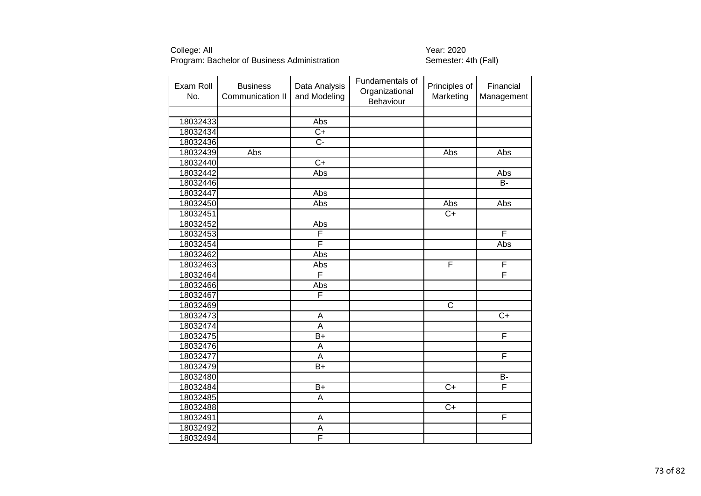| Exam Roll<br>No. | <b>Business</b><br>Communication II | Data Analysis<br>and Modeling | Fundamentals of<br>Organizational<br>Behaviour | Principles of<br>Marketing | Financial<br>Management |
|------------------|-------------------------------------|-------------------------------|------------------------------------------------|----------------------------|-------------------------|
|                  |                                     |                               |                                                |                            |                         |
| 18032433         |                                     | Abs                           |                                                |                            |                         |
| 18032434         |                                     | $\overline{C+}$               |                                                |                            |                         |
| 18032436         |                                     | $\overline{C}$ -              |                                                |                            |                         |
| 18032439         | Abs                                 |                               |                                                | Abs                        | Abs                     |
| 18032440         |                                     | $\overline{C+}$               |                                                |                            |                         |
| 18032442         |                                     | Abs                           |                                                |                            | Abs                     |
| 18032446         |                                     |                               |                                                |                            | B-                      |
| 18032447         |                                     | Abs                           |                                                |                            |                         |
| 18032450         |                                     | Abs                           |                                                | Abs                        | Abs                     |
| 18032451         |                                     |                               |                                                | $C+$                       |                         |
| 18032452         |                                     | Abs                           |                                                |                            |                         |
| 18032453         |                                     | F                             |                                                |                            | F                       |
| 18032454         |                                     | F                             |                                                |                            | Abs                     |
| 18032462         |                                     | Abs                           |                                                |                            |                         |
| 18032463         |                                     | Abs                           |                                                | F                          | F                       |
| 18032464         |                                     | F                             |                                                |                            | F                       |
| 18032466         |                                     | Abs                           |                                                |                            |                         |
| 18032467         |                                     | F                             |                                                |                            |                         |
| 18032469         |                                     |                               |                                                | $\overline{C}$             |                         |
| 18032473         |                                     | $\overline{A}$                |                                                |                            | $\overline{C+}$         |
| 18032474         |                                     | $\overline{A}$                |                                                |                            |                         |
| 18032475         |                                     | $B+$                          |                                                |                            | F                       |
| 18032476         |                                     | $\overline{A}$                |                                                |                            |                         |
| 18032477         |                                     | A                             |                                                |                            | F                       |
| 18032479         |                                     | $B+$                          |                                                |                            |                         |
| 18032480         |                                     |                               |                                                |                            | $\overline{B}$          |
| 18032484         |                                     | $B+$                          |                                                | $C+$                       | F                       |
| 18032485         |                                     | A                             |                                                |                            |                         |
| 18032488         |                                     |                               |                                                | $\overline{C+}$            |                         |
| 18032491         |                                     | A                             |                                                |                            | F                       |
| 18032492         |                                     | A                             |                                                |                            |                         |
| 18032494         |                                     | F                             |                                                |                            |                         |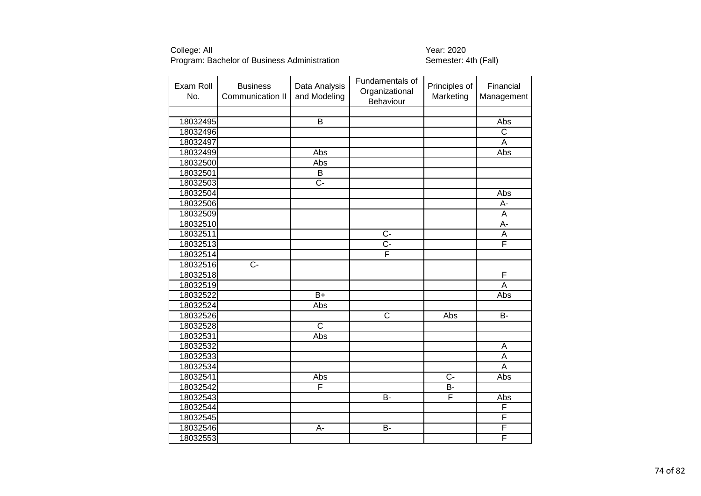| Exam Roll<br>No. | <b>Business</b><br>Communication II | Data Analysis<br>and Modeling | Fundamentals of<br>Organizational<br>Behaviour | Principles of<br>Marketing | Financial<br>Management |
|------------------|-------------------------------------|-------------------------------|------------------------------------------------|----------------------------|-------------------------|
|                  |                                     |                               |                                                |                            |                         |
| 18032495         |                                     | $\overline{B}$                |                                                |                            | Abs                     |
| 18032496         |                                     |                               |                                                |                            | $\overline{\mathsf{C}}$ |
| 18032497         |                                     |                               |                                                |                            | A                       |
| 18032499         |                                     | Abs                           |                                                |                            | Abs                     |
| 18032500         |                                     | Abs                           |                                                |                            |                         |
| 18032501         |                                     | $\overline{B}$                |                                                |                            |                         |
| 18032503         |                                     | C-                            |                                                |                            |                         |
| 18032504         |                                     |                               |                                                |                            | Abs                     |
| 18032506         |                                     |                               |                                                |                            | А-                      |
| 18032509         |                                     |                               |                                                |                            | A                       |
| 18032510         |                                     |                               |                                                |                            | $\overline{A}$ -        |
| 18032511         |                                     |                               | $C -$                                          |                            | Α                       |
| 18032513         |                                     |                               | $\overline{C}$ -                               |                            | F                       |
| 18032514         |                                     |                               | F                                              |                            |                         |
| 18032516         | $C -$                               |                               |                                                |                            |                         |
| 18032518         |                                     |                               |                                                |                            | $\overline{F}$          |
| 18032519         |                                     |                               |                                                |                            | A                       |
| 18032522         |                                     | $B+$                          |                                                |                            | Abs                     |
| 18032524         |                                     | Abs                           |                                                |                            |                         |
| 18032526         |                                     |                               | $\overline{\text{c}}$                          | Abs                        | $\overline{B}$          |
| 18032528         |                                     | $\overline{\text{c}}$         |                                                |                            |                         |
| 18032531         |                                     | Abs                           |                                                |                            |                         |
| 18032532         |                                     |                               |                                                |                            | $\overline{A}$          |
| 18032533         |                                     |                               |                                                |                            | A                       |
| 18032534         |                                     |                               |                                                |                            | A                       |
| 18032541         |                                     | Abs                           |                                                | $\overline{C}$             | Abs                     |
| 18032542         |                                     | F                             |                                                | B-                         |                         |
| 18032543         |                                     |                               | <b>B-</b>                                      | F                          | Abs                     |
| 18032544         |                                     |                               |                                                |                            | F                       |
| 18032545         |                                     |                               |                                                |                            | F                       |
| 18032546         |                                     | A-                            | <b>B-</b>                                      |                            | F                       |
| 18032553         |                                     |                               |                                                |                            | F                       |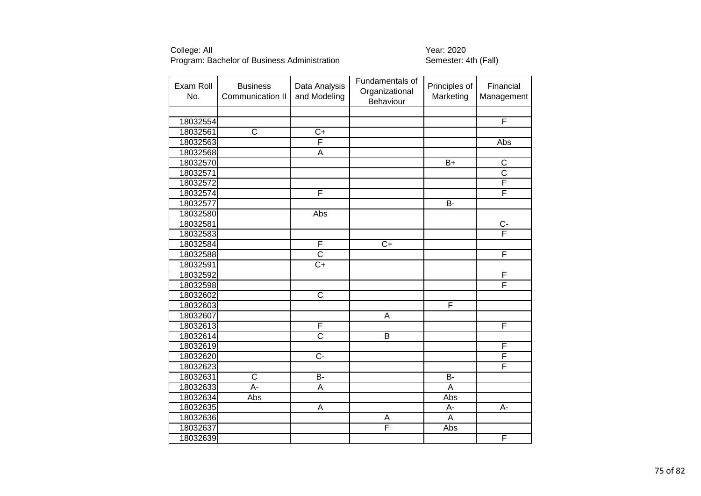| Exam Roll<br>No. | <b>Business</b><br>Communication II | Data Analysis<br>and Modeling | Fundamentals of<br>Organizational<br>Behaviour | Principles of<br>Marketing | Financial<br>Management |
|------------------|-------------------------------------|-------------------------------|------------------------------------------------|----------------------------|-------------------------|
|                  |                                     |                               |                                                |                            |                         |
| 18032554         |                                     |                               |                                                |                            | F                       |
| 18032561         | $\overline{\text{c}}$               | $\overline{C+}$               |                                                |                            |                         |
| 18032563         |                                     | F                             |                                                |                            | <b>Abs</b>              |
| 18032568         |                                     | A                             |                                                |                            |                         |
| 18032570         |                                     |                               |                                                | $\overline{B+}$            | $\overline{\mathsf{C}}$ |
| 18032571         |                                     |                               |                                                |                            | $\overline{\text{c}}$   |
| 18032572         |                                     |                               |                                                |                            | F                       |
| 18032574         |                                     | F                             |                                                |                            | F                       |
| 18032577         |                                     |                               |                                                | B-                         |                         |
| 18032580         |                                     | Abs                           |                                                |                            |                         |
| 18032581         |                                     |                               |                                                |                            | $\overline{C}$ -        |
| 18032583         |                                     |                               |                                                |                            | F                       |
| 18032584         |                                     | F                             | $C+$                                           |                            |                         |
| 18032588         |                                     | $\overline{\text{c}}$         |                                                |                            | F                       |
| 18032591         |                                     | $\overline{C}$                |                                                |                            |                         |
| 18032592         |                                     |                               |                                                |                            | F                       |
| 18032598         |                                     |                               |                                                |                            | F                       |
| 18032602         |                                     | $\overline{\text{C}}$         |                                                |                            |                         |
| 18032603         |                                     |                               |                                                | F                          |                         |
| 18032607         |                                     |                               | $\overline{A}$                                 |                            |                         |
| 18032613         |                                     | F                             |                                                |                            | F                       |
| 18032614         |                                     | $\overline{\text{c}}$         | $\overline{B}$                                 |                            |                         |
| 18032619         |                                     |                               |                                                |                            | F                       |
| 18032620         |                                     | $\overline{C}$ -              |                                                |                            | F                       |
| 18032623         |                                     |                               |                                                |                            | F                       |
| 18032631         | $\overline{\text{c}}$               | $B -$                         |                                                | $\overline{B}$             |                         |
| 18032633         | A-                                  | A                             |                                                | A                          |                         |
| 18032634         | Abs                                 |                               |                                                | Abs                        |                         |
| 18032635         |                                     | $\overline{A}$                |                                                | А-                         | $A -$                   |
| 18032636         |                                     |                               | Α                                              | A                          |                         |
| 18032637         |                                     |                               | F                                              | Abs                        |                         |
| 18032639         |                                     |                               |                                                |                            | F                       |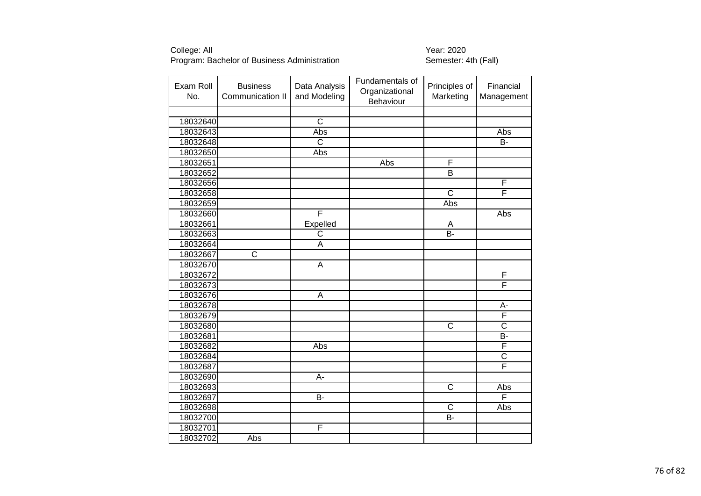| Exam Roll<br>No. | <b>Business</b><br>Communication II | Data Analysis<br>and Modeling | Fundamentals of<br>Organizational<br>Behaviour | Principles of<br>Marketing | Financial<br>Management |
|------------------|-------------------------------------|-------------------------------|------------------------------------------------|----------------------------|-------------------------|
|                  |                                     |                               |                                                |                            |                         |
| 18032640         |                                     | $\overline{\text{c}}$         |                                                |                            |                         |
| 18032643         |                                     | Abs                           |                                                |                            | Abs                     |
| 18032648         |                                     | $\overline{\text{C}}$         |                                                |                            | $\overline{B}$          |
| 18032650         |                                     | Abs                           |                                                |                            |                         |
| 18032651         |                                     |                               | Abs                                            | F                          |                         |
| 18032652         |                                     |                               |                                                | $\overline{\mathsf{B}}$    |                         |
| 18032656         |                                     |                               |                                                |                            | F                       |
| 18032658         |                                     |                               |                                                | $\overline{\text{c}}$      | F                       |
| 18032659         |                                     |                               |                                                | Abs                        |                         |
| 18032660         |                                     | F                             |                                                |                            | Abs                     |
| 18032661         |                                     | Expelled                      |                                                | A                          |                         |
| 18032663         |                                     | C                             |                                                | $\overline{B}$             |                         |
| 18032664         |                                     | A                             |                                                |                            |                         |
| 18032667         | $\overline{\text{C}}$               |                               |                                                |                            |                         |
| 18032670         |                                     | A                             |                                                |                            |                         |
| 18032672         |                                     |                               |                                                |                            | $\overline{F}$          |
| 18032673         |                                     |                               |                                                |                            | F                       |
| 18032676         |                                     | A                             |                                                |                            |                         |
| 18032678         |                                     |                               |                                                |                            | A-                      |
| 18032679         |                                     |                               |                                                |                            | F                       |
| 18032680         |                                     |                               |                                                | $\overline{\text{c}}$      | $\overline{\text{c}}$   |
| 18032681         |                                     |                               |                                                |                            | B-                      |
| 18032682         |                                     | Abs                           |                                                |                            | F                       |
| 18032684         |                                     |                               |                                                |                            | $\overline{\text{c}}$   |
| 18032687         |                                     |                               |                                                |                            | F                       |
| 18032690         |                                     | $\overline{A}$ -              |                                                |                            |                         |
| 18032693         |                                     |                               |                                                | $\overline{C}$             | Abs                     |
| 18032697         |                                     | <b>B-</b>                     |                                                |                            | F                       |
| 18032698         |                                     |                               |                                                | $\mathsf{C}$               | Abs                     |
| 18032700         |                                     |                               |                                                | $\overline{B}$             |                         |
| 18032701         |                                     | F                             |                                                |                            |                         |
| 18032702         | Abs                                 |                               |                                                |                            |                         |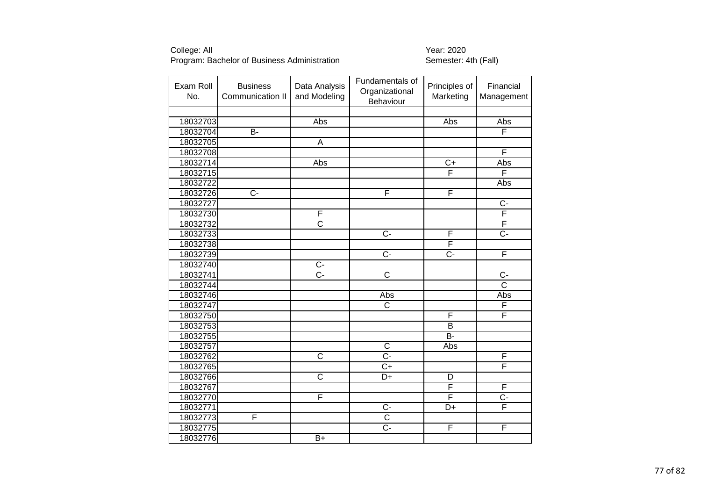| Exam Roll<br>No. | <b>Business</b><br>Communication II | Data Analysis<br>and Modeling | Fundamentals of<br>Organizational<br>Behaviour | Principles of<br>Marketing | Financial<br>Management |
|------------------|-------------------------------------|-------------------------------|------------------------------------------------|----------------------------|-------------------------|
|                  |                                     |                               |                                                |                            |                         |
| 18032703         |                                     | Abs                           |                                                | Abs                        | Abs                     |
| 18032704         | $\overline{B}$                      |                               |                                                |                            | F                       |
| 18032705         |                                     | $\overline{A}$                |                                                |                            |                         |
| 18032708         |                                     |                               |                                                |                            | F                       |
| 18032714         |                                     | Abs                           |                                                | $\overline{C+}$            | <b>Abs</b>              |
| 18032715         |                                     |                               |                                                | F                          | F                       |
| 18032722         |                                     |                               |                                                |                            | Abs                     |
| 18032726         | $\overline{C}$ -                    |                               | F                                              | F                          |                         |
| 18032727         |                                     |                               |                                                |                            | $\overline{C}$          |
| 18032730         |                                     | F                             |                                                |                            | F                       |
| 18032732         |                                     | $\overline{\text{c}}$         |                                                |                            | F                       |
| 18032733         |                                     |                               | $\overline{C}$                                 | F                          | $\overline{C}$ -        |
| 18032738         |                                     |                               |                                                | F                          |                         |
| 18032739         |                                     |                               | $\overline{C}$                                 | $\overline{C}$ -           | F                       |
| 18032740         |                                     | $\overline{C}$                |                                                |                            |                         |
| 18032741         |                                     | $\overline{C}$ -              | $\overline{\text{c}}$                          |                            | $C -$                   |
| 18032744         |                                     |                               |                                                |                            | $\overline{\text{c}}$   |
| 18032746         |                                     |                               | Abs                                            |                            | Abs                     |
| 18032747         |                                     |                               | $\overline{\text{c}}$                          |                            | F                       |
| 18032750         |                                     |                               |                                                | F                          | F                       |
| 18032753         |                                     |                               |                                                | B                          |                         |
| 18032755         |                                     |                               |                                                | $\overline{B}$             |                         |
| 18032757         |                                     |                               | $\overline{\text{c}}$                          | Abs                        |                         |
| 18032762         |                                     | $\overline{\text{c}}$         | $\overline{C}$                                 |                            | F                       |
| 18032765         |                                     |                               | $\overline{C}$                                 |                            | F                       |
| 18032766         |                                     | $\overline{\text{c}}$         | $\overline{D+}$                                | D                          |                         |
| 18032767         |                                     |                               |                                                | F                          | F                       |
| 18032770         |                                     | F                             |                                                | F                          | $\overline{C}$ -        |
| 18032771         |                                     |                               | $\overline{C}$ -                               | $\overline{D+}$            | F                       |
| 18032773         | F                                   |                               | $\overline{\text{c}}$                          |                            |                         |
| 18032775         |                                     |                               | $\overline{C}$                                 | F                          | F                       |
| 18032776         |                                     | $\overline{B+}$               |                                                |                            |                         |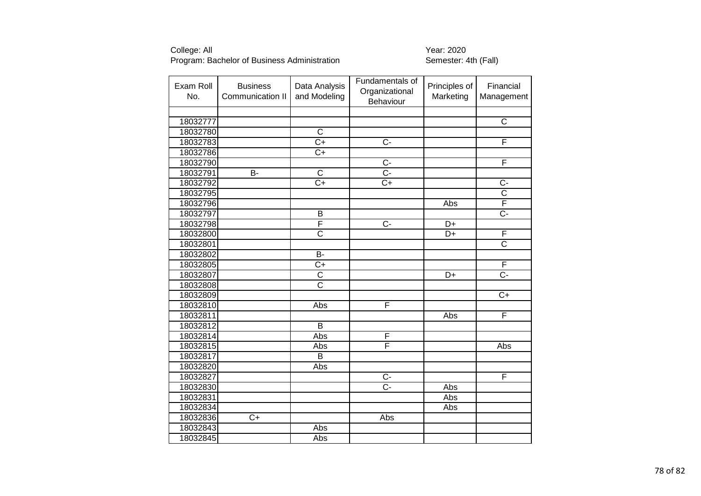| Exam Roll<br>No. | <b>Business</b><br>Communication II | Data Analysis<br>and Modeling | Fundamentals of<br>Organizational<br>Behaviour | Principles of<br>Marketing | Financial<br>Management |
|------------------|-------------------------------------|-------------------------------|------------------------------------------------|----------------------------|-------------------------|
|                  |                                     |                               |                                                |                            |                         |
| 18032777         |                                     |                               |                                                |                            | $\overline{\text{c}}$   |
| 18032780         |                                     | $\overline{\text{c}}$         |                                                |                            |                         |
| 18032783         |                                     | $\overline{C+}$               | $\overline{C}$                                 |                            | F                       |
| 18032786         |                                     | $C+$                          |                                                |                            |                         |
| 18032790         |                                     |                               | $\overline{C}$ -                               |                            | F                       |
| 18032791         | $\bar{B}$ -                         | $\overline{\text{c}}$         | $\overline{C}$ -                               |                            |                         |
| 18032792         |                                     | $C+$                          | $C+$                                           |                            | $C -$                   |
| 18032795         |                                     |                               |                                                |                            | $\overline{\text{c}}$   |
| 18032796         |                                     |                               |                                                | Abs                        | F                       |
| 18032797         |                                     | B                             |                                                |                            | $\overline{C}$ -        |
| 18032798         |                                     | F                             | $\overline{C}$                                 | D+                         |                         |
| 18032800         |                                     | $\overline{\text{c}}$         |                                                | D+                         | F                       |
| 18032801         |                                     |                               |                                                |                            | $\overline{\text{c}}$   |
| 18032802         |                                     | $\overline{B}$                |                                                |                            |                         |
| 18032805         |                                     | $C+$                          |                                                |                            | F                       |
| 18032807         |                                     | $\overline{C}$                |                                                | D+                         | $\overline{C}$ -        |
| 18032808         |                                     | $\overline{\text{c}}$         |                                                |                            |                         |
| 18032809         |                                     |                               |                                                |                            | $C+$                    |
| 18032810         |                                     | Abs                           | F                                              |                            |                         |
| 18032811         |                                     |                               |                                                | Abs                        | F                       |
| 18032812         |                                     | $\overline{B}$                |                                                |                            |                         |
| 18032814         |                                     | Abs                           | F                                              |                            |                         |
| 18032815         |                                     | Abs                           | F                                              |                            | Abs                     |
| 18032817         |                                     | B                             |                                                |                            |                         |
| 18032820         |                                     | Abs                           |                                                |                            |                         |
| 18032827         |                                     |                               | $\overline{C}$ -                               |                            | F                       |
| 18032830         |                                     |                               | $\overline{C}$ -                               | Abs                        |                         |
| 18032831         |                                     |                               |                                                | Abs                        |                         |
| 18032834         |                                     |                               |                                                | Abs                        |                         |
| 18032836         | $C+$                                |                               | Abs                                            |                            |                         |
| 18032843         |                                     | Abs                           |                                                |                            |                         |
| 18032845         |                                     | Abs                           |                                                |                            |                         |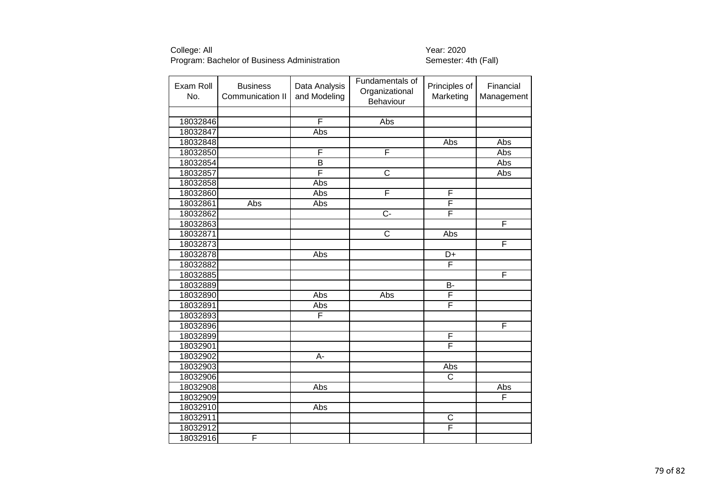| Exam Roll<br>No. | <b>Business</b><br>Communication II | Data Analysis<br>and Modeling | Fundamentals of<br>Organizational<br>Behaviour | Principles of<br>Marketing | Financial<br>Management |
|------------------|-------------------------------------|-------------------------------|------------------------------------------------|----------------------------|-------------------------|
|                  |                                     |                               |                                                |                            |                         |
| 18032846         |                                     | F                             | Abs                                            |                            |                         |
| 18032847         |                                     | Abs                           |                                                |                            |                         |
| 18032848         |                                     |                               |                                                | Abs                        | Abs                     |
| 18032850         |                                     | F                             | F                                              |                            | Abs                     |
| 18032854         |                                     | $\overline{\mathsf{B}}$       |                                                |                            | <b>Abs</b>              |
| 18032857         |                                     | F                             | $\overline{\text{c}}$                          |                            | Abs                     |
| 18032858         |                                     | Abs                           |                                                |                            |                         |
| 18032860         |                                     | Abs                           | F                                              | F                          |                         |
| 18032861         | Abs                                 | Abs                           |                                                | F                          |                         |
| 18032862         |                                     |                               | $C -$                                          | F                          |                         |
| 18032863         |                                     |                               |                                                |                            | F                       |
| 18032871         |                                     |                               | $\mathsf C$                                    | Abs                        |                         |
| 18032873         |                                     |                               |                                                |                            | F                       |
| 18032878         |                                     | Abs                           |                                                | D+                         |                         |
| 18032882         |                                     |                               |                                                | $\overline{\mathsf{F}}$    |                         |
| 18032885         |                                     |                               |                                                |                            | $\overline{\mathsf{F}}$ |
| 18032889         |                                     |                               |                                                | $\overline{B}$             |                         |
| 18032890         |                                     | Abs                           | Abs                                            | $\overline{F}$             |                         |
| 18032891         |                                     | Abs                           |                                                | F                          |                         |
| 18032893         |                                     | F                             |                                                |                            |                         |
| 18032896         |                                     |                               |                                                |                            | F                       |
| 18032899         |                                     |                               |                                                | F                          |                         |
| 18032901         |                                     |                               |                                                | F                          |                         |
| 18032902         |                                     | A-                            |                                                |                            |                         |
| 18032903         |                                     |                               |                                                | Abs                        |                         |
| 18032906         |                                     |                               |                                                | $\overline{\text{c}}$      |                         |
| 18032908         |                                     | Abs                           |                                                |                            | Abs                     |
| 18032909         |                                     |                               |                                                |                            | F                       |
| 18032910         |                                     | Abs                           |                                                |                            |                         |
| 18032911         |                                     |                               |                                                | $\mathsf C$                |                         |
| 18032912         |                                     |                               |                                                | $\overline{\mathsf{F}}$    |                         |
| 18032916         | F                                   |                               |                                                |                            |                         |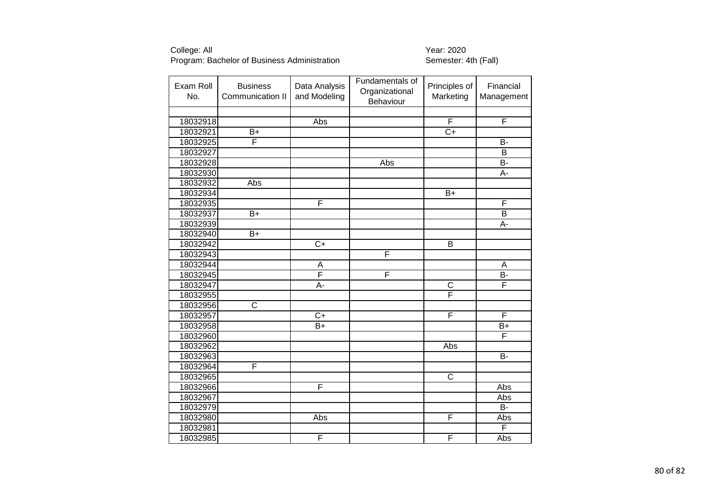| Exam Roll<br>No. | <b>Business</b><br>Communication II | Data Analysis<br>and Modeling | Fundamentals of<br>Organizational<br>Behaviour | Principles of<br>Marketing | Financial<br>Management |
|------------------|-------------------------------------|-------------------------------|------------------------------------------------|----------------------------|-------------------------|
|                  |                                     |                               |                                                |                            |                         |
| 18032918         |                                     | Abs                           |                                                | F                          | $\overline{F}$          |
| 18032921         | $\overline{B+}$                     |                               |                                                | $\overline{C+}$            |                         |
| 18032925         | F                                   |                               |                                                |                            | <b>B-</b>               |
| 18032927         |                                     |                               |                                                |                            | B                       |
| 18032928         |                                     |                               | Abs                                            |                            | B-                      |
| 18032930         |                                     |                               |                                                |                            | A-                      |
| 18032932         | Abs                                 |                               |                                                |                            |                         |
| 18032934         |                                     |                               |                                                | $\bar{B}+$                 |                         |
| 18032935         |                                     | F                             |                                                |                            | F                       |
| 18032937         | $B+$                                |                               |                                                |                            | $\overline{\mathsf{B}}$ |
| 18032939         |                                     |                               |                                                |                            | $\overline{A}$ -        |
| 18032940         | B+                                  |                               |                                                |                            |                         |
| 18032942         |                                     | $\overline{C+}$               |                                                | B                          |                         |
| 18032943         |                                     |                               | F                                              |                            |                         |
| 18032944         |                                     | A                             |                                                |                            | A                       |
| 18032945         |                                     | $\overline{\mathsf{F}}$       | F                                              |                            | B-                      |
| 18032947         |                                     | $\overline{A}$ -              |                                                | $\overline{\mathsf{C}}$    | F                       |
| 18032955         |                                     |                               |                                                | F                          |                         |
| 18032956         | $\overline{\text{c}}$               |                               |                                                |                            |                         |
| 18032957         |                                     | $\overline{C+}$               |                                                | F                          | F                       |
| 18032958         |                                     | $B+$                          |                                                |                            | $B+$                    |
| 18032960         |                                     |                               |                                                |                            | F                       |
| 18032962         |                                     |                               |                                                | <b>Abs</b>                 |                         |
| 18032963         |                                     |                               |                                                |                            | <b>B-</b>               |
| 18032964         | F                                   |                               |                                                |                            |                         |
| 18032965         |                                     |                               |                                                | $\overline{\mathsf{C}}$    |                         |
| 18032966         |                                     | F                             |                                                |                            | Abs                     |
| 18032967         |                                     |                               |                                                |                            | Abs                     |
| 18032979         |                                     |                               |                                                |                            | $\overline{B}$          |
| 18032980         |                                     | Abs                           |                                                | $\overline{F}$             | Abs                     |
| 18032981         |                                     |                               |                                                |                            | F                       |
| 18032985         |                                     | F                             |                                                | F                          | Abs                     |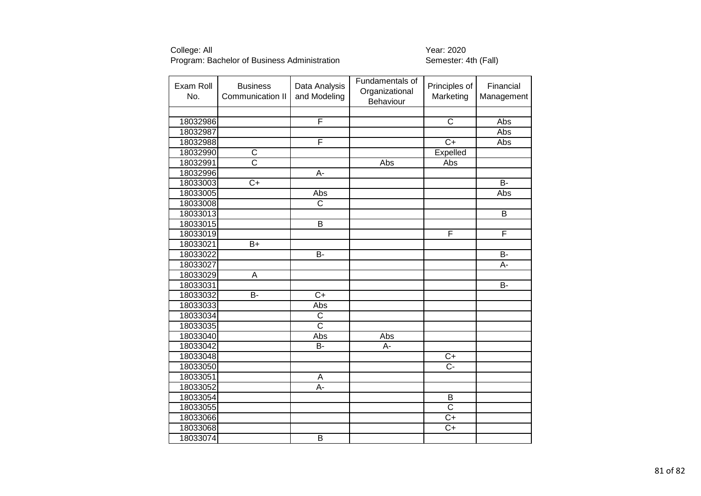| Exam Roll<br>No. | <b>Business</b><br>Communication II | Data Analysis<br>and Modeling | Fundamentals of<br>Organizational<br>Behaviour | Principles of<br>Marketing | Financial<br>Management |
|------------------|-------------------------------------|-------------------------------|------------------------------------------------|----------------------------|-------------------------|
|                  |                                     |                               |                                                |                            |                         |
| 18032986         |                                     | F                             |                                                | $\overline{\mathsf{C}}$    | Abs                     |
| 18032987         |                                     |                               |                                                |                            | Abs                     |
| 18032988         |                                     | F                             |                                                | $\overline{C+}$            | Abs                     |
| 18032990         | $\overline{\text{C}}$               |                               |                                                | Expelled                   |                         |
| 18032991         | $\overline{\text{c}}$               |                               | Abs                                            | Abs                        |                         |
| 18032996         |                                     | A-                            |                                                |                            |                         |
| 18033003         | $C+$                                |                               |                                                |                            | $\overline{B}$          |
| 18033005         |                                     | Abs                           |                                                |                            | Abs                     |
| 18033008         |                                     | $\overline{\text{c}}$         |                                                |                            |                         |
| 18033013         |                                     |                               |                                                |                            | B                       |
| 18033015         |                                     | $\overline{B}$                |                                                |                            |                         |
| 18033019         |                                     |                               |                                                | F                          | F                       |
| 18033021         | $B+$                                |                               |                                                |                            |                         |
| 18033022         |                                     | $\overline{B}$                |                                                |                            | B-                      |
| 18033027         |                                     |                               |                                                |                            | A-                      |
| 18033029         | A                                   |                               |                                                |                            |                         |
| 18033031         |                                     |                               |                                                |                            | B-                      |
| 18033032         | B-                                  | $\overline{C+}$               |                                                |                            |                         |
| 18033033         |                                     | Abs                           |                                                |                            |                         |
| 18033034         |                                     | $\overline{\mathsf{C}}$       |                                                |                            |                         |
| 18033035         |                                     | $\overline{\text{c}}$         |                                                |                            |                         |
| 18033040         |                                     | Abs                           | Abs                                            |                            |                         |
| 18033042         |                                     | $\overline{B}$                | A-                                             |                            |                         |
| 18033048         |                                     |                               |                                                | $C+$                       |                         |
| 18033050         |                                     |                               |                                                | $\overline{C}$             |                         |
| 18033051         |                                     | A                             |                                                |                            |                         |
| 18033052         |                                     | A-                            |                                                |                            |                         |
| 18033054         |                                     |                               |                                                | B                          |                         |
| 18033055         |                                     |                               |                                                | $\overline{\text{c}}$      |                         |
| 18033066         |                                     |                               |                                                | $C+$                       |                         |
| 18033068         |                                     |                               |                                                | $\overline{C}$             |                         |
| 18033074         |                                     | $\overline{\mathsf{B}}$       |                                                |                            |                         |